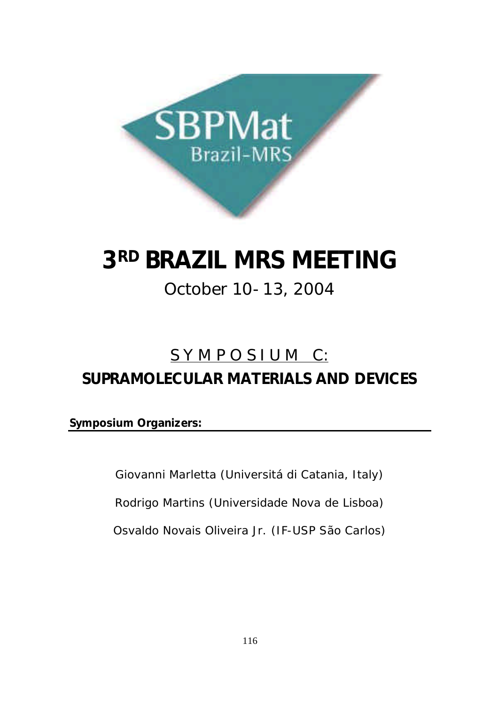

# **3RD BRAZIL MRS MEETING**

# October 10-13, 2004

# S Y M P O S I U M C: **SUPRAMOLECULAR MATERIALS AND DEVICES**

**Symposium Organizers:**

Giovanni Marletta (Universitá di Catania, Italy)

Rodrigo Martins (Universidade Nova de Lisboa)

Osvaldo Novais Oliveira Jr. (IF-USP São Carlos)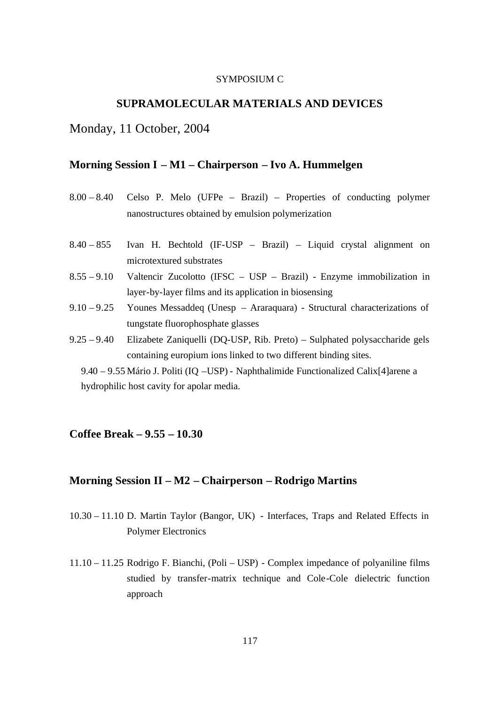### SYMPOSIUM C

### **SUPRAMOLECULAR MATERIALS AND DEVICES**

### Monday, 11 October, 2004

### **Morning Session I – M1 – Chairperson – Ivo A. Hummelgen**

- 8.00 8.40 Celso P. Melo (UFPe Brazil) Properties of conducting polymer nanostructures obtained by emulsion polymerization 8.40 – 855 Ivan H. Bechtold (IF-USP – Brazil) – Liquid crystal alignment on microtextured substrates 8.55 – 9.10 Valtencir Zucolotto (IFSC – USP – Brazil) - Enzyme immobilization in layer-by-layer films and its application in biosensing 9.10 – 9.25 Younes Messaddeq (Unesp – Araraquara) - Structural characterizations of tungstate fluorophosphate glasses
- 9.25 9.40 Elizabete Zaniquelli (DQ-USP, Rib. Preto) Sulphated polysaccharide gels containing europium ions linked to two different binding sites.

9.40 – 9.55 Mário J. Politi (IQ –USP) - Naphthalimide Functionalized Calix[4]arene a hydrophilic host cavity for apolar media.

## **Coffee Break – 9.55 – 10.30**

## **Morning Session II – M2 – Chairperson – Rodrigo Martins**

- 10.30 11.10 D. Martin Taylor (Bangor, UK) Interfaces, Traps and Related Effects in Polymer Electronics
- 11.10 11.25 Rodrigo F. Bianchi, (Poli USP) Complex impedance of polyaniline films studied by transfer-matrix technique and Cole-Cole dielectric function approach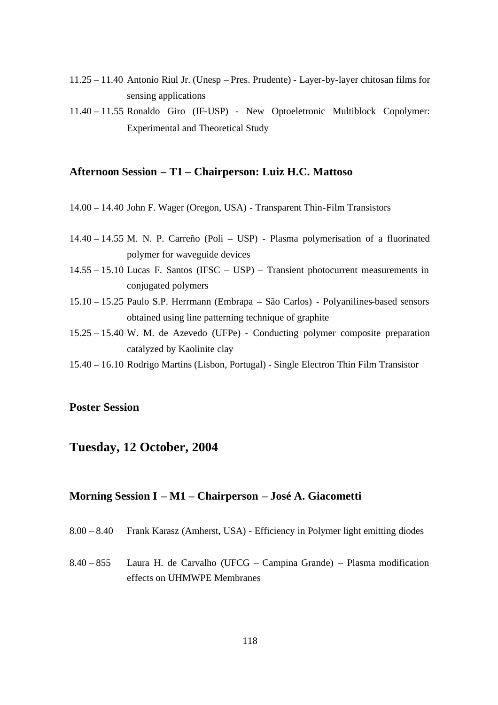- 11.25 11.40 Antonio Riul Jr. (Unesp Pres. Prudente) Layer-by-layer chitosan films for sensing applications
- 11.40 11.55 Ronaldo Giro (IF-USP) New Optoeletronic Multiblock Copolymer: Experimental and Theoretical Study

### **Afternoon Session – T1 – Chairperson: Luiz H.C. Mattoso**

- 14.00 14.40 John F. Wager (Oregon, USA) Transparent Thin-Film Transistors
- 14.40 14.55 M. N. P. Carreño (Poli USP) Plasma polymerisation of a fluorinated polymer for waveguide devices
- 14.55 15.10 Lucas F. Santos (IFSC USP) Transient photocurrent measurements in conjugated polymers
- 15.10 15.25 Paulo S.P. Herrmann (Embrapa São Carlos) Polyanilines-based sensors obtained using line patterning technique of graphite
- 15.25 15.40 W. M. de Azevedo (UFPe) Conducting polymer composite preparation catalyzed by Kaolinite clay
- 15.40 16.10 Rodrigo Martins (Lisbon, Portugal) Single Electron Thin Film Transistor

### **Poster Session**

# **Tuesday, 12 October, 2004**

### **Morning Session I – M1 – Chairperson – José A. Giacometti**

- 8.00 8.40 Frank Karasz (Amherst, USA) Efficiency in Polymer light emitting diodes
- 8.40 855 Laura H. de Carvalho (UFCG Campina Grande) Plasma modification effects on UHMWPE Membranes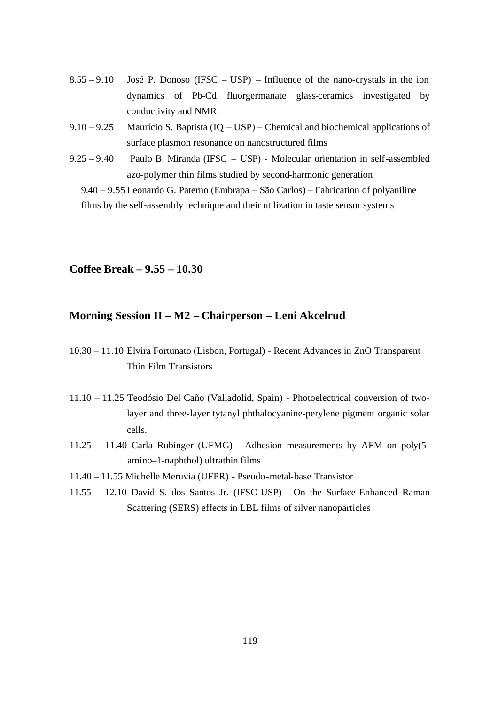- $8.55 9.10$  José P. Donoso (IFSC USP) Influence of the nano-crystals in the ion dynamics of Pb-Cd fluorgermanate glass-ceramics investigated by conductivity and NMR.
- 9.10 9.25 Maurício S. Baptista (IQ USP) Chemical and biochemical applications of surface plasmon resonance on nanostructured films
- 9.25 9.40 Paulo B. Miranda (IFSC USP) Molecular orientation in self-assembled azo-polymer thin films studied by second-harmonic generation

9.40 – 9.55 Leonardo G. Paterno (Embrapa – São Carlos) – Fabrication of polyaniline films by the self-assembly technique and their utilization in taste sensor systems

### **Coffee Break – 9.55 – 10.30**

## **Morning Session II – M2 – Chairperson – Leni Akcelrud**

- 10.30 11.10 Elvira Fortunato (Lisbon, Portugal) Recent Advances in ZnO Transparent Thin Film Transistors
- 11.10 11.25 Teodósio Del Caño (Valladolid, Spain) Photoelectrical conversion of twolayer and three-layer tytanyl phthalocyanine-perylene pigment organic solar cells.
- 11.25 11.40 Carla Rubinger (UFMG) Adhesion measurements by AFM on poly(5 amino–1-naphthol) ultrathin films
- 11.40 11.55 Michelle Meruvia (UFPR) Pseudo-metal-base Transistor
- 11.55 12.10 David S. dos Santos Jr. (IFSC-USP) On the Surface-Enhanced Raman Scattering (SERS) effects in LBL films of silver nanoparticles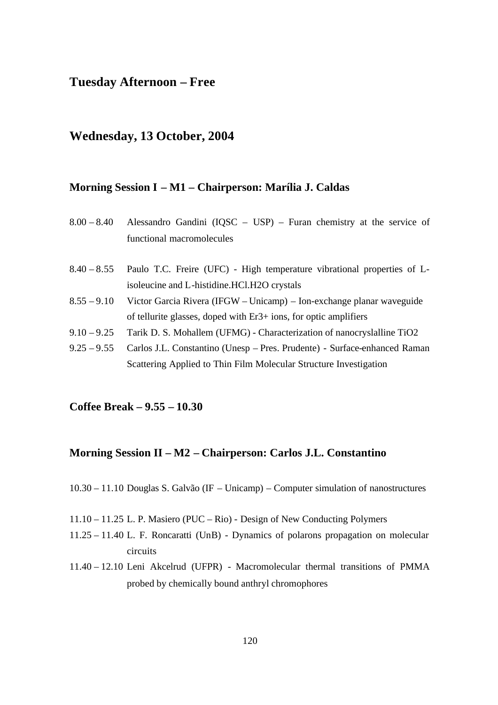# **Tuesday Afternoon – Free**

# **Wednesday, 13 October, 2004**

### **Morning Session I – M1 – Chairperson: Marília J. Caldas**

| $8.00 - 8.40$ | Alessandro Gandini (IQSC $-$ USP) $-$ Furan chemistry at the service of |
|---------------|-------------------------------------------------------------------------|
|               | functional macromolecules                                               |
|               |                                                                         |
| $8.40 - 8.55$ | Paulo T.C. Freire (UFC) - High temperature vibrational properties of L- |
|               | isoleucine and L-histidine. HCl. H2O crystals                           |
| $8.55 - 9.10$ | Victor Garcia Rivera (IFGW – Unicamp) – Ion-exchange planar waveguide   |
|               | of tellurite glasses, doped with $Er3+$ ions, for optic amplifiers      |

- 9.10 9.25 Tarik D. S. Mohallem (UFMG) Characterization of nanocryslalline TiO2
- 9.25 9.55 Carlos J.L. Constantino (Unesp Pres. Prudente) Surface-enhanced Raman Scattering Applied to Thin Film Molecular Structure Investigation

### **Coffee Break – 9.55 – 10.30**

### **Morning Session II – M2 – Chairperson: Carlos J.L. Constantino**

10.30 – 11.10 Douglas S. Galvão (IF – Unicamp) – Computer simulation of nanostructures

- 11.10 11.25 L. P. Masiero (PUC Rio) Design of New Conducting Polymers
- 11.25 11.40 L. F. Roncaratti (UnB) Dynamics of polarons propagation on molecular circuits
- 11.40 12.10 Leni Akcelrud (UFPR) Macromolecular thermal transitions of PMMA probed by chemically bound anthryl chromophores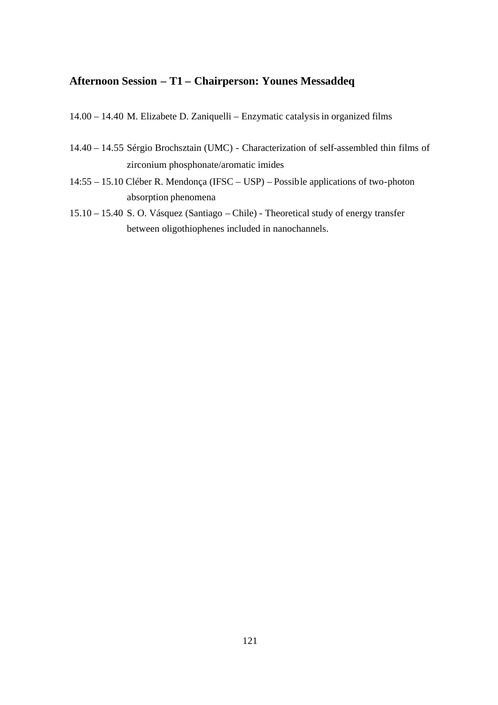# **Afternoon Session – T1 – Chairperson: Younes Messaddeq**

- 14.00 14.40 M. Elizabete D. Zaniquelli Enzymatic catalysis in organized films
- 14.40 14.55 Sérgio Brochsztain (UMC) Characterization of self-assembled thin films of zirconium phosphonate/aromatic imides
- 14:55 15.10 Cléber R. Mendonça (IFSC USP) Possible applications of two-photon absorption phenomena
- 15.10 15.40 S. O. Vásquez (Santiago Chile) Theoretical study of energy transfer between oligothiophenes included in nanochannels.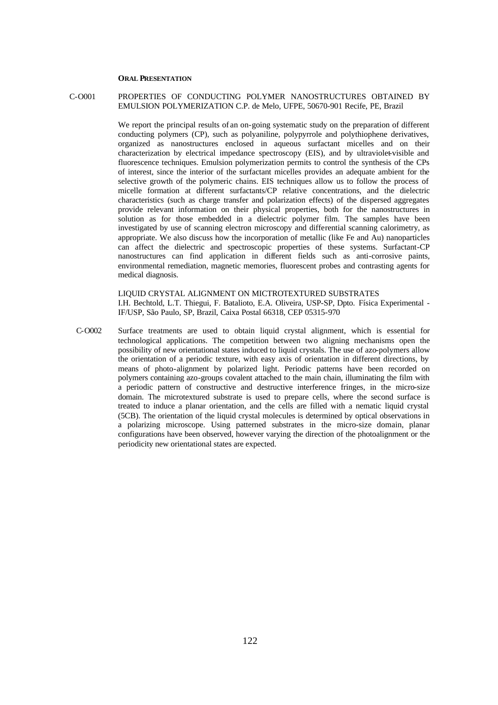### **ORAL PRESENTATION**

#### C-O001 PROPERTIES OF CONDUCTING POLYMER NANOSTRUCTURES OBTAINED BY EMULSION POLYMERIZATION C.P. de Melo, UFPE, 50670-901 Recife, PE, Brazil

We report the principal results of an on-going systematic study on the preparation of different conducting polymers (CP), such as polyaniline, polypyrrole and polythiophene derivatives, organized as nanostructures enclosed in aqueous surfactant micelles and on their characterization by electrical impedance spectroscopy (EIS), and by ultraviolet-visible and fluorescence techniques. Emulsion polymerization permits to control the synthesis of the CPs of interest, since the interior of the surfactant micelles provides an adequate ambient for the selective growth of the polymeric chains. EIS techniques allow us to follow the process of micelle formation at different surfactants/CP relative concentrations, and the dielectric characteristics (such as charge transfer and polarization effects) of the dispersed aggregates provide relevant information on their physical properties, both for the nanostructures in solution as for those embedded in a dielectric polymer film. The samples have been investigated by use of scanning electron microscopy and differential scanning calorimetry, as appropriate. We also discuss how the incorporation of metallic (like Fe and Au) nanoparticles can affect the dielectric and spectroscopic properties of these systems. Surfactant-CP nanostructures can find application in different fields such as anti-corrosive paints, environmental remediation, magnetic memories, fluorescent probes and contrasting agents for medical diagnosis.

LIQUID CRYSTAL ALIGNMENT ON MICTROTEXTURED SUBSTRATES I.H. Bechtold, L.T. Thiegui, F. Batalioto, E.A. Oliveira, USP-SP, Dpto. Física Experimental - IF/USP, São Paulo, SP, Brazil, Caixa Postal 66318, CEP 05315-970

C-O002 Surface treatments are used to obtain liquid crystal alignment, which is essential for technological applications. The competition between two aligning mechanisms open the possibility of new orientational states induced to liquid crystals. The use of azo-polymers allow the orientation of a periodic texture, with easy axis of orientation in different directions, by means of photo-alignment by polarized light. Periodic patterns have been recorded on polymers containing azo-groups covalent attached to the main chain, illuminating the film with a periodic pattern of constructive and destructive interference fringes, in the micro-size domain. The microtextured substrate is used to prepare cells, where the second surface is treated to induce a planar orientation, and the cells are filled with a nematic liquid crystal (5CB). The orientation of the liquid crystal molecules is determined by optical observations in a polarizing microscope. Using patterned substrates in the micro-size domain, planar configurations have been observed, however varying the direction of the photoalignment or the periodicity new orientational states are expected.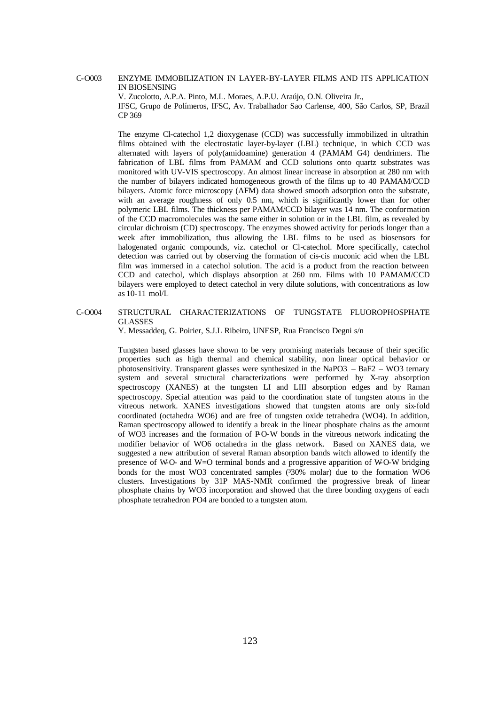#### C-O003 ENZYME IMMOBILIZATION IN LAYER-BY-LAYER FILMS AND ITS APPLICATION IN BIOSENSING

V. Zucolotto, A.P.A. Pinto, M.L. Moraes, A.P.U. Araújo, O.N. Oliveira Jr., IFSC, Grupo de Polímeros, IFSC, Av. Trabalhador Sao Carlense, 400, São Carlos, SP, Brazil CP 369

The enzyme Cl-catechol 1,2 dioxygenase (CCD) was successfully immobilized in ultrathin films obtained with the electrostatic layer-by-layer (LBL) technique, in which CCD was alternated with layers of poly(amidoamine) generation 4 (PAMAM G4) dendrimers. The fabrication of LBL films from PAMAM and CCD solutions onto quartz substrates was monitored with UV-VIS spectroscopy. An almost linear increase in absorption at 280 nm with the number of bilayers indicated homogeneous growth of the films up to 40 PAMAM/CCD bilayers. Atomic force microscopy (AFM) data showed smooth adsorption onto the substrate, with an average roughness of only 0.5 nm, which is significantly lower than for other polymeric LBL films. The thickness per PAMAM/CCD bilayer was 14 nm. The conformation of the CCD macromolecules was the same either in solution or in the LBL film, as revealed by circular dichroism (CD) spectroscopy. The enzymes showed activity for periods longer than a week after immobilization, thus allowing the LBL films to be used as biosensors for halogenated organic compounds, viz. catechol or Cl-catechol. More specifically, catechol detection was carried out by observing the formation of cis-cis muconic acid when the LBL film was immersed in a catechol solution. The acid is a product from the reaction between CCD and catechol, which displays absorption at 260 nm. Films with 10 PAMAM/CCD bilayers were employed to detect catechol in very dilute solutions, with concentrations as low as 10-11 mol/L

#### C-O004 STRUCTURAL CHARACTERIZATIONS OF TUNGSTATE FLUOROPHOSPHATE GLASSES

Y. Messaddeq, G. Poirier, S.J.L Ribeiro, UNESP, Rua Francisco Degni s/n

Tungsten based glasses have shown to be very promising materials because of their specific properties such as high thermal and chemical stability, non linear optical behavior or photosensitivity. Transparent glasses were synthesized in the NaPO3 – BaF2 – WO3 ternary system and several structural characterizations were performed by X-ray absorption spectroscopy (XANES) at the tungsten LI and LIII absorption edges and by Raman spectroscopy. Special attention was paid to the coordination state of tungsten atoms in the vitreous network. XANES investigations showed that tungsten atoms are only six-fold coordinated (octahedra WO6) and are free of tungsten oxide tetrahedra (WO4). In addition, Raman spectroscopy allowed to identify a break in the linear phosphate chains as the amount of WO3 increases and the formation of PO-W bonds in the vitreous network indicating the modifier behavior of WO6 octahedra in the glass network. Based on XANES data, we suggested a new attribution of several Raman absorption bands witch allowed to identify the presence of W-O- and W=O terminal bonds and a progressive apparition of W-O-W bridging bonds for the most WO3 concentrated samples ( $330\%$  molar) due to the formation WO6 clusters. Investigations by 31P MAS-NMR confirmed the progressive break of linear phosphate chains by WO3 incorporation and showed that the three bonding oxygens of each phosphate tetrahedron PO4 are bonded to a tungsten atom.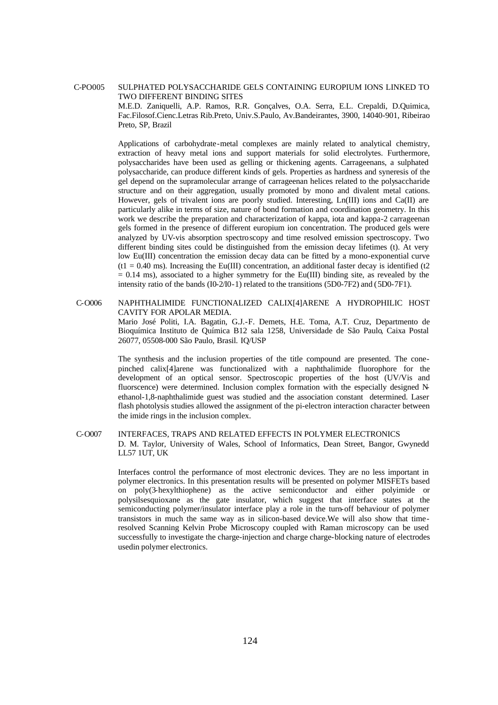#### C-PO005 SULPHATED POLYSACCHARIDE GELS CONTAINING EUROPIUM IONS LINKED TO TWO DIFFERENT BINDING SITES

M.E.D. Zaniquelli, A.P. Ramos, R.R. Gonçalves, O.A. Serra, E.L. Crepaldi, D.Quimica, Fac.Filosof.Cienc.Letras Rib.Preto, Univ.S.Paulo, Av.Bandeirantes, 3900, 14040-901, Ribeirao Preto, SP, Brazil

Applications of carbohydrate-metal complexes are mainly related to analytical chemistry, extraction of heavy metal ions and support materials for solid electrolytes. Furthermore, polysaccharides have been used as gelling or thickening agents. Carrageenans, a sulphated polysaccharide, can produce different kinds of gels. Properties as hardness and syneresis of the gel depend on the supramolecular arrange of carrageenan helices related to the polysaccharide structure and on their aggregation, usually promoted by mono and divalent metal cations. However, gels of trivalent ions are poorly studied. Interesting, Ln(III) ions and Ca(II) are particularly alike in terms of size, nature of bond formation and coordination geometry. In this work we describe the preparation and characterization of kappa, iota and kappa-2 carrageenan gels formed in the presence of different europium ion concentration. The produced gels were analyzed by UV-vis absorption spectroscopy and time resolved emission spectroscopy. Two different binding sites could be distinguished from the emission decay lifetimes (t). At very low Eu(III) concentration the emission decay data can be fitted by a mono-exponential curve  $(t1 = 0.40 \text{ ms})$ . Increasing the Eu(III) concentration, an additional faster decay is identified (t2)  $= 0.14$  ms), associated to a higher symmetry for the Eu(III) binding site, as revealed by the intensity ratio of the bands (I0-2/I0-1) related to the transitions (5D0-7F2) and (5D0-7F1).

#### C-O006 NAPHTHALIMIDE FUNCTIONALIZED CALIX[4]ARENE A HYDROPHILIC HOST CAVITY FOR APOLAR MEDIA.

Mario José Politi, I.A. Bagatin, G.J.-F. Demets, H.E. Toma, A.T. Cruz, Departmento de Bioquímica Instituto de Química B12 sala 1258, Universidade de São Paulo, Caixa Postal 26077, 05508-000 São Paulo, Brasil. IQ/USP

The synthesis and the inclusion properties of the title compound are presented. The conepinched calix[4]arene was functionalized with a naphthalimide fluorophore for the development of an optical sensor. Spectroscopic properties of the host (UV/Vis and fluorscence) were determined. Inclusion complex formation with the especially designed Nethanol-1,8-naphthalimide guest was studied and the association constant determined. Laser flash photolysis studies allowed the assignment of the pi-electron interaction character between the imide rings in the inclusion complex.

#### C-O007 INTERFACES, TRAPS AND RELATED EFFECTS IN POLYMER ELECTRONICS D. M. Taylor, University of Wales, School of Informatics, Dean Street, Bangor, Gwynedd LL57 1UT, UK

Interfaces control the performance of most electronic devices. They are no less important in polymer electronics. In this presentation results will be presented on polymer MISFETs based on poly(3-hexylthiophene) as the active semiconductor and either polyimide or polysilsesquioxane as the gate insulator, which suggest that interface states at the semiconducting polymer/insulator interface play a role in the turn-off behaviour of polymer transistors in much the same way as in silicon-based device.We will also show that timeresolved Scanning Kelvin Probe Microscopy coupled with Raman microscopy can be used successfully to investigate the charge-injection and charge charge-blocking nature of electrodes usedin polymer electronics.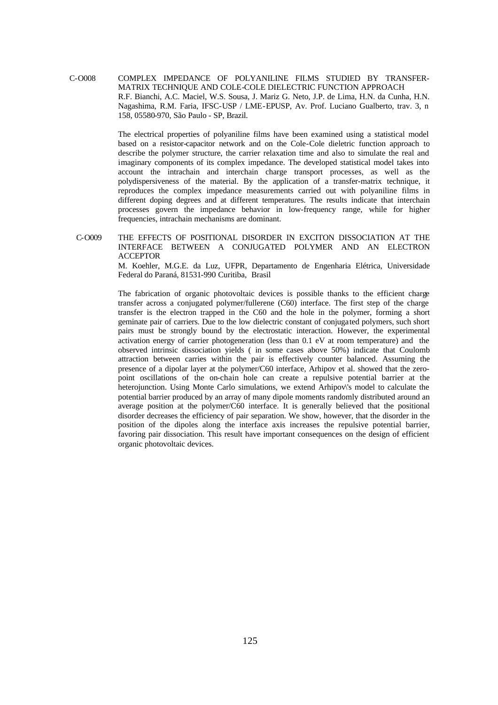C-O008 COMPLEX IMPEDANCE OF POLYANILINE FILMS STUDIED BY TRANSFER-MATRIX TECHNIQUE AND COLE-COLE DIELECTRIC FUNCTION APPROACH R.F. Bianchi, A.C. Maciel, W.S. Sousa, J. Mariz G. Neto, J.P. de Lima, H.N. da Cunha, H.N. Nagashima, R.M. Faria, IFSC-USP / LME-EPUSP, Av. Prof. Luciano Gualberto, trav. 3, n 158, 05580-970, São Paulo - SP, Brazil.

> The electrical properties of polyaniline films have been examined using a statistical model based on a resistor-capacitor network and on the Cole-Cole dieletric function approach to describe the polymer structure, the carrier relaxation time and also to simulate the real and imaginary components of its complex impedance. The developed statistical model takes into account the intrachain and interchain charge transport processes, as well as the polydispersiveness of the material. By the application of a transfer-matrix technique, it reproduces the complex impedance measurements carried out with polyaniline films in different doping degrees and at different temperatures. The results indicate that interchain processes govern the impedance behavior in low-frequency range, while for higher frequencies, intrachain mechanisms are dominant.

C-O009 THE EFFECTS OF POSITIONAL DISORDER IN EXCITON DISSOCIATION AT THE INTERFACE BETWEEN A CONJUGATED POLYMER AND AN ELECTRON ACCEPTOR

> M. Koehler, M.G.E. da Luz, UFPR, Departamento de Engenharia Elétrica, Universidade Federal do Paraná, 81531-990 Curitiba, Brasil

> The fabrication of organic photovoltaic devices is possible thanks to the efficient charge transfer across a conjugated polymer/fullerene (C60) interface. The first step of the charge transfer is the electron trapped in the C60 and the hole in the polymer, forming a short geminate pair of carriers. Due to the low dielectric constant of conjugated polymers, such short pairs must be strongly bound by the electrostatic interaction. However, the experimental activation energy of carrier photogeneration (less than 0.1 eV at room temperature) and the observed intrinsic dissociation yields ( in some cases above 50%) indicate that Coulomb attraction between carries within the pair is effectively counter balanced. Assuming the presence of a dipolar layer at the polymer/C60 interface, Arhipov et al. showed that the zeropoint oscillations of the on-chain hole can create a repulsive potential barrier at the heterojunction. Using Monte Carlo simulations, we extend Arhipov\'s model to calculate the potential barrier produced by an array of many dipole moments randomly distributed around an average position at the polymer/C60 interface. It is generally believed that the positional disorder decreases the efficiency of pair separation. We show, however, that the disorder in the position of the dipoles along the interface axis increases the repulsive potential barrier, favoring pair dissociation. This result have important consequences on the design of efficient organic photovoltaic devices.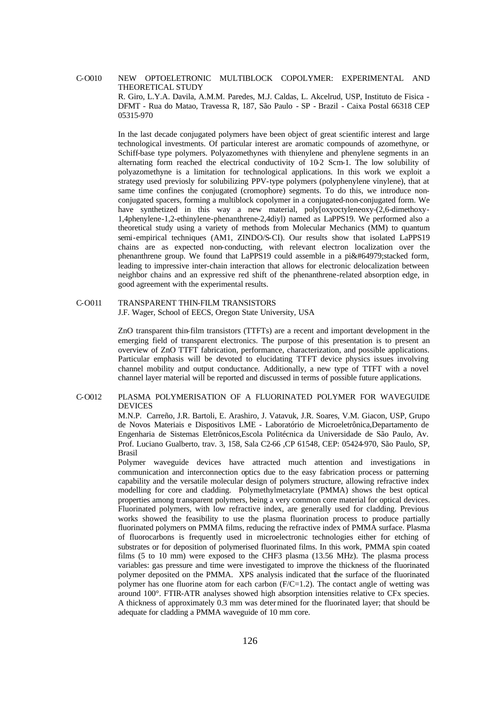### C-O010 NEW OPTOELETRONIC MULTIBLOCK COPOLYMER: EXPERIMENTAL AND THEORETICAL STUDY R. Giro, L.Y.A. Davila, A.M.M. Paredes, M.J. Caldas, L. Akcelrud, USP, Instituto de Fisica - DFMT - Rua do Matao, Travessa R, 187, São Paulo - SP - Brazil - Caixa Postal 66318 CEP

In the last decade conjugated polymers have been object of great scientific interest and large technological investments. Of particular interest are aromatic compounds of azomethyne, or Schiff-base type polymers. Polyazomethynes with thienylene and phenylene segments in an alternating form reached the electrical conductivity of 10-2 Scm-1. The low solubility of polyazomethyne is a limitation for technological applications. In this work we exploit a strategy used previosly for solubilizing PPV-type polymers (polyphenylene vinylene), that at same time confines the conjugated (cromophore) segments. To do this, we introduce nonconjugated spacers, forming a multiblock copolymer in a conjugated-non-conjugated form. We have synthetized in this way a new material, poly[oxyoctyleneoxy-(2,6-dimethoxy-1,4phenylene-1,2-ethinylene-phenanthrene-2,4diyl) named as LaPPS19. We performed also a theoretical study using a variety of methods from Molecular Mechanics (MM) to quantum semi-empirical techniques (AM1, ZINDO/S-CI). Our results show that isolated LaPPS19 chains are as expected non-conducting, with relevant electron localization over the phenanthrene group. We found that LaPPS19 could assemble in a pi $\&\#64979$ ; stacked form, leading to impressive inter-chain interaction that allows for electronic delocalization between neighbor chains and an expressive red shift of the phenanthrene-related absorption edge, in good agreement with the experimental results.

#### C-O011 TRANSPARENT THIN-FILM TRANSISTORS

05315-970

J.F. Wager, School of EECS, Oregon State University, USA

ZnO transparent thin-film transistors (TTFTs) are a recent and important development in the emerging field of transparent electronics. The purpose of this presentation is to present an overview of ZnO TTFT fabrication, performance, characterization, and possible applications. Particular emphasis will be devoted to elucidating TTFT device physics issues involving channel mobility and output conductance. Additionally, a new type of TTFT with a novel channel layer material will be reported and discussed in terms of possible future applications.

#### C-O012 PLASMA POLYMERISATION OF A FLUORINATED POLYMER FOR WAVEGUIDE DEVICES

M.N.P. Carreño, J.R. Bartoli, E. Arashiro, J. Vatavuk, J.R. Soares, V.M. Giacon, USP, Grupo de Novos Materiais e Dispositivos LME - Laboratório de Microeletrônica,Departamento de Engenharia de Sistemas Eletrônicos,Escola Politécnica da Universidade de São Paulo, Av. Prof. Luciano Gualberto, trav. 3, 158, Sala C2-66 ,CP 61548, CEP: 05424-970, São Paulo, SP, Brasil

Polymer waveguide devices have attracted much attention and investigations in communication and interconnection optics due to the easy fabrication process or patterning capability and the versatile molecular design of polymers structure, allowing refractive index modelling for core and cladding. Polymethylmetacrylate (PMMA) shows the best optical properties among transparent polymers, being a very common core material for optical devices. Fluorinated polymers, with low refractive index, are generally used for cladding. Previous works showed the feasibility to use the plasma fluorination process to produce partially fluorinated polymers on PMMA films, reducing the refractive index of PMMA surface. Plasma of fluorocarbons is frequently used in microelectronic technologies either for etching of substrates or for deposition of polymerised fluorinated films. In this work, PMMA spin coated films (5 to 10 mm) were exposed to the CHF3 plasma (13.56 MHz). The plasma process variables: gas pressure and time were investigated to improve the thickness of the fluorinated polymer deposited on the PMMA. XPS analysis indicated that the surface of the fluorinated polymer has one fluorine atom for each carbon  $(F/C=1.2)$ . The contact angle of wetting was around 100°. FTIR-ATR analyses showed high absorption intensities relative to CFx species. A thickness of approximately 0.3 mm was determined for the fluorinated layer; that should be adequate for cladding a PMMA waveguide of 10 mm core.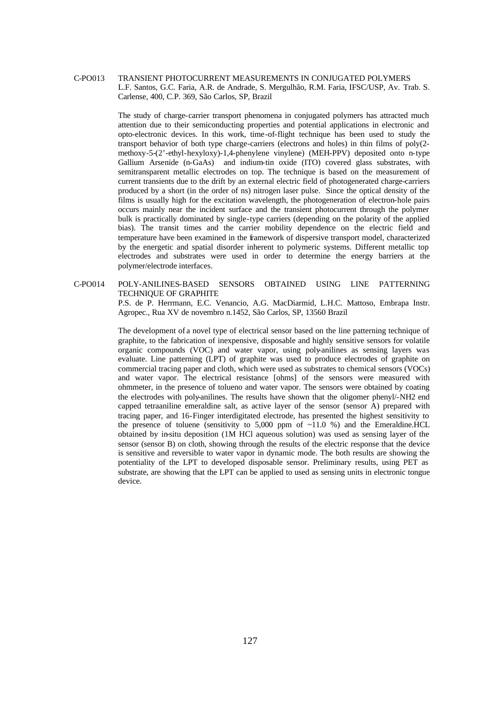#### C-PO013 TRANSIENT PHOTOCURRENT MEASUREMENTS IN CONJUGATED POLYMERS L.F. Santos, G.C. Faria, A.R. de Andrade, S. Mergulhão, R.M. Faria, IFSC/USP, Av. Trab. S. Carlense, 400, C.P. 369, São Carlos, SP, Brazil

The study of charge-carrier transport phenomena in conjugated polymers has attracted much attention due to their semiconducting properties and potential applications in electronic and opto-electronic devices. In this work, time-of-flight technique has been used to study the transport behavior of both type charge-carriers (electrons and holes) in thin films of poly(2 methoxy-5-(2'-ethyl-hexyloxy)-1,4-phenylene vinylene) (MEH-PPV) deposited onto n-type Gallium Arsenide (n-GaAs) and indium-tin oxide (ITO) covered glass substrates, with semitransparent metallic electrodes on top. The technique is based on the measurement of current transients due to the drift by an external electric field of photogenerated charge-carriers produced by a short (in the order of ns) nitrogen laser pulse. Since the optical density of the films is usually high for the excitation wavelength, the photogeneration of electron-hole pairs occurs mainly near the incident surface and the transient photocurrent through the polymer bulk is practically dominated by single-type carriers (depending on the polarity of the applied bias). The transit times and the carrier mobility dependence on the electric field and temperature have been examined in the framework of dispersive transport model, characterized by the energetic and spatial disorder inherent to polymeric systems. Different metallic top electrodes and substrates were used in order to determine the energy barriers at the polymer/electrode interfaces.

C-PO014 POLY-ANILINES-BASED SENSORS OBTAINED USING LINE PATTERNING TECHNIQUE OF GRAPHITE P.S. de P. Herrmann, E.C. Venancio, A.G. MacDiarmid, L.H.C. Mattoso, Embrapa Instr. Agropec., Rua XV de novembro n.1452, São Carlos, SP, 13560 Brazil

> The development of a novel type of electrical sensor based on the line patterning technique of graphite, to the fabrication of inexpensive, disposable and highly sensitive sensors for volatile organic compounds (VOC) and water vapor, using poly-anilines as sensing layers was evaluate. Line patterning (LPT) of graphite was used to produce electrodes of graphite on commercial tracing paper and cloth, which were used as substrates to chemical sensors (VOCs) and water vapor. The electrical resistance [ohms] of the sensors were measured with ohmmeter, in the presence of tolueno and water vapor. The sensors were obtained by coating the electrodes with poly-anilines. The results have shown that the oligomer phenyl/-NH2 end capped tetraaniline emeraldine salt, as active layer of the sensor (sensor A) prepared with tracing paper, and 16-Finger interdigitated electrode, has presented the highest sensitivity to the presence of toluene (sensitivity to  $5,000$  ppm of  $\sim$ 11.0 %) and the Emeraldine.HCL obtained by in-situ deposition (1M HCl aqueous solution) was used as sensing layer of the sensor (sensor B) on cloth, showing through the results of the electric response that the device is sensitive and reversible to water vapor in dynamic mode. The both results are showing the potentiality of the LPT to developed disposable sensor. Preliminary results, using PET as substrate, are showing that the LPT can be applied to used as sensing units in electronic tongue device.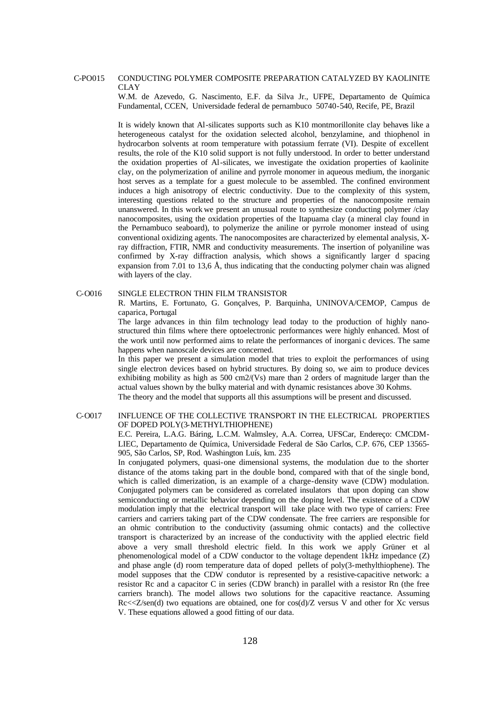#### C-PO015 CONDUCTING POLYMER COMPOSITE PREPARATION CATALYZED BY KAOLINITE CLAY

W.M. de Azevedo, G. Nascimento, E.F. da Silva Jr., UFPE, Departamento de Química Fundamental, CCEN, Universidade federal de pernambuco 50740-540, Recife, PE, Brazil

It is widely known that Al-silicates supports such as K10 montmorillonite clay behaves like a heterogeneous catalyst for the oxidation selected alcohol, benzylamine, and thiophenol in hydrocarbon solvents at room temperature with potassium ferrate (VI). Despite of excellent results, the role of the K10 solid support is not fully understood. In order to better understand the oxidation properties of Al-silicates, we investigate the oxidation properties of kaolinite clay, on the polymerization of aniline and pyrrole monomer in aqueous medium, the inorganic host serves as a template for a guest molecule to be assembled. The confined environment induces a high anisotropy of electric conductivity. Due to the complexity of this system, interesting questions related to the structure and properties of the nanocomposite remain unanswered. In this work we present an unusual route to synthesize conducting polymer /clay nanocomposites, using the oxidation properties of the Itapuama clay (a mineral clay found in the Pernambuco seaboard), to polymerize the aniline or pyrrole monomer instead of using conventional oxidizing agents. The nanocomposites are characterized by elemental analysis, Xray diffraction, FTIR, NMR and conductivity measurements. The insertion of polyaniline was confirmed by X-ray diffraction analysis, which shows a significantly larger d spacing expansion from 7.01 to 13.6 Å, thus indicating that the conducting polymer chain was aligned with layers of the clay.

#### C-O016 SINGLE ELECTRON THIN FILM TRANSISTOR

R. Martins, E. Fortunato, G. Gonçalves, P. Barquinha, UNINOVA/CEMOP, Campus de caparica, Portugal

The large advances in thin film technology lead today to the production of highly nanostructured thin films where there optoelectronic performances were highly enhanced. Most of the work until now performed aims to relate the performances of inorgani c devices. The same happens when nanoscale devices are concerned.

In this paper we present a simulation model that tries to exploit the performances of using single electron devices based on hybrid structures. By doing so, we aim to produce devices exhibiting mobility as high as  $500 \text{ cm}$ /(Vs) mare than 2 orders of magnitude larger than the actual values shown by the bulky material and with dynamic resistances above 30 Kohms. The theory and the model that supports all this assumptions will be present and discussed.

#### C-O017 INFLUENCE OF THE COLLECTIVE TRANSPORT IN THE ELECTRICAL PROPERTIES OF DOPED POLY(3-METHYLTHIOPHENE)

E.C. Pereira, L.A.G. Báring, L.C.M. Walmsley, A.A. Correa, UFSCar, Endereço: CMCDM-LIEC, Departamento de Química, Universidade Federal de São Carlos, C.P. 676, CEP 13565- 905, São Carlos, SP, Rod. Washington Luís, km. 235

In conjugated polymers, quasi-one dimensional systems, the modulation due to the shorter distance of the atoms taking part in the double bond, compared with that of the single bond, which is called dimerization, is an example of a charge-density wave (CDW) modulation. Conjugated polymers can be considered as correlated insulators that upon doping can show semiconducting or metallic behavior depending on the doping level. The existence of a CDW modulation imply that the electrical transport will take place with two type of carriers: Free carriers and carriers taking part of the CDW condensate. The free carriers are responsible for an ohmic contribution to the conductivity (assuming ohmic contacts) and the collective transport is characterized by an increase of the conductivity with the applied electric field above a very small threshold electric field. In this work we apply Grüner et al phenomenological model of a CDW conductor to the voltage dependent 1kHz impedance (Z) and phase angle (d) room temperature data of doped pellets of poly(3-methylthiophene). The model supposes that the CDW condutor is represented by a resistive-capacitive network: a resistor Rc and a capacitor C in series (CDW branch) in parallel with a resistor Rn (the free carriers branch). The model allows two solutions for the capacitive reactance. Assuming  $Rc \ll Z/\text{sen}(d)$  two equations are obtained, one for  $\cos(d)/Z$  versus V and other for Xc versus V. These equations allowed a good fitting of our data.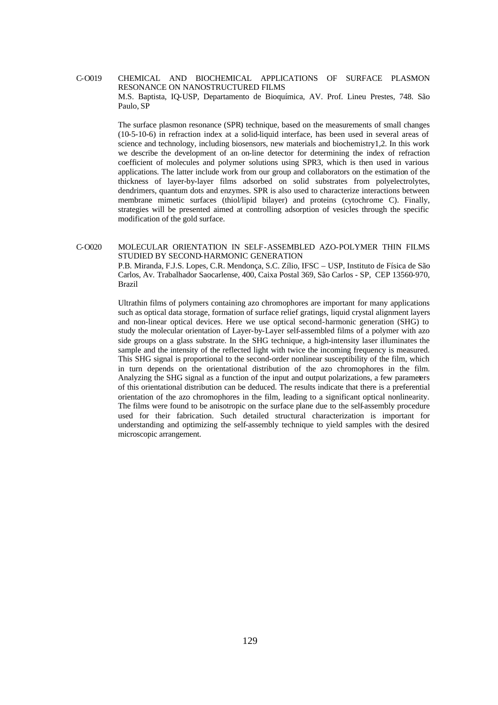### C-O019 CHEMICAL AND BIOCHEMICAL APPLICATIONS OF SURFACE PLASMON RESONANCE ON NANOSTRUCTURED FILMS M.S. Baptista, IQ-USP, Departamento de Bioquímica, AV. Prof. Lineu Prestes, 748. São Paulo, SP

The surface plasmon resonance (SPR) technique, based on the measurements of small changes (10-5-10-6) in refraction index at a solid-liquid interface, has been used in several areas of science and technology, including biosensors, new materials and biochemistry1,2. In this work we describe the development of an on-line detector for determining the index of refraction coefficient of molecules and polymer solutions using SPR3, which is then used in various applications. The latter include work from our group and collaborators on the estimation of the thickness of layer-by-layer films adsorbed on solid substrates from polyelectrolytes, dendrimers, quantum dots and enzymes. SPR is also used to characterize interactions between membrane mimetic surfaces (thiol/lipid bilayer) and proteins (cytochrome C). Finally, strategies will be presented aimed at controlling adsorption of vesicles through the specific modification of the gold surface.

### C-O020 MOLECULAR ORIENTATION IN SELF-ASSEMBLED AZO-POLYMER THIN FILMS STUDIED BY SECOND-HARMONIC GENERATION

P.B. Miranda, F.J.S. Lopes, C.R. Mendonça, S.C. Zílio, IFSC – USP, Instituto de Física de São Carlos, Av. Trabalhador Saocarlense, 400, Caixa Postal 369, São Carlos - SP, CEP 13560-970, Brazil

Ultrathin films of polymers containing azo chromophores are important for many applications such as optical data storage, formation of surface relief gratings, liquid crystal alignment layers and non-linear optical devices. Here we use optical second-harmonic generation (SHG) to study the molecular orientation of Layer-by-Layer self-assembled films of a polymer with azo side groups on a glass substrate. In the SHG technique, a high-intensity laser illuminates the sample and the intensity of the reflected light with twice the incoming frequency is measured. This SHG signal is proportional to the second-order nonlinear susceptibility of the film, which in turn depends on the orientational distribution of the azo chromophores in the film. Analyzing the SHG signal as a function of the input and output polarizations, a few parameters of this orientational distribution can be deduced. The results indicate that there is a preferential orientation of the azo chromophores in the film, leading to a significant optical nonlinearity. The films were found to be anisotropic on the surface plane due to the self-assembly procedure used for their fabrication. Such detailed structural characterization is important for understanding and optimizing the self-assembly technique to yield samples with the desired microscopic arrangement.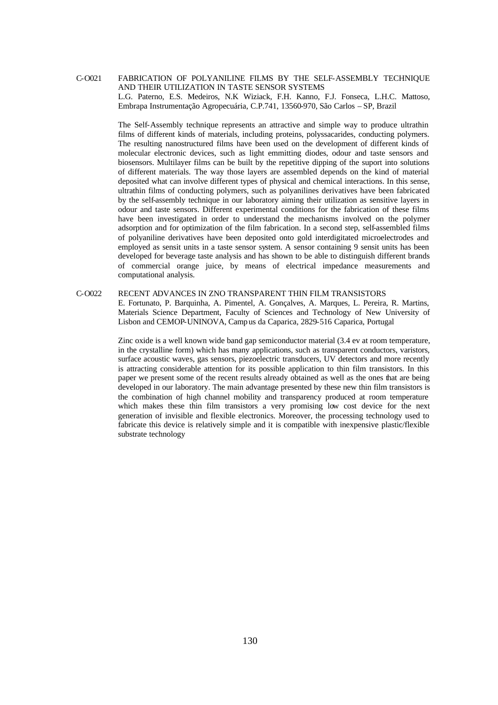### C-O021 FABRICATION OF POLYANILINE FILMS BY THE SELF-ASSEMBLY TECHNIQUE AND THEIR UTILIZATION IN TASTE SENSOR SYSTEMS L.G. Paterno, E.S. Medeiros, N.K Wiziack, F.H. Kanno, F.J. Fonseca, L.H.C. Mattoso, Embrapa Instrumentação Agropecuária, C.P.741, 13560-970, São Carlos – SP, Brazil

The Self-Assembly technique represents an attractive and simple way to produce ultrathin films of different kinds of materials, including proteins, polyssacarides, conducting polymers. The resulting nanostructured films have been used on the development of different kinds of molecular electronic devices, such as light emmitting diodes, odour and taste sensors and biosensors. Multilayer films can be built by the repetitive dipping of the suport into solutions of different materials. The way those layers are assembled depends on the kind of material deposited what can involve different types of physical and chemical interactions. In this sense, ultrathin films of conducting polymers, such as polyanilines derivatives have been fabricated by the self-assembly technique in our laboratory aiming their utilization as sensitive layers in odour and taste sensors. Different experimental conditions for the fabrication of these films have been investigated in order to understand the mechanisms involved on the polymer adsorption and for optimization of the film fabrication. In a second step, self-assembled films of polyaniline derivatives have been deposited onto gold interdigitated microelectrodes and employed as sensit units in a taste sensor system. A sensor containing 9 sensit units has been developed for beverage taste analysis and has shown to be able to distinguish different brands of commercial orange juice, by means of electrical impedance measurements and computational analysis.

#### C-O022 RECENT ADVANCES IN ZNO TRANSPARENT THIN FILM TRANSISTORS

E. Fortunato, P. Barquinha, A. Pimentel, A. Gonçalves, A. Marques, L. Pereira, R. Martins, Materials Science Department, Faculty of Sciences and Technology of New University of Lisbon and CEMOP-UNINOVA, Camp us da Caparica, 2829-516 Caparica, Portugal

Zinc oxide is a well known wide band gap semiconductor material (3.4 ev at room temperature, in the crystalline form) which has many applications, such as transparent conductors, varistors, surface acoustic waves, gas sensors, piezoelectric transducers, UV detectors and more recently is attracting considerable attention for its possible application to thin film transistors. In this paper we present some of the recent results already obtained as well as the ones that are being developed in our laboratory. The main advantage presented by these new thin film transistors is the combination of high channel mobility and transparency produced at room temperature which makes these thin film transistors a very promising low cost device for the next generation of invisible and flexible electronics. Moreover, the processing technology used to fabricate this device is relatively simple and it is compatible with inexpensive plastic/flexible substrate technology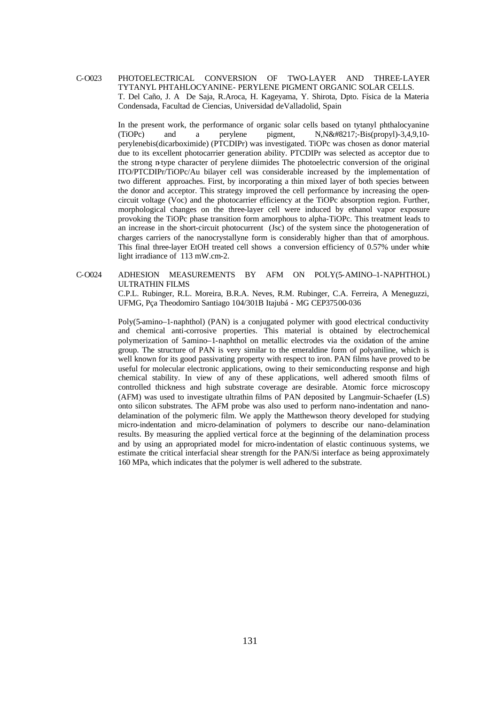### C-O023 PHOTOELECTRICAL CONVERSION OF TWO-LAYER AND THREE-LAYER TYTANYL PHTAHLOCYANINE- PERYLENE PIGMENT ORGANIC SOLAR CELLS. T. Del Caño, J. A De Saja, R.Aroca, H. Kageyama, Y. Shirota, Dpto. Física de la Materia Condensada, Facultad de Ciencias, Universidad deValladolid, Spain

In the present work, the performance of organic solar cells based on tytanyl phthalocyanine  $(TiOPc)$  and a perylene pigment,  $N.N&48217; -Bis(propvl)-3,4,9,10$ perylenebis(dicarboximide) (PTCDIPr) was investigated. TiOPc was chosen as donor material due to its excellent photocarrier generation ability. PTCDIPr was selected as acceptor due to the strong n-type character of perylene diimides The photoelectric conversion of the original ITO/PTCDIPr/TiOPc/Au bilayer cell was considerable increased by the implementation of two different approaches. First, by incorporating a thin mixed layer of both species between the donor and acceptor. This strategy improved the cell performance by increasing the opencircuit voltage (Voc) and the photocarrier efficiency at the TiOPc absorption region. Further, morphological changes on the three-layer cell were induced by ethanol vapor exposure provoking the TiOPc phase transition form amorphous to alpha-TiOPc. This treatment leads to an increase in the short-circuit photocurrent (Jsc) of the system since the photogeneration of charges carriers of the nanocrystallyne form is considerably higher than that of amorphous. This final three-layer EtOH treated cell shows a conversion efficiency of 0.57% under white light irradiance of 113 mW.cm-2.

#### C-O024 ADHESION MEASUREMENTS BY AFM ON POLY(5-AMINO–1-NAPHTHOL) ULTRATHIN FILMS

C.P.L. Rubinger, R.L. Moreira, B.R.A. Neves, R.M. Rubinger, C.A. Ferreira, A Meneguzzi, UFMG, Pça Theodomiro Santiago 104/301B Itajubá - MG CEP37500-036

Poly(5-amino–1-naphthol) (PAN) is a conjugated polymer with good electrical conductivity and chemical anti-corrosive properties. This material is obtained by electrochemical polymerization of 5-amino–1-naphthol on metallic electrodes via the oxidation of the amine group. The structure of PAN is very similar to the emeraldine form of polyaniline, which is well known for its good passivating property with respect to iron. PAN films have proved to be useful for molecular electronic applications, owing to their semiconducting response and high chemical stability. In view of any of these applications, well adhered smooth films of controlled thickness and high substrate coverage are desirable. Atomic force microscopy (AFM) was used to investigate ultrathin films of PAN deposited by Langmuir-Schaefer (LS) onto silicon substrates. The AFM probe was also used to perform nano-indentation and nanodelamination of the polymeric film. We apply the Matthewson theory developed for studying micro-indentation and micro-delamination of polymers to describe our nano-delamination results. By measuring the applied vertical force at the beginning of the delamination process and by using an appropriated model for micro-indentation of elastic continuous systems, we estimate the critical interfacial shear strength for the PAN/Si interface as being approximately 160 MPa, which indicates that the polymer is well adhered to the substrate.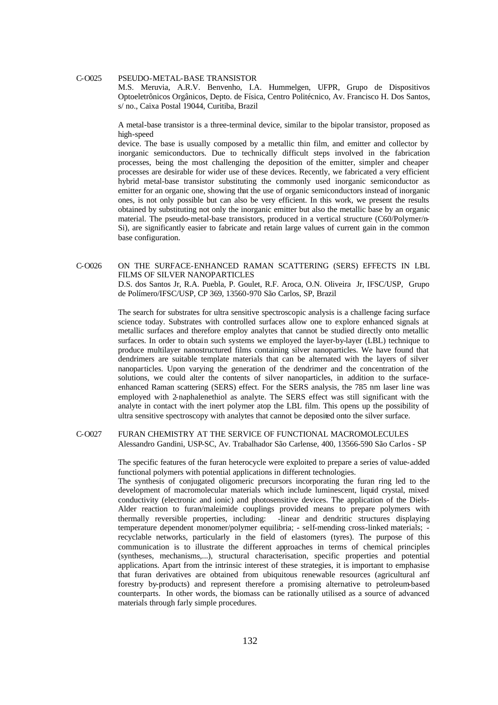#### C-O025 PSEUDO-METAL-BASE TRANSISTOR

M.S. Meruvia, A.R.V. Benvenho, I.A. Hummelgen, UFPR, Grupo de Dispositivos Optoeletrônicos Orgânicos, Depto. de Física, Centro Politécnico, Av. Francisco H. Dos Santos, s/ no., Caixa Postal 19044, Curitiba, Brazil

A metal-base transistor is a three-terminal device, similar to the bipolar transistor, proposed as high-speed

device. The base is usually composed by a metallic thin film, and emitter and collector by inorganic semiconductors. Due to technically difficult steps involved in the fabrication processes, being the most challenging the deposition of the emitter, simpler and cheaper processes are desirable for wider use of these devices. Recently, we fabricated a very efficient hybrid metal-base transistor substituting the commonly used inorganic semiconductor as emitter for an organic one, showing that the use of organic semiconductors instead of inorganic ones, is not only possible but can also be very efficient. In this work, we present the results obtained by substituting not only the inorganic emitter but also the metallic base by an organic material. The pseudo-metal-base transistors, produced in a vertical structure (C60/Polymer/n-Si), are significantly easier to fabricate and retain large values of current gain in the common base configuration.

#### C-O026 ON THE SURFACE-ENHANCED RAMAN SCATTERING (SERS) EFFECTS IN LBL FILMS OF SILVER NANOPARTICLES

D.S. dos Santos Jr, R.A. Puebla, P. Goulet, R.F. Aroca, O.N. Oliveira Jr, IFSC/USP, Grupo de Polímero/IFSC/USP, CP 369, 13560-970 São Carlos, SP, Brazil

The search for substrates for ultra sensitive spectroscopic analysis is a challenge facing surface science today. Substrates with controlled surfaces allow one to explore enhanced signals at metallic surfaces and therefore employ analytes that cannot be studied directly onto metallic surfaces. In order to obtain such systems we employed the layer-by-layer (LBL) technique to produce multilayer nanostructured films containing silver nanoparticles. We have found that dendrimers are suitable template materials that can be alternated with the layers of silver nanoparticles. Upon varying the generation of the dendrimer and the concentration of the solutions, we could alter the contents of silver nanoparticles, in addition to the surfaceenhanced Raman scattering (SERS) effect. For the SERS analysis, the 785 nm laser line was employed with 2-naphalenethiol as analyte. The SERS effect was still significant with the analyte in contact with the inert polymer atop the LBL film. This opens up the possibility of ultra sensitive spectroscopy with analytes that cannot be deposited onto the silver surface.

#### C-O027 FURAN CHEMISTRY AT THE SERVICE OF FUNCTIONAL MACROMOLECULES Alessandro Gandini, USP-SC, Av. Trabalhador São Carlense, 400, 13566-590 São Carlos - SP

The specific features of the furan heterocycle were exploited to prepare a series of value-added functional polymers with potential applications in different technologies.

The synthesis of conjugated oligomeric precursors incorporating the furan ring led to the development of macromolecular materials which include luminescent, liquid crystal, mixed conductivity (electronic and ionic) and photosensitive devices. The application of the Diels-Alder reaction to furan/maleimide couplings provided means to prepare polymers with thermally reversible properties, including: -linear and dendritic structures displaying temperature dependent monomer/polymer equilibria; - self-mending cross-linked materials; recyclable networks, particularly in the field of elastomers (tyres). The purpose of this communication is to illustrate the different approaches in terms of chemical principles (syntheses, mechanisms,...), structural characterisation, specific properties and potential applications. Apart from the intrinsic interest of these strategies, it is important to emphasise that furan derivatives are obtained from ubiquitous renewable resources (agricultural anf forestry by-products) and represent therefore a promising alternative to petroleum-based counterparts. In other words, the biomass can be rationally utilised as a source of advanced materials through farly simple procedures.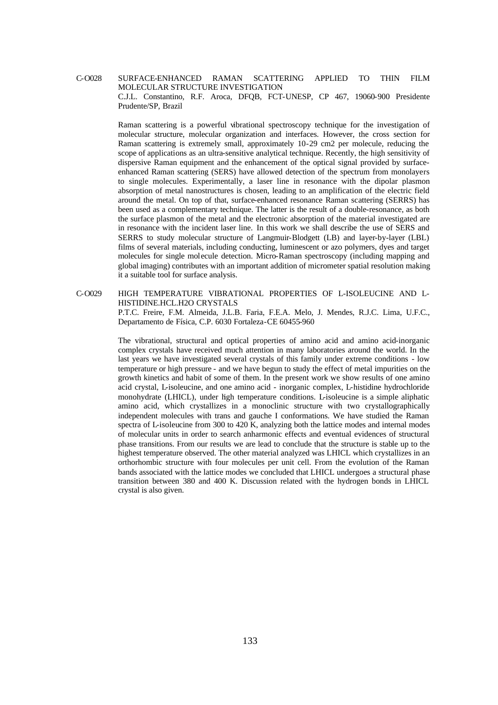### C-O028 SURFACE-ENHANCED RAMAN SCATTERING APPLIED TO THIN FILM MOLECULAR STRUCTURE INVESTIGATION C.J.L. Constantino, R.F. Aroca, DFQB, FCT-UNESP, CP 467, 19060-900 Presidente Prudente/SP, Brazil

Raman scattering is a powerful vibrational spectroscopy technique for the investigation of molecular structure, molecular organization and interfaces. However, the cross section for Raman scattering is extremely small, approximately 10-29 cm2 per molecule, reducing the scope of applications as an ultra-sensitive analytical technique. Recently, the high sensitivity of dispersive Raman equipment and the enhancement of the optical signal provided by surfaceenhanced Raman scattering (SERS) have allowed detection of the spectrum from monolayers to single molecules. Experimentally, a laser line in resonance with the dipolar plasmon absorption of metal nanostructures is chosen, leading to an amplification of the electric field around the metal. On top of that, surface-enhanced resonance Raman scattering (SERRS) has been used as a complementary technique. The latter is the result of a double-resonance, as both the surface plasmon of the metal and the electronic absorption of the material investigated are in resonance with the incident laser line. In this work we shall describe the use of SERS and SERRS to study molecular structure of Langmuir-Blodgett (LB) and layer-by-layer (LBL) films of several materials, including conducting, luminescent or azo polymers, dyes and target molecules for single molecule detection. Micro-Raman spectroscopy (including mapping and global imaging) contributes with an important addition of micrometer spatial resolution making it a suitable tool for surface analysis.

### C-O029 HIGH TEMPERATURE VIBRATIONAL PROPERTIES OF L-ISOLEUCINE AND L-HISTIDINE.HCL.H2O CRYSTALS

P.T.C. Freire, F.M. Almeida, J.L.B. Faria, F.E.A. Melo, J. Mendes, R.J.C. Lima, U.F.C., Departamento de Física, C.P. 6030 Fortaleza-CE 60455-960

The vibrational, structural and optical properties of amino acid and amino acid-inorganic complex crystals have received much attention in many laboratories around the world. In the last years we have investigated several crystals of this family under extreme conditions - low temperature or high pressure - and we have begun to study the effect of metal impurities on the growth kinetics and habit of some of them. In the present work we show results of one amino acid crystal, L-isoleucine, and one amino acid - inorganic complex, L-histidine hydrochloride monohydrate (LHICL), under high temperature conditions. L-isoleucine is a simple aliphatic amino acid, which crystallizes in a monoclinic structure with two crystallographically independent molecules with trans and gauche I conformations. We have studied the Raman spectra of L-isoleucine from 300 to 420 K, analyzing both the lattice modes and internal modes of molecular units in order to search anharmonic effects and eventual evidences of structural phase transitions. From our results we are lead to conclude that the structure is stable up to the highest temperature observed. The other material analyzed was LHICL which crystallizes in an orthorhombic structure with four molecules per unit cell. From the evolution of the Raman bands associated with the lattice modes we concluded that LHICL undergoes a structural phase transition between 380 and 400 K. Discussion related with the hydrogen bonds in LHICL crystal is also given.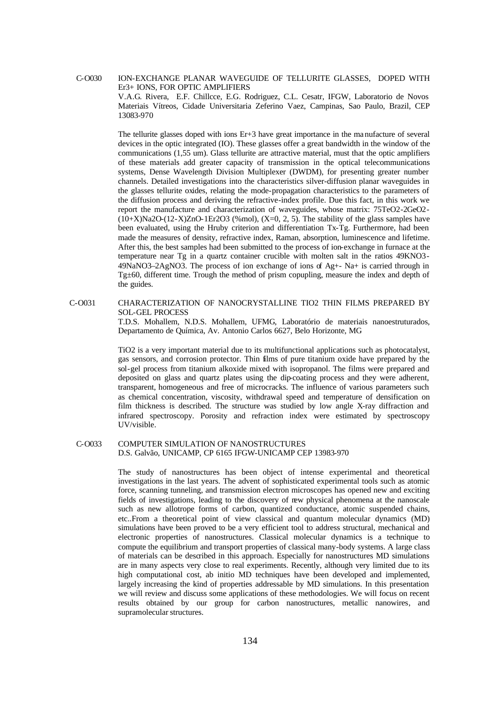C-O030 ION-EXCHANGE PLANAR WAVEGUIDE OF TELLURITE GLASSES, DOPED WITH Er3+ IONS, FOR OPTIC AMPLIFIERS V.A.G. Rivera, E.F. Chillcce, E.G. Rodriguez, C.L. Cesatr, IFGW, Laboratorio de Novos

Materiais Vítreos, Cidade Universitaria Zeferino Vaez, Campinas, Sao Paulo, Brazil, CEP 13083-970

The tellurite glasses doped with ions Er+3 have great importance in the ma nufacture of several devices in the optic integrated (IO). These glasses offer a great bandwidth in the window of the communications (1,55 um). Glass tellurite are attractive material, must that the optic amplifiers of these materials add greater capacity of transmission in the optical telecommunications systems, Dense Wavelength Division Multiplexer (DWDM), for presenting greater number channels. Detailed investigations into the characteristics silver-diffusion planar waveguides in the glasses tellurite oxides, relating the mode-propagation characteristics to the parameters of the diffusion process and deriving the refractive-index profile. Due this fact, in this work we report the manufacture and characterization of waveguides, whose matrix: 75TeO2-2GeO2-  $(10+X)Na2O-(12-X)ZnO-1Er2O3$  (%mol),  $(X=0, 2, 5)$ . The stability of the glass samples have been evaluated, using the Hruby criterion and differentiation Tx-Tg. Furthermore, had been made the measures of density, refractive index, Raman, absorption, luminescence and lifetime. After this, the best samples had been submitted to the process of ion-exchange in furnace at the temperature near Tg in a quartz container crucible with molten salt in the ratios 49KNO3- 49NaNO3–2AgNO3. The process of ion exchange of ions of  $Ag_{+}$ - Na+ is carried through in Tg±60, different time. Trough the method of prism copupling, measure the index and depth of the guides.

C-O031 CHARACTERIZATION OF NANOCRYSTALLINE TIO2 THIN FILMS PREPARED BY SOL-GEL PROCESS

> T.D.S. Mohallem, N.D.S. Mohallem, UFMG, Laboratório de materiais nanoestruturados, Departamento de Química, Av. Antonio Carlos 6627, Belo Horizonte, MG

> TiO2 is a very important material due to its multifunctional applications such as photocatalyst, gas sensors, and corrosion protector. Thin films of pure titanium oxide have prepared by the sol-gel process from titanium alkoxide mixed with isopropanol. The films were prepared and deposited on glass and quartz plates using the dip-coating process and they were adherent, transparent, homogeneous and free of microcracks. The influence of various parameters such as chemical concentration, viscosity, withdrawal speed and temperature of densification on film thickness is described. The structure was studied by low angle X-ray diffraction and infrared spectroscopy. Porosity and refraction index were estimated by spectroscopy UV/visible.

#### C-O033 COMPUTER SIMULATION OF NANOSTRUCTURES D.S. Galvão, UNICAMP, CP 6165 IFGW-UNICAMP CEP 13983-970

The study of nanostructures has been object of intense experimental and theoretical investigations in the last years. The advent of sophisticated experimental tools such as atomic force, scanning tunneling, and transmission electron microscopes has opened new and exciting fields of investigations, leading to the discovery of new physical phenomena at the nanoscale such as new allotrope forms of carbon, quantized conductance, atomic suspended chains, etc..From a theoretical point of view classical and quantum molecular dynamics (MD) simulations have been proved to be a very efficient tool to address structural, mechanical and electronic properties of nanostructures. Classical molecular dynamics is a technique to compute the equilibrium and transport properties of classical many-body systems. A large class of materials can be described in this approach. Especially for nanostructures MD simulations are in many aspects very close to real experiments. Recently, although very limited due to its high computational cost, ab initio MD techniques have been developed and implemented, largely increasing the kind of properties addressable by MD simulations. In this presentation we will review and discuss some applications of these methodologies. We will focus on recent results obtained by our group for carbon nanostructures, metallic nanowires, and supramolecular structures.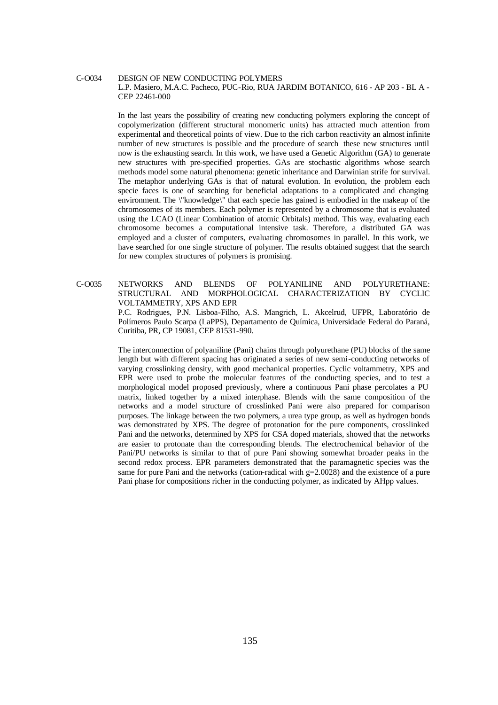#### C-O034 DESIGN OF NEW CONDUCTING POLYMERS L.P. Masiero, M.A.C. Pacheco, PUC-Rio, RUA JARDIM BOTANICO, 616 - AP 203 - BL A - CEP 22461-000

In the last years the possibility of creating new conducting polymers exploring the concept of copolymerization (different structural monomeric units) has attracted much attention from experimental and theoretical points of view. Due to the rich carbon reactivity an almost infinite number of new structures is possible and the procedure of search these new structures until now is the exhausting search. In this work, we have used a Genetic Algorithm (GA) to generate new structures with pre-specified properties. GAs are stochastic algorithms whose search methods model some natural phenomena: genetic inheritance and Darwinian strife for survival. The metaphor underlying GAs is that of natural evolution. In evolution, the problem each specie faces is one of searching for beneficial adaptations to a complicated and changing environment. The \"knowledge\" that each specie has gained is embodied in the makeup of the chromosomes of its members. Each polymer is represented by a chromosome that is evaluated using the LCAO (Linear Combination of atomic Orbitals) method. This way, evaluating each chromosome becomes a computational intensive task. Therefore, a distributed GA was employed and a cluster of computers, evaluating chromosomes in parallel. In this work, we have searched for one single structure of polymer. The results obtained suggest that the search for new complex structures of polymers is promising.

C-O035 NETWORKS AND BLENDS OF POLYANILINE AND POLYURETHANE: STRUCTURAL AND MORPHOLOGICAL CHARACTERIZATION BY CYCLIC VOLTAMMETRY, XPS AND EPR

P.C. Rodrigues, P.N. Lisboa-Filho, A.S. Mangrich, L. Akcelrud, UFPR, Laboratório de Polímeros Paulo Scarpa (LaPPS), Departamento de Química, Universidade Federal do Paraná, Curitiba, PR, CP 19081, CEP 81531-990.

The interconnection of polyaniline (Pani) chains through polyurethane (PU) blocks of the same length but with different spacing has originated a series of new semi-conducting networks of varying crosslinking density, with good mechanical properties. Cyclic voltammetry, XPS and EPR were used to probe the molecular features of the conducting species, and to test a morphological model proposed previously, where a continuous Pani phase percolates a PU matrix, linked together by a mixed interphase. Blends with the same composition of the networks and a model structure of crosslinked Pani were also prepared for comparison purposes. The linkage between the two polymers, a urea type group, as well as hydrogen bonds was demonstrated by XPS. The degree of protonation for the pure components, crosslinked Pani and the networks, determined by XPS for CSA doped materials, showed that the networks are easier to protonate than the corresponding blends. The electrochemical behavior of the Pani/PU networks is similar to that of pure Pani showing somewhat broader peaks in the second redox process. EPR parameters demonstrated that the paramagnetic species was the same for pure Pani and the networks (cation-radical with  $g=2.0028$ ) and the existence of a pure Pani phase for compositions richer in the conducting polymer, as indicated by AHpp values.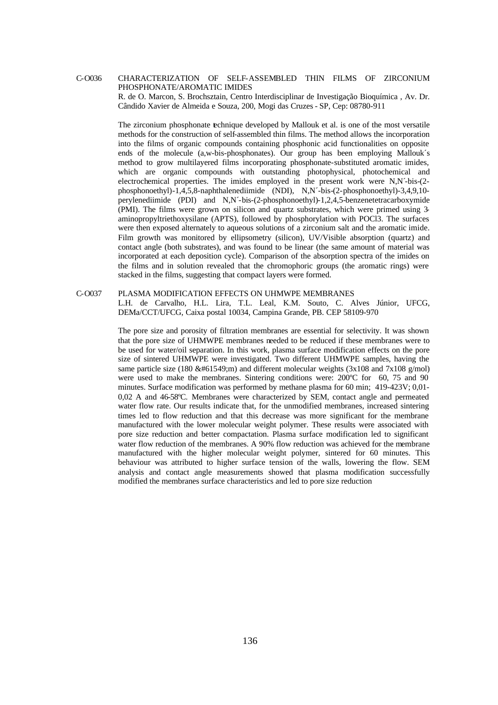### C-O036 CHARACTERIZATION OF SELF-ASSEMBLED THIN FILMS OF ZIRCONIUM PHOSPHONATE/AROMATIC IMIDES

R. de O. Marcon, S. Brochsztain, Centro Interdisciplinar de Investigação Bioquímica , Av. Dr. Cândido Xavier de Almeida e Souza, 200, Mogi das Cruzes - SP, Cep: 08780-911

The zirconium phosphonate technique developed by Mallouk et al. is one of the most versatile methods for the construction of self-assembled thin films. The method allows the incorporation into the films of organic compounds containing phosphonic acid functionalities on opposite ends of the molecule (a,w-bis-phosphonates). Our group has been employing Mallouk´s method to grow multilayered films incorporating phosphonate-substituted aromatic imides, which are organic compounds with outstanding photophysical, photochemical and electrochemical properties. The imides employed in the present work were N,N´-bis-(2 phosphonoethyl)-1,4,5,8-naphthalenediimide (NDI), N,N´-bis-(2-phosphonoethyl)-3,4,9,10 perylenediimide (PDI) and N,N´-bis-(2-phosphonoethyl)-1,2,4,5-benzenetetracarboxymide (PMI). The films were grown on silicon and quartz substrates, which were primed using 3 aminopropyltriethoxysilane (APTS), followed by phosphorylation with POCl3. The surfaces were then exposed alternately to aqueous solutions of a zirconium salt and the aromatic imide. Film growth was monitored by ellipsometry (silicon), UV/Visible absorption (quartz) and contact angle (both substrates), and was found to be linear (the same amount of material was incorporated at each deposition cycle). Comparison of the absorption spectra of the imides on the films and in solution revealed that the chromophoric groups (the aromatic rings) were stacked in the films, suggesting that compact layers were formed.

#### C-O037 PLASMA MODIFICATION EFFECTS ON UHMWPE MEMBRANES L.H. de Carvalho, H.L. Lira, T.L. Leal, K.M. Souto, C. Alves Júnior, UFCG, DEMa/CCT/UFCG, Caixa postal 10034, Campina Grande, PB. CEP 58109-970

The pore size and porosity of filtration membranes are essential for selectivity. It was shown that the pore size of UHMWPE membranes needed to be reduced if these membranes were to be used for water/oil separation. In this work, plasma surface modification effects on the pore size of sintered UHMWPE were investigated. Two different UHMWPE samples, having the same particle size (180  $\&\#61549$ ;m) and different molecular weights (3x108 and 7x108 g/mol) were used to make the membranes. Sintering conditions were: 200ºC for 60, 75 and 90 minutes. Surface modification was performed by methane plasma for 60 min; 419-423V; 0,01- 0,02 A and 46-58ºC. Membranes were characterized by SEM, contact angle and permeated water flow rate. Our results indicate that, for the unmodified membranes, increased sintering times led to flow reduction and that this decrease was more significant for the membrane manufactured with the lower molecular weight polymer. These results were associated with pore size reduction and better compactation. Plasma surface modification led to significant water flow reduction of the membranes. A 90% flow reduction was achieved for the membrane manufactured with the higher molecular weight polymer, sintered for 60 minutes. This behaviour was attributed to higher surface tension of the walls, lowering the flow. SEM analysis and contact angle measurements showed that plasma modification successfully modified the membranes surface characteristics and led to pore size reduction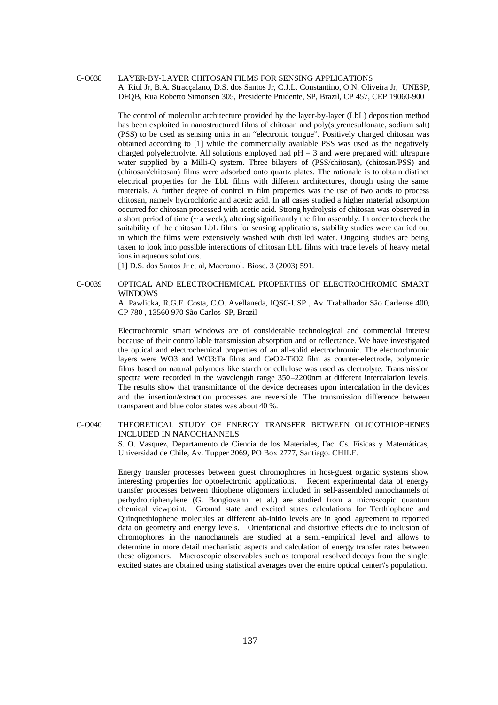#### C-O038 LAYER-BY-LAYER CHITOSAN FILMS FOR SENSING APPLICATIONS A. Riul Jr, B.A. Stracçalano, D.S. dos Santos Jr, C.J.L. Constantino, O.N. Oliveira Jr, UNESP, DFQB, Rua Roberto Simonsen 305, Presidente Prudente, SP, Brazil, CP 457, CEP 19060-900

The control of molecular architecture provided by the layer-by-layer (LbL) deposition method has been exploited in nanostructured films of chitosan and poly(styrenesulfonate, sodium salt) (PSS) to be used as sensing units in an "electronic tongue". Positively charged chitosan was obtained according to [1] while the commercially available PSS was used as the negatively charged polyelectrolyte. All solutions employed had  $pH = 3$  and were prepared with ultrapure water supplied by a Milli-Q system. Three bilayers of (PSS/chitosan), (chitosan/PSS) and (chitosan/chitosan) films were adsorbed onto quartz plates. The rationale is to obtain distinct electrical properties for the LbL films with different architectures, though using the same materials. A further degree of control in film properties was the use of two acids to process chitosan, namely hydrochloric and acetic acid. In all cases studied a higher material adsorption occurred for chitosan processed with acetic acid. Strong hydrolysis of chitosan was observed in a short period of time (~ a week), altering significantly the film assembly. In order to check the suitability of the chitosan LbL films for sensing applications, stability studies were carried out in which the films were extensively washed with distilled water. Ongoing studies are being taken to look into possible interactions of chitosan LbL films with trace levels of heavy metal ions in aqueous solutions.

[1] D.S. dos Santos Jr et al, Macromol. Biosc. 3 (2003) 591.

#### C-O039 OPTICAL AND ELECTROCHEMICAL PROPERTIES OF ELECTROCHROMIC SMART **WINDOWS**

A. Pawlicka, R.G.F. Costa, C.O. Avellaneda, IQSC-USP , Av. Trabalhador São Carlense 400, CP 780 , 13560-970 São Carlos-SP, Brazil

Electrochromic smart windows are of considerable technological and commercial interest because of their controllable transmission absorption and or reflectance. We have investigated the optical and electrochemical properties of an all-solid electrochromic. The electrochromic layers were WO3 and WO3:Ta films and CeO2-TiO2 film as counter-electrode, polymeric films based on natural polymers like starch or cellulose was used as electrolyte. Transmission spectra were recorded in the wavelength range 350–2200nm at different intercalation levels. The results show that transmittance of the device decreases upon intercalation in the devices and the insertion/extraction processes are reversible. The transmission difference between transparent and blue color states was about 40 %.

#### C-O040 THEORETICAL STUDY OF ENERGY TRANSFER BETWEEN OLIGOTHIOPHENES INCLUDED IN NANOCHANNELS

S. O. Vasquez, Departamento de Ciencia de los Materiales, Fac. Cs. Físicas y Matemáticas, Universidad de Chile, Av. Tupper 2069, PO Box 2777, Santiago. CHILE.

Energy transfer processes between guest chromophores in host-guest organic systems show interesting properties for optoelectronic applications. Recent experimental data of energy transfer processes between thiophene oligomers included in self-assembled nanochannels of perhydrotriphenylene (G. Bongiovanni et al.) are studied from a microscopic quantum chemical viewpoint. Ground state and excited states calculations for Terthiophene and Quinquethiophene molecules at different ab-initio levels are in good agreement to reported data on geometry and energy levels. Orientational and distortive effects due to inclusion of chromophores in the nanochannels are studied at a semi-empirical level and allows to determine in more detail mechanistic aspects and calculation of energy transfer rates between these oligomers. Macroscopic observables such as temporal resolved decays from the singlet excited states are obtained using statistical averages over the entire optical center\'s population.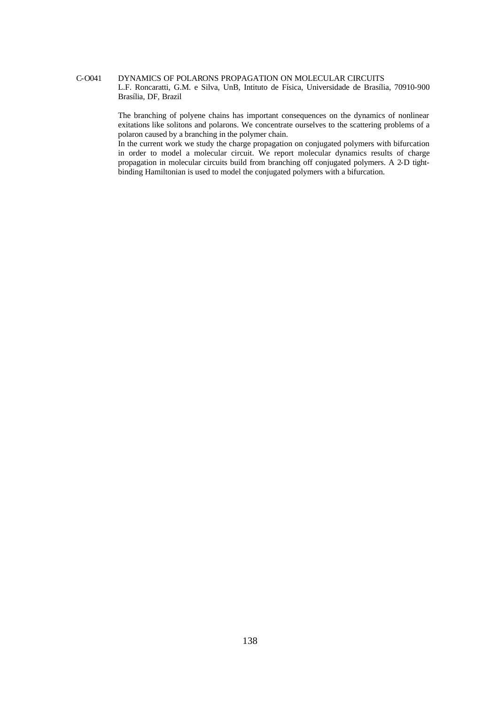### C-O041 DYNAMICS OF POLARONS PROPAGATION ON MOLECULAR CIRCUITS L.F. Roncaratti, G.M. e Silva, UnB, Intituto de Física, Universidade de Brasília, 70910-900 Brasília, DF, Brazil

The branching of polyene chains has important consequences on the dynamics of nonlinear exitations like solitons and polarons. We concentrate ourselves to the scattering problems of a polaron caused by a branching in the polymer chain.

In the current work we study the charge propagation on conjugated polymers with bifurcation in order to model a molecular circuit. We report molecular dynamics results of charge propagation in molecular circuits build from branching off conjugated polymers. A 2-D tightbinding Hamiltonian is used to model the conjugated polymers with a bifurcation.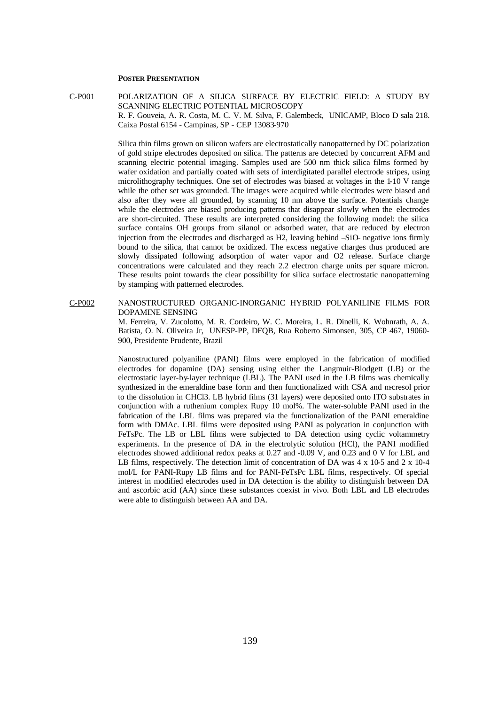### **POSTER PRESENTATION**

C-P001 POLARIZATION OF A SILICA SURFACE BY ELECTRIC FIELD: A STUDY BY SCANNING ELECTRIC POTENTIAL MICROSCOPY R. F. Gouveia, A. R. Costa, M. C. V. M. Silva, F. Galembeck, UNICAMP, Bloco D sala 218. Caixa Postal 6154 - Campinas, SP - CEP 13083-970

> Silica thin films grown on silicon wafers are electrostatically nanopatterned by DC polarization of gold stripe electrodes deposited on silica. The patterns are detected by concurrent AFM and scanning electric potential imaging. Samples used are 500 nm thick silica films formed by wafer oxidation and partially coated with sets of interdigitated parallel electrode stripes, using microlithography techniques. One set of electrodes was biased at voltages in the 1-10 V range while the other set was grounded. The images were acquired while electrodes were biased and also after they were all grounded, by scanning 10 nm above the surface. Potentials change while the electrodes are biased producing patterns that disappear slowly when the electrodes are short-circuited. These results are interpreted considering the following model: the silica surface contains OH groups from silanol or adsorbed water, that are reduced by electron injection from the electrodes and discharged as H2, leaving behind –SiO- negative ions firmly bound to the silica, that cannot be oxidized. The excess negative charges thus produced are slowly dissipated following adsorption of water vapor and O2 release. Surface charge concentrations were calculated and they reach 2.2 electron charge units per square micron. These results point towards the clear possibility for silica surface electrostatic nanopatterning by stamping with patterned electrodes.

#### C-P002 NANOSTRUCTURED ORGANIC-INORGANIC HYBRID POLYANILINE FILMS FOR DOPAMINE SENSING

M. Ferreira, V. Zucolotto, M. R. Cordeiro, W. C. Moreira, L. R. Dinelli, K. Wohnrath, A. A. Batista, O. N. Oliveira Jr, UNESP-PP, DFQB, Rua Roberto Simonsen, 305, CP 467, 19060- 900, Presidente Prudente, Brazil

Nanostructured polyaniline (PANI) films were employed in the fabrication of modified electrodes for dopamine (DA) sensing using either the Langmuir-Blodgett (LB) or the electrostatic layer-by-layer technique (LBL). The PANI used in the LB films was chemically synthesized in the emeraldine base form and then functionalized with CSA and m-cresol prior to the dissolution in CHCl3. LB hybrid films (31 layers) were deposited onto ITO substrates in conjunction with a ruthenium complex Rupy 10 mol%. The water-soluble PANI used in the fabrication of the LBL films was prepared via the functionalization of the PANI emeraldine form with DMAc. LBL films were deposited using PANI as polycation in conjunction with FeTsPc. The LB or LBL films were subjected to DA detection using cyclic voltammetry experiments. In the presence of DA in the electrolytic solution (HCl), the PANI modified electrodes showed additional redox peaks at 0.27 and -0.09 V, and 0.23 and 0 V for LBL and LB films, respectively. The detection limit of concentration of DA was  $4 \times 10^{-5}$  and  $2 \times 10^{-4}$ mol/L for PANI-Rupy LB films and for PANI-FeTsPc LBL films, respectively. Of special interest in modified electrodes used in DA detection is the ability to distinguish between DA and ascorbic acid (AA) since these substances coexist in vivo. Both LBL and LB electrodes were able to distinguish between AA and DA.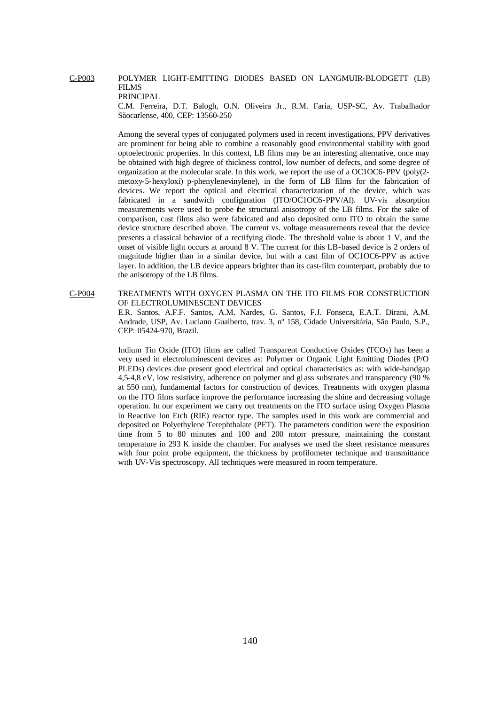#### C-P003 POLYMER LIGHT-EMITTING DIODES BASED ON LANGMUIR-BLODGETT (LB) FILMS PRINCIPAL

C.M. Ferreira, D.T. Balogh, O.N. Oliveira Jr., R.M. Faria, USP-SC, Av. Trabalhador Sãocarlense, 400, CEP: 13560-250

Among the several types of conjugated polymers used in recent investigations, PPV derivatives are prominent for being able to combine a reasonably good environmental stability with good optoelectronic properties. In this context, LB films may be an interesting alternative, once may be obtained with high degree of thickness control, low number of defects, and some degree of organization at the molecular scale. In this work, we report the use of a OC1OC6-PPV (poly(2 metoxy-5-hexyloxi) p-phenylenevinylene), in the form of LB films for the fabrication of devices. We report the optical and electrical characterization of the device, which was fabricated in a sandwich configuration (ITO/OC1OC6-PPV/Al). UV-vis absorption measurements were used to probe the structural anisotropy of the LB films. For the sake of comparison, cast films also were fabricated and also deposited onto ITO to obtain the same device structure described above. The current vs. voltage measurements reveal that the device presents a classical behavior of a rectifying diode. The threshold value is about 1 V, and the onset of visible light occurs at around 8 V. The current for this LB-based device is 2 orders of magnitude higher than in a similar device, but with a cast film of OC1OC6-PPV as active layer. In addition, the LB device appears brighter than its cast-film counterpart, probably due to the anisotropy of the LB films.

#### C-P004 TREATMENTS WITH OXYGEN PLASMA ON THE ITO FILMS FOR CONSTRUCTION OF ELECTROLUMINESCENT DEVICES

E.R. Santos, A.F.F. Santos, A.M. Nardes, G. Santos, F.J. Fonseca, E.A.T. Dirani, A.M. Andrade, USP, Av. Luciano Gualberto, trav. 3, nº 158, Cidade Universitária, São Paulo, S.P., CEP: 05424-970, Brazil.

Indium Tin Oxide (ITO) films are called Transparent Conductive Oxides (TCOs) has been a very used in electroluminescent devices as: Polymer or Organic Light Emitting Diodes (P/O PLEDs) devices due present good electrical and optical characteristics as: with wide-bandgap 4,5-4,8 eV, low resistivity, adherence on polymer and gl ass substrates and transparency (90 % at 550 nm), fundamental factors for construction of devices. Treatments with oxygen plasma on the ITO films surface improve the performance increasing the shine and decreasing voltage operation. In our experiment we carry out treatments on the ITO surface using Oxygen Plasma in Reactive Ion Etch (RIE) reactor type. The samples used in this work are commercial and deposited on Polyethylene Terephthalate (PET). The parameters condition were the exposition time from 5 to 80 minutes and 100 and 200 mtorr pressure, maintaining the constant temperature in 293 K inside the chamber. For analyses we used the sheet resistance measures with four point probe equipment, the thickness by profilometer technique and transmittance with UV-Vis spectroscopy. All techniques were measured in room temperature.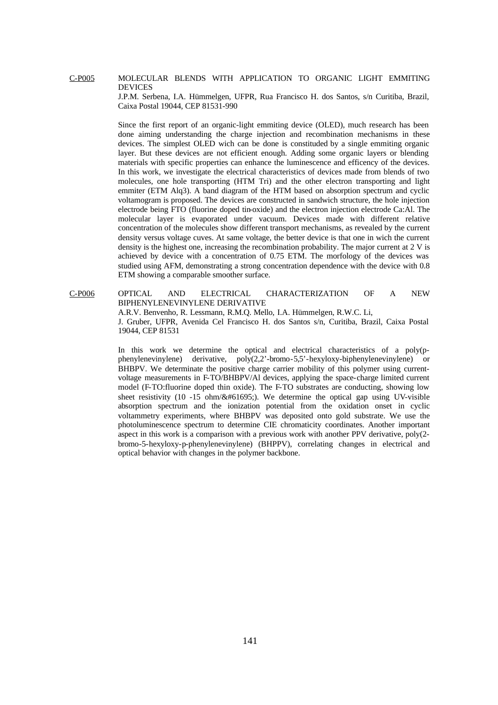#### C-P005 MOLECULAR BLENDS WITH APPLICATION TO ORGANIC LIGHT EMMITING DEVICES

J.P.M. Serbena, I.A. Hümmelgen, UFPR, Rua Francisco H. dos Santos, s/n Curitiba, Brazil, Caixa Postal 19044, CEP 81531-990

Since the first report of an organic-light emmiting device (OLED), much research has been done aiming understanding the charge injection and recombination mechanisms in these devices. The simplest OLED wich can be done is constituded by a single emmiting organic layer. But these devices are not efficient enough. Adding some organic layers or blending materials with specific properties can enhance the luminescence and efficency of the devices. In this work, we investigate the electrical characteristics of devices made from blends of two molecules, one hole transporting (HTM Tri) and the other electron transporting and light emmiter (ETM Alq3). A band diagram of the HTM based on absorption spectrum and cyclic voltamogram is proposed. The devices are constructed in sandwich structure, the hole injection electrode being FTO (fluorine doped tin-oxide) and the electron injection electrode Ca:Al. The molecular layer is evaporated under vacuum. Devices made with different relative concentration of the molecules show different transport mechanisms, as revealed by the current density versus voltage cuves. At same voltage, the better device is that one in wich the current density is the highest one, increasing the recombination probability. The major current at 2 V is achieved by device with a concentration of 0.75 ETM. The morfology of the devices was studied using AFM, demonstrating a strong concentration dependence with the device with 0.8 ETM showing a comparable smoother surface.

C-P006 OPTICAL AND ELECTRICAL CHARACTERIZATION OF A NEW BIPHENYLENEVINYLENE DERIVATIVE

A.R.V. Benvenho, R. Lessmann, R.M.Q. Mello, I.A. Hümmelgen, R.W.C. Li,

J. Gruber, UFPR, Avenida Cel Francisco H. dos Santos s/n, Curitiba, Brazil, Caixa Postal 19044, CEP 81531

In this work we determine the optical and electrical characteristics of a poly(pphenylenevinylene) derivative, poly(2,2'-bromo-5,5'-hexyloxy-biphenylenevinylene) or BHBPV. We determinate the positive charge carrier mobility of this polymer using currentvoltage measurements in F-TO/BHBPV/Al devices, applying the space-charge limited current model (F-TO:fluorine doped thin oxide). The F-TO substrates are conducting, showing low sheet resistivity (10 -15 ohm/ $&\#61695$ .). We determine the optical gap using UV-visible absorption spectrum and the ionization potential from the oxidation onset in cyclic voltammetry experiments, where BHBPV was deposited onto gold substrate. We use the photoluminescence spectrum to determine CIE chromaticity coordinates. Another important aspect in this work is a comparison with a previous work with another PPV derivative, poly(2 bromo-5-hexyloxy-p-phenylenevinylene) (BHPPV), correlating changes in electrical and optical behavior with changes in the polymer backbone.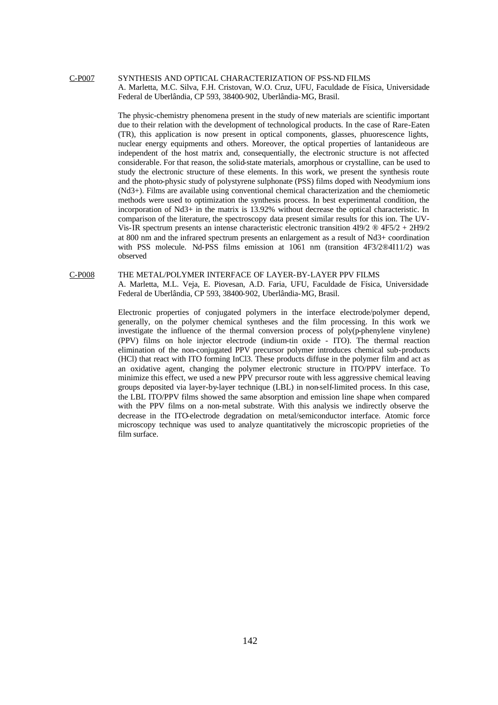#### C-P007 SYNTHESIS AND OPTICAL CHARACTERIZATION OF PSS-ND FILMS A. Marletta, M.C. Silva, F.H. Cristovan, W.O. Cruz, UFU, Faculdade de Física, Universidade Federal de Uberlândia, CP 593, 38400-902, Uberlândia-MG, Brasil.

The physic-chemistry phenomena present in the study of new materials are scientific important due to their relation with the development of technological products. In the case of Rare-Eaten (TR), this application is now present in optical components, glasses, phuorescence lights, nuclear energy equipments and others. Moreover, the optical properties of lantanideous are independent of the host matrix and, consequentially, the electronic structure is not affected considerable. For that reason, the solid-state materials, amorphous or crystalline, can be used to study the electronic structure of these elements. In this work, we present the synthesis route and the photo-physic study of polystyrene sulphonate (PSS) films doped with Neodymium ions (Nd3+). Films are available using conventional chemical characterization and the chemiometic methods were used to optimization the synthesis process. In best experimental condition, the incorporation of Nd3+ in the matrix is 13.92% without decrease the optical characteristic. In comparison of the literature, the spectroscopy data present similar results for this ion. The UV-Vis-IR spectrum presents an intense characteristic electronic transition 4I9/2 ® 4F5/2 + 2H9/2 at 800 nm and the infrared spectrum presents an enlargement as a result of Nd3+ coordination with PSS molecule. Nd-PSS films emission at 1061 nm (transition 4F3/2®4I11/2) was observed

#### C-P008 THE METAL/POLYMER INTERFACE OF LAYER-BY-LAYER PPV FILMS

A. Marletta, M.L. Veja, E. Piovesan, A.D. Faria, UFU, Faculdade de Física, Universidade Federal de Uberlândia, CP 593, 38400-902, Uberlândia-MG, Brasil.

Electronic properties of conjugated polymers in the interface electrode/polymer depend, generally, on the polymer chemical syntheses and the film processing. In this work we investigate the influence of the thermal conversion process of  $poly(p$ -phenylene vinylene) (PPV) films on hole injector electrode (indium-tin oxide - ITO). The thermal reaction elimination of the non-conjugated PPV precursor polymer introduces chemical sub-products (HCl) that react with ITO forming InCl3. These products diffuse in the polymer film and act as an oxidative agent, changing the polymer electronic structure in ITO/PPV interface. To minimize this effect, we used a new PPV precursor route with less aggressive chemical leaving groups deposited via layer-by-layer technique (LBL) in non-self-limited process. In this case, the LBL ITO/PPV films showed the same absorption and emission line shape when compared with the PPV films on a non-metal substrate. With this analysis we indirectly observe the decrease in the ITO-electrode degradation on metal/semiconductor interface. Atomic force microscopy technique was used to analyze quantitatively the microscopic proprieties of the film surface.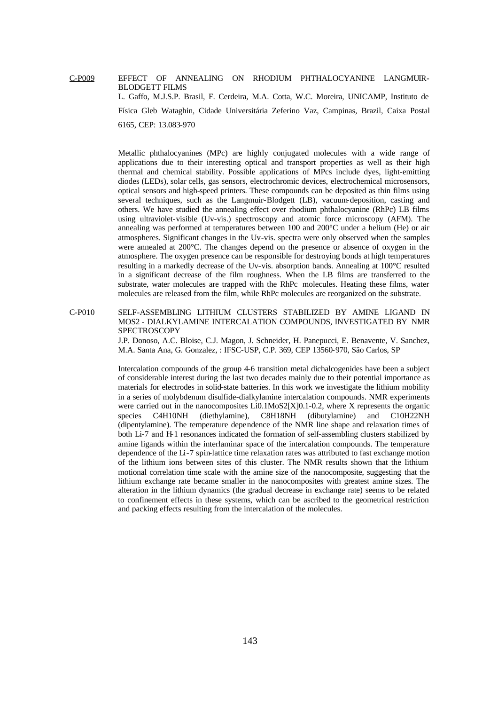#### C-P009 EFFECT OF ANNEALING ON RHODIUM PHTHALOCYANINE LANGMUIR-BLODGETT FILMS L. Gaffo, M.J.S.P. Brasil, F. Cerdeira, M.A. Cotta, W.C. Moreira, UNICAMP, Instituto de

Física Gleb Wataghin, Cidade Universitária Zeferino Vaz, Campinas, Brazil, Caixa Postal 6165, CEP: 13.083-970

Metallic phthalocyanines (MPc) are highly conjugated molecules with a wide range of applications due to their interesting optical and transport properties as well as their high thermal and chemical stability. Possible applications of MPcs include dyes, light-emitting diodes (LEDs), solar cells, gas sensors, electrochromic devices, electrochemical microsensors, optical sensors and high-speed printers. These compounds can be deposited as thin films using several techniques, such as the Langmuir-Blodgett (LB), vacuum-deposition, casting and others. We have studied the annealing effect over rhodium phthalocyanine (RhPc) LB films using ultraviolet-visible (Uv-vis.) spectroscopy and atomic force microscopy (AFM). The annealing was performed at temperatures between 100 and 200°C under a helium (He) or air atmospheres. Significant changes in the Uv-vis. spectra were only observed when the samples were annealed at 200°C. The changes depend on the presence or absence of oxygen in the atmosphere. The oxygen presence can be responsible for destroying bonds at high temperatures resulting in a markedly decrease of the Uv-vis. absorption bands. Annealing at 100°C resulted in a significant decrease of the film roughness. When the LB films are transferred to the substrate, water molecules are trapped with the RhPc molecules. Heating these films, water molecules are released from the film, while RhPc molecules are reorganized on the substrate.

C-P010 SELF-ASSEMBLING LITHIUM CLUSTERS STABILIZED BY AMINE LIGAND IN MOS2 - DIALKYLAMINE INTERCALATION COMPOUNDS, INVESTIGATED BY NMR SPECTROSCOPY

> J.P. Donoso, A.C. Bloise, C.J. Magon, J. Schneider, H. Panepucci, E. Benavente, V. Sanchez, M.A. Santa Ana, G. Gonzalez, : IFSC-USP, C.P. 369, CEP 13560-970, São Carlos, SP

> Intercalation compounds of the group 4-6 transition metal dichalcogenides have been a subject of considerable interest during the last two decades mainly due to their potential importance as materials for electrodes in solid-state batteries. In this work we investigate the lithium mobility in a series of molybdenum disulfide-dialkylamine intercalation compounds. NMR experiments were carried out in the nanocomposites Li0.1MoS2[X]0.1-0.2, where X represents the organic species C4H10NH (diethylamine), C8H18NH (dibutylamine) and C10H22NH (dipentylamine). The temperature dependence of the NMR line shape and relaxation times of both Li-7 and H-1 resonances indicated the formation of self-assembling clusters stabilized by amine ligands within the interlaminar space of the intercalation compounds. The temperature dependence of the Li-7 spin-lattice time relaxation rates was attributed to fast exchange motion of the lithium ions between sites of this cluster. The NMR results shown that the lithium motional correlation time scale with the amine size of the nanocomposite, suggesting that the lithium exchange rate became smaller in the nanocomposites with greatest amine sizes. The alteration in the lithium dynamics (the gradual decrease in exchange rate) seems to be related to confinement effects in these systems, which can be ascribed to the geometrical restriction and packing effects resulting from the intercalation of the molecules.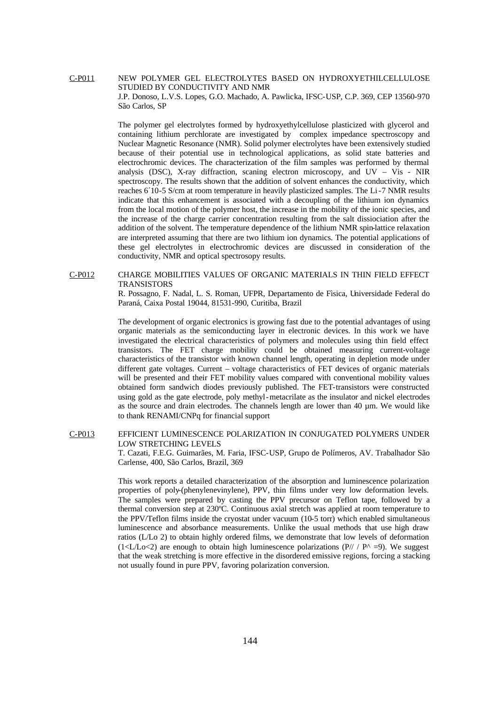C-P011 NEW POLYMER GEL ELECTROLYTES BASED ON HYDROXYETHILCELLULOSE STUDIED BY CONDUCTIVITY AND NMR J.P. Donoso, L.V.S. Lopes, G.O. Machado, A. Pawlicka, IFSC-USP, C.P. 369, CEP 13560-970 São Carlos, SP

> The polymer gel electrolytes formed by hydroxyethylcellulose plasticized with glycerol and containing lithium perchlorate are investigated by complex impedance spectroscopy and Nuclear Magnetic Resonance (NMR). Solid polymer electrolytes have been extensively studied because of their potential use in technological applications, as solid state batteries and electrochromic devices. The characterization of the film samples was performed by thermal analysis (DSC), X-ray diffraction, scaning electron microscopy, and  $UV - Vis - NIR$ spectroscopy. The results shown that the addition of solvent enhances the conductivity, which reaches 6´10-5 S/cm at room temperature in heavily plasticized samples. The Li-7 NMR results indicate that this enhancement is associated with a decoupling of the lithium ion dynamics from the local motion of the polymer host, the increase in the mobility of the ionic species, and the increase of the charge carrier concentration resulting from the salt dissiociation after the addition of the solvent. The temperature dependence of the lithium NMR spin-lattice relaxation are interpreted assuming that there are two lithium ion dynamics. The potential applications of these gel electrolytes in electrochromic devices are discussed in consideration of the conductivity, NMR and optical spectrosopy results.

#### C-P012 CHARGE MOBILITIES VALUES OF ORGANIC MATERIALS IN THIN FIELD EFFECT **TRANSISTORS**

R. Possagno, F. Nadal, L. S. Roman, UFPR, Departamento de Fìsica, Universidade Federal do Paraná, Caixa Postal 19044, 81531-990, Curitiba, Brazil

The development of organic electronics is growing fast due to the potential advantages of using organic materials as the semiconducting layer in electronic devices. In this work we have investigated the electrical characteristics of polymers and molecules using thin field effect transistors. The FET charge mobility could be obtained measuring current-voltage characteristics of the transistor with known channel length, operating in depletion mode under different gate voltages. Current – voltage characteristics of FET devices of organic materials will be presented and their FET mobility values compared with conventional mobility values obtained form sandwich diodes previously published. The FET-transistors were constructed using gold as the gate electrode, poly methyl-metacrilate as the insulator and nickel electrodes as the source and drain electrodes. The channels length are lower than  $40 \mu m$ . We would like to thank RENAMI/CNPq for financial support

#### C-P013 EFFICIENT LUMINESCENCE POLARIZATION IN CONJUGATED POLYMERS UNDER LOW STRETCHING LEVELS

T. Cazati, F.E.G. Guimarães, M. Faria, IFSC-USP, Grupo de Polímeros, AV. Trabalhador São Carlense, 400, São Carlos, Brazil, 369

This work reports a detailed characterization of the absorption and luminescence polarization properties of poly-(phenylenevinylene), PPV, thin films under very low deformation levels. The samples were prepared by casting the PPV precursor on Teflon tape, followed by a thermal conversion step at 230ºC. Continuous axial stretch was applied at room temperature to the PPV/Teflon films inside the cryostat under vacuum (10-5 torr) which enabled simultaneous luminescence and absorbance measurements. Unlike the usual methods that use high draw ratios (L/Lo 2) to obtain highly ordered films, we demonstrate that low levels of deformation (1<L/Lo<2) are enough to obtain high luminescence polarizations ( $P$ //  $P^{\wedge}$  =9). We suggest that the weak stretching is more effective in the disordered emissive regions, forcing a stacking not usually found in pure PPV, favoring polarization conversion.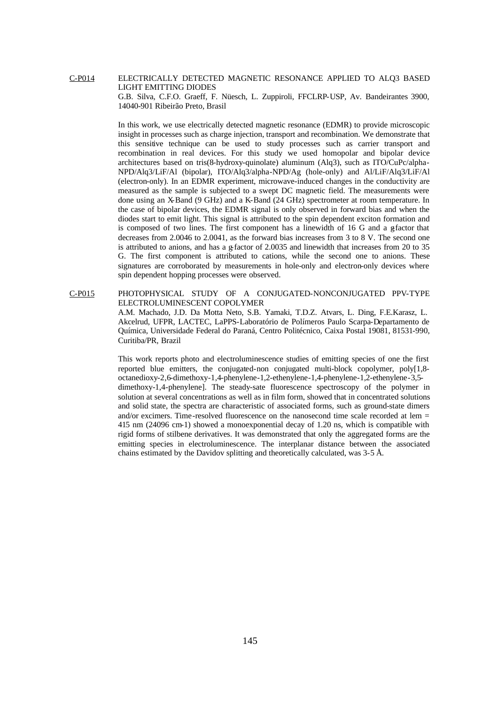### C-P014 ELECTRICALLY DETECTED MAGNETIC RESONANCE APPLIED TO ALQ3 BASED LIGHT EMITTING DIODES G.B. Silva, C.F.O. Graeff, F. Nüesch, L. Zuppiroli, FFCLRP-USP, Av. Bandeirantes 3900, 14040-901 Ribeirão Preto, Brasil

In this work, we use electrically detected magnetic resonance (EDMR) to provide microscopic insight in processes such as charge injection, transport and recombination. We demonstrate that this sensitive technique can be used to study processes such as carrier transport and recombination in real devices. For this study we used homopolar and bipolar device architectures based on tris(8-hydroxy-quinolate) aluminum (Alq3), such as ITO/CuPc/alpha-NPD/Alq3/LiF/Al (bipolar), ITO/Alq3/alpha-NPD/Ag (hole-only) and Al/LiF/Alq3/LiF/Al (electron-only). In an EDMR experiment, microwave-induced changes in the conductivity are measured as the sample is subjected to a swept DC magnetic field. The measurements were done using an X-Band (9 GHz) and a K-Band (24 GHz) spectrometer at room temperature. In the case of bipolar devices, the EDMR signal is only observed in forward bias and when the diodes start to emit light. This signal is attributed to the spin dependent exciton formation and is composed of two lines. The first component has a linewidth of 16 G and a gfactor that decreases from 2.0046 to 2.0041, as the forward bias increases from 3 to 8 V. The second one is attributed to anions, and has a  $\epsilon$  factor of 2.0035 and linewidth that increases from 20 to 35 G. The first component is attributed to cations, while the second one to anions. These signatures are corroborated by measurements in hole-only and electron-only devices where spin dependent hopping processes were observed.

C-P015 PHOTOPHYSICAL STUDY OF A CONJUGATED-NONCONJUGATED PPV-TYPE ELECTROLUMINESCENT COPOLYMER A.M. Machado, J.D. Da Motta Neto, S.B. Yamaki, T.D.Z. Atvars, L. Ding, F.E.Karasz, L. Akcelrud, UFPR, LACTEC, LaPPS-Laboratório de Polímeros Paulo Scarpa-Departamento de Química, Universidade Federal do Paraná, Centro Politécnico, Caixa Postal 19081, 81531-990, Curitiba/PR, Brazil

> This work reports photo and electroluminescence studies of emitting species of one the first reported blue emitters, the conjugated-non conjugated multi-block copolymer, poly[1,8 octanedioxy-2,6-dimethoxy-1,4-phenylene-1,2-ethenylene-1,4-phenylene-1,2-ethenylene-3,5 dimethoxy-1,4-phenylene]. The steady-sate fluorescence spectroscopy of the polymer in solution at several concentrations as well as in film form, showed that in concentrated solutions and solid state, the spectra are characteristic of associated forms, such as ground-state dimers and/or excimers. Time-resolved fluorescence on the nanosecond time scale recorded at lem = 415 nm (24096 cm-1) showed a monoexponential decay of 1.20 ns, which is compatible with rigid forms of stilbene derivatives. It was demonstrated that only the aggregated forms are the emitting species in electroluminescence. The interplanar distance between the associated chains estimated by the Davidov splitting and theoretically calculated, was 3-5 Å.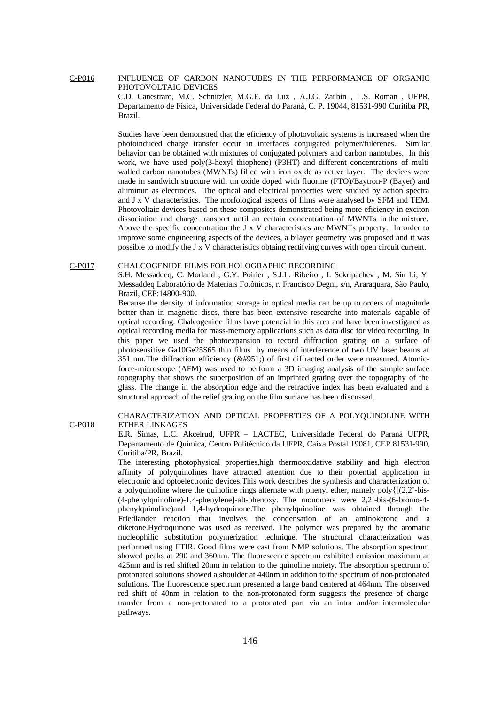C-P016 INFLUENCE OF CARBON NANOTUBES IN THE PERFORMANCE OF ORGANIC PHOTOVOLTAIC DEVICES

C.D. Canestraro, M.C. Schnitzler, M.G.E. da Luz , A.J.G. Zarbin , L.S. Roman , UFPR, Departamento de Física, Universidade Federal do Paraná, C. P. 19044, 81531-990 Curitiba PR, Brazil.

Studies have been demonstred that the eficiency of photovoltaic systems is increased when the photoinduced charge transfer occur in interfaces conjugated polymer/fulerenes. Similar behavior can be obtained with mixtures of conjugated polymers and carbon nanotubes. In this work, we have used poly(3-hexyl thiophene) (P3HT) and different concentrations of multi walled carbon nanotubes (MWNTs) filled with iron oxide as active layer. The devices were made in sandwich structure with tin oxide doped with fluorine (FTO)/Baytron-P (Bayer) and aluminun as electrodes. The optical and electrical properties were studied by action spectra and J x V characteristics. The morfological aspects of films were analysed by SFM and TEM. Photovoltaic devices based on these composites demonstrated being more eficiency in exciton dissociation and charge transport until an certain concentration of MWNTs in the mixture. Above the specific concentration the J x V characteristics are MWNTs property. In order to improve some engineering aspects of the devices, a bilayer geometry was proposed and it was possible to modify the J x V characteristics obtaing rectifying curves with open circuit current.

#### C-P017 CHALCOGENIDE FILMS FOR HOLOGRAPHIC RECORDING

S.H. Messaddeq, C. Morland , G.Y. Poirier , S.J.L. Ribeiro , I. Sckripachev , M. Siu Li, Y. Messaddeq Laboratório de Materiais Fotônicos, r. Francisco Degni, s/n, Araraquara, São Paulo, Brazil, CEP:14800-900.

Because the density of information storage in optical media can be up to orders of magnitude better than in magnetic discs, there has been extensive researche into materials capable of optical recording. Chalcogenide films have potencial in this area and have been investigated as optical recording media for mass-memory applications such as data disc for video recording. In this paper we used the photoexpansion to record diffraction grating on a surface of photosensitive Ga10Ge25S65 thin films by means of interference of two UV laser beams at 351 nm.The diffraction efficiency (η) of first diffracted order were measured. Atomicforce-microscope (AFM) was used to perform a 3D imaging analysis of the sample surface topography that shows the superposition of an imprinted grating over the topography of the glass. The change in the absorption edge and the refractive index has been evaluated and a structural approach of the relief grating on the film surface has been discussed.

C-P018 CHARACTERIZATION AND OPTICAL PROPERTIES OF A POLYQUINOLINE WITH ETHER LINKAGES

> E.R. Simas, L.C. Akcelrud, UFPR – LACTEC, Universidade Federal do Paraná UFPR, Departamento de Química, Centro Politécnico da UFPR, Caixa Postal 19081, CEP 81531-990, Curitiba/PR, Brazil.

> The interesting photophysical properties,high thermooxidative stability and high electron affinity of polyquinolines have attracted attention due to their potential application in electronic and optoelectronic devices.This work describes the synthesis and characterization of a polyquinoline where the quinoline rings alternate with phenyl ether, namely poly $\{[(2,2)\text{-}bis-\}$ (4-phenylquinoline)-1,4-phenylene]-alt-phenoxy. The monomers were 2,2'-bis-(6-bromo-4 phenylquinoline)and 1,4-hydroquinone.The phenylquinoline was obtained through the Friedlander reaction that involves the condensation of an aminoketone and a diketone.Hydroquinone was used as received. The polymer was prepared by the aromatic nucleophilic substitution polymerization technique. The structural characterization was performed using FTIR. Good films were cast from NMP solutions. The absorption spectrum showed peaks at 290 and 360nm. The fluorescence spectrum exhibited emission maximum at 425nm and is red shifted 20nm in relation to the quinoline moiety. The absorption spectrum of protonated solutions showed a shoulder at 440nm in addition to the spectrum of non-protonated solutions. The fluorescence spectrum presented a large band centered at 464nm. The observed red shift of 40nm in relation to the non-protonated form suggests the presence of charge transfer from a non-protonated to a protonated part via an intra and/or intermolecular pathways.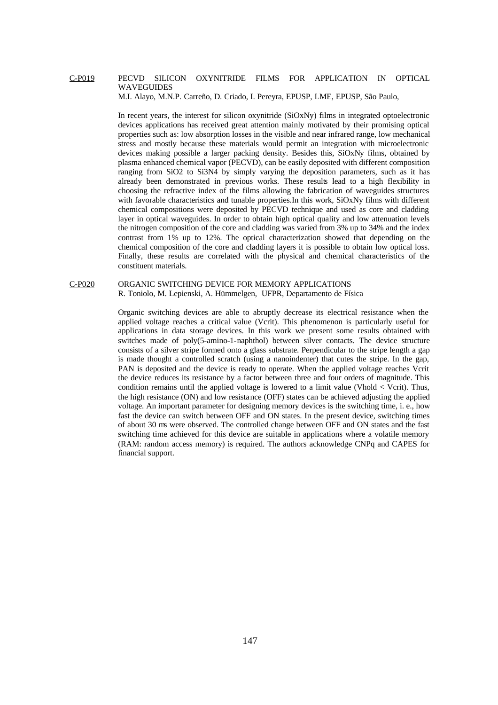#### C-P019 PECVD SILICON OXYNITRIDE FILMS FOR APPLICATION IN OPTICAL WAVEGUIDES

M.I. Alayo, M.N.P. Carreño, D. Criado, I. Pereyra, EPUSP, LME, EPUSP, São Paulo,

In recent years, the interest for silicon oxynitride  $(SiOxNy)$  films in integrated optoelectronic devices applications has received great attention mainly motivated by their promising optical properties such as: low absorption losses in the visible and near infrared range, low mechanical stress and mostly because these materials would permit an integration with microelectronic devices making possible a larger packing density. Besides this, SiOxNy films, obtained by plasma enhanced chemical vapor (PECVD), can be easily deposited with different composition ranging from SiO2 to Si3N4 by simply varying the deposition parameters, such as it has already been demonstrated in previous works. These results lead to a high flexibility in choosing the refractive index of the films allowing the fabrication of waveguides structures with favorable characteristics and tunable properties. In this work, SiOxNy films with different chemical compositions were deposited by PECVD technique and used as core and cladding layer in optical waveguides. In order to obtain high optical quality and low attenuation levels the nitrogen composition of the core and cladding was varied from 3% up to 34% and the index contrast from 1% up to 12%. The optical characterization showed that depending on the chemical composition of the core and cladding layers it is possible to obtain low optical loss. Finally, these results are correlated with the physical and chemical characteristics of the constituent materials.

#### C-P020 ORGANIC SWITCHING DEVICE FOR MEMORY APPLICATIONS R. Toniolo, M. Lepienski, A. Hümmelgen, UFPR, Departamento de Física

Organic switching devices are able to abruptly decrease its electrical resistance when the applied voltage reaches a critical value (Vcrit). This phenomenon is particularly useful for applications in data storage devices. In this work we present some results obtained with switches made of poly(5-amino-1-naphthol) between silver contacts. The device structure consists of a silver stripe formed onto a glass substrate. Perpendicular to the stripe length a gap is made thought a controlled scratch (using a nanoindenter) that cutes the stripe. In the gap, PAN is deposited and the device is ready to operate. When the applied voltage reaches Vcrit the device reduces its resistance by a factor between three and four orders of magnitude. This condition remains until the applied voltage is lowered to a limit value (Vhold < Vcrit). Thus, the high resistance (ON) and low resistance (OFF) states can be achieved adjusting the applied voltage. An important parameter for designing memory devices is the switching time, i. e., how fast the device can switch between OFF and ON states. In the present device, switching times of about 30 ms were observed. The controlled change between OFF and ON states and the fast switching time achieved for this device are suitable in applications where a volatile memory (RAM: random access memory) is required. The authors acknowledge CNPq and CAPES for financial support.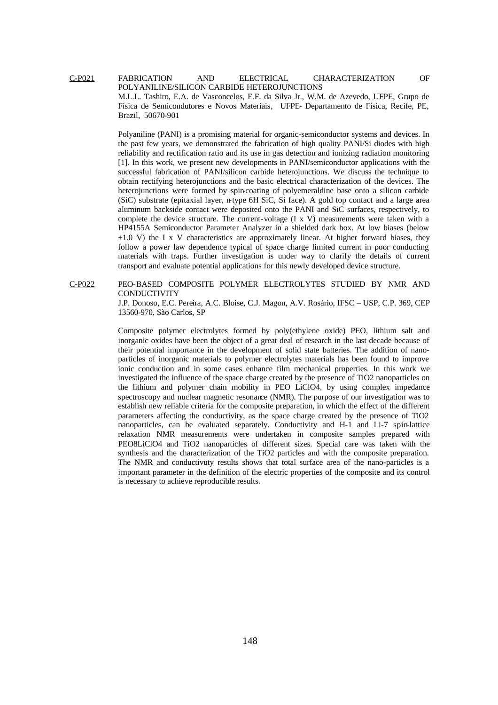C-P021 FABRICATION AND ELECTRICAL CHARACTERIZATION OF POLYANILINE/SILICON CARBIDE HETEROJUNCTIONS M.L.L. Tashiro, E.A. de Vasconcelos, E.F. da Silva Jr., W.M. de Azevedo, UFPE, Grupo de Física de Semicondutores e Novos Materiais, UFPE- Departamento de Física, Recife, PE, Brazil, 50670-901

> Polyaniline (PANI) is a promising material for organic-semiconductor systems and devices. In the past few years, we demonstrated the fabrication of high quality PANI/Si diodes with high reliability and rectification ratio and its use in gas detection and ionizing radiation monitoring [1]. In this work, we present new developments in PANI/semiconductor applications with the successful fabrication of PANI/silicon carbide heterojunctions. We discuss the technique to obtain rectifying heterojunctions and the basic electrical characterization of the devices. The heterojunctions were formed by spin-coating of polyemeraldine base onto a silicon carbide (SiC) substrate (epitaxial layer, n-type 6H SiC, Si face). A gold top contact and a large area aluminum backside contact were deposited onto the PANI and SiC surfaces, respectively, to complete the device structure. The current-voltage (I x V) measurements were taken with a HP4155A Semiconductor Parameter Analyzer in a shielded dark box. At low biases (below  $\pm 1.0$  V) the I x V characteristics are approximately linear. At higher forward biases, they follow a power law dependence typical of space charge limited current in poor conducting materials with traps. Further investigation is under way to clarify the details of current transport and evaluate potential applications for this newly developed device structure.

C-P022 PEO-BASED COMPOSITE POLYMER ELECTROLYTES STUDIED BY NMR AND **CONDUCTIVITY** 

> J.P. Donoso, E.C. Pereira, A.C. Bloise, C.J. Magon, A.V. Rosário, IFSC – USP, C.P. 369, CEP 13560-970, São Carlos, SP

> Composite polymer electrolytes formed by poly(ethylene oxide) PEO, lithium salt and inorganic oxides have been the object of a great deal of research in the last decade because of their potential importance in the development of solid state batteries. The addition of nanoparticles of inorganic materials to polymer electrolytes materials has been found to improve ionic conduction and in some cases enhance film mechanical properties. In this work we investigated the influence of the space charge created by the presence of TiO2 nanoparticles on the lithium and polymer chain mobility in PEO LiClO4, by using complex impedance spectroscopy and nuclear magnetic resonance (NMR). The purpose of our investigation was to establish new reliable criteria for the composite preparation, in which the effect of the different parameters affecting the conductivity, as the space charge created by the presence of TiO2 nanoparticles, can be evaluated separately. Conductivity and H-1 and Li-7 spin-lattice relaxation NMR measurements were undertaken in composite samples prepared with PEO8LiClO4 and TiO2 nanoparticles of different sizes. Special care was taken with the synthesis and the characterization of the TiO2 particles and with the composite preparation. The NMR and conductivuty results shows that total surface area of the nano-particles is a important parameter in the definition of the electric properties of the composite and its control is necessary to achieve reproducible results.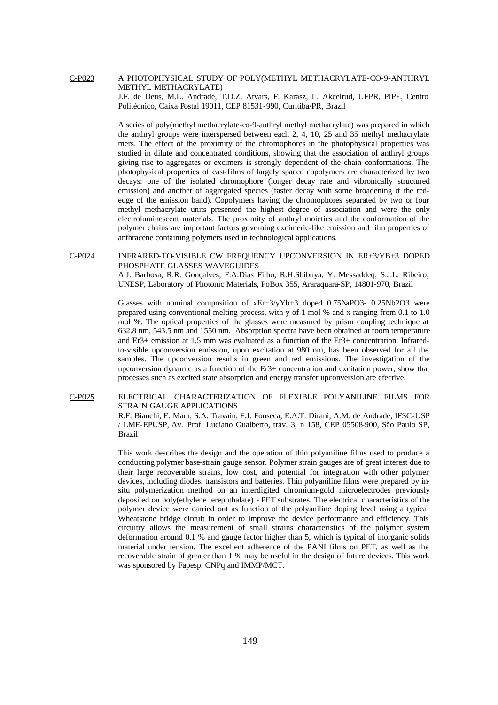#### C-P023 A PHOTOPHYSICAL STUDY OF POLY(METHYL METHACRYLATE-CO-9-ANTHRYL METHYL METHACRYLATE)

J.F. de Deus, M.L. Andrade, T.D.Z. Atvars, F. Karasz, L. Akcelrud, UFPR, PIPE, Centro Politécnico, Caixa Postal 19011, CEP 81531-990, Curitiba/PR, Brazil

A series of poly(methyl methacrylate-co-9-anthryl methyl methacrylate) was prepared in which the anthryl groups were interspersed between each 2, 4, 10, 25 and 35 methyl methacrylate mers. The effect of the proximity of the chromophores in the photophysical properties was studied in dilute and concentrated conditions, showing that the association of anthryl groups giving rise to aggregates or excimers is strongly dependent of the chain conformations. The photophysical properties of cast-films of largely spaced copolymers are characterized by two decays: one of the isolated chromophore (longer decay rate and vibronically structured emission) and another of aggregated species (faster decay with some broadening of the rededge of the emission band). Copolymers having the chromophores separated by two or four methyl methacrylate units presented the highest degree of association and were the only electroluminescent materials. The proximity of anthryl moieties and the conformation of the polymer chains are important factors governing excimeric-like emission and film properties of anthracene containing polymers used in technological applications.

#### C-P024 INFRARED-TO-VISIBLE CW FREQUENCY UPCONVERSION IN ER+3/YB+3 DOPED PHOSPHATE GLASSES WAVEGUIDES

A.J. Barbosa, R.R. Gonçalves, F.A.Dias Filho, R.H.Shibuya, Y. Messaddeq, S.J.L. Ribeiro, UNESP, Laboratory of Photonic Materials, PoBox 355, Araraquara-SP, 14801-970, Brazil

Glasses with nominal composition of xEr+3/yYb+3 doped 0.75NaPO3- 0.25Nb2O3 were prepared using conventional melting process, with y of 1 mol % and x ranging from 0.1 to 1.0 mol %. The optical properties of the glasses were measured by prism coupling technique at 632.8 nm, 543.5 nm and 1550 nm. Absorption spectra have been obtained at room temperature and Er3+ emission at 1.5 mm was evaluated as a function of the Er3+ concentration. Infraredto-visible upconversion emission, upon excitation at 980 nm, has been observed for all the samples. The upconversion results in green and red emissions. The investigation of the upconversion dynamic as a function of the Er3+ concentration and excitation power, show that processes such as excited state absorption and energy transfer upconversion are efective.

#### C-P025 ELECTRICAL CHARACTERIZATION OF FLEXIBLE POLYANILINE FILMS FOR STRAIN GAUGE APPLICATIONS

R.F. Bianchi, E. Mara, S.A. Travain, F.J. Fonseca, E.A.T. Dirani, A.M. de Andrade, IFSC-USP / LME-EPUSP, Av. Prof. Luciano Gualberto, trav. 3, n 158, CEP 05508-900, São Paulo SP, Brazil

This work describes the design and the operation of thin polyaniline films used to produce a conducting polymer base-strain gauge sensor. Polymer strain gauges are of great interest due to their large recoverable strains, low cost, and potential for integration with other polymer devices, including diodes, transistors and batteries. Thin polyaniline films were prepared by insitu polymerization method on an interdigited chromium-gold microelectrodes previously deposited on poly(ethylene terephthalate) - PET substrates. The electrical characteristics of the polymer device were carried out as function of the polyaniline doping level using a typical Wheatstone bridge circuit in order to improve the device performance and efficiency. This circuitry allows the measurement of small strains characteristics of the polymer system deformation around 0.1 % and gauge factor higher than 5, which is typical of inorganic solids material under tension. The excellent adherence of the PANI films on PET, as well as the recoverable strain of greater than 1 % may be useful in the design of future devices. This work was sponsored by Fapesp, CNPq and IMMP/MCT.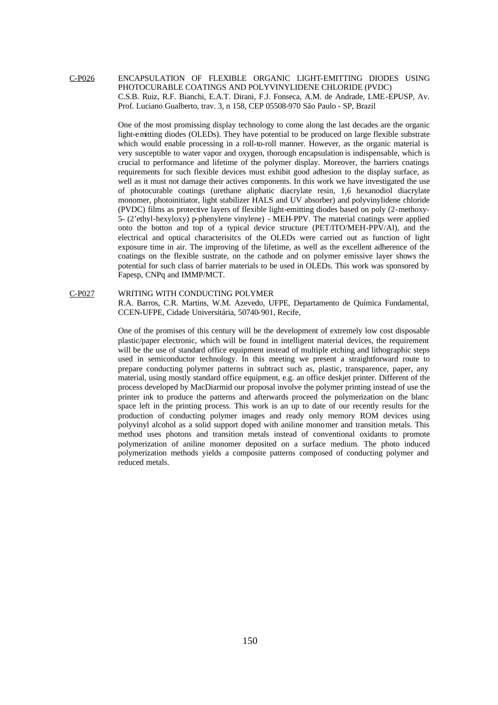### C-P026 ENCAPSULATION OF FLEXIBLE ORGANIC LIGHT-EMITTING DIODES USING PHOTOCURABLE COATINGS AND POLYVINYLIDENE CHLORIDE (PVDC) C.S.B. Ruiz, R.F. Bianchi, E.A.T. Dirani, F.J. Fonseca, A.M. de Andrade, LME-EPUSP, Av. Prof. Luciano Gualberto, trav. 3, n 158, CEP 05508-970 São Paulo - SP, Brazil

One of the most promissing display technology to come along the last decades are the organic light-emitting diodes (OLEDs). They have potential to be produced on large flexible substrate which would enable processing in a roll-to-roll manner. However, as the organic material is very susceptible to water vapor and oxygen, thorough encapsulation is indispensable, which is crucial to performance and lifetime of the polymer display. Moreover, the barriers coatings requirements for such flexible devices must exhibit good adhesion to the display surface, as well as it must not damage their actives components. In this work we have investigated the use of photocurable coatings (urethane aliphatic diacrylate resin, 1,6 hexanodiol diacrylate monomer, photoinitiator, light stabilizer HALS and UV absorber) and polyvinylidene chloride (PVDC) films as protective layers of flexible light-emitting diodes based on poly (2-methoxy-5- (2'ethyl-hexyloxy) p-phenylene vinylene) - MEH-PPV. The material coatings were applied onto the botton and top of a typical device structure (PET/ITO/MEH-PPV/Al), and the electrical and optical characterisitcs of the OLEDs were carried out as function of light exposure time in air. The improving of the lifetime, as well as the excellent adherence of the coatings on the flexible sustrate, on the cathode and on polymer emissive layer shows the potential for such class of barrier materials to be used in OLEDs. This work was sponsored by Fapesp, CNPq and IMMP/MCT.

#### C-P027 WRITING WITH CONDUCTING POLYMER

R.A. Barros, C.R. Martins, W.M. Azevedo, UFPE, Departamento de Química Fundamental, CCEN-UFPE, Cidade Universitária, 50740-901, Recife,

One of the promises of this century will be the development of extremely low cost disposable plastic/paper electronic, which will be found in intelligent material devices, the requirement will be the use of standard office equipment instead of multiple etching and lithographic steps used in semiconductor technology. In this meeting we present a straightforward route to prepare conducting polymer patterns in subtract such as, plastic, transparence, paper, any material, using mostly standard office equipment, e.g. an office deskjet printer. Different of the process developed by MacDiarmid our proposal involve the polymer printing instead of use the printer ink to produce the patterns and afterwards proceed the polymerization on the blanc space left in the printing process. This work is an up to date of our recently results for the production of conducting polymer images and ready only memory ROM devices using polyvinyl alcohol as a solid support doped with aniline monomer and transition metals. This method uses photons and transition metals instead of conventional oxidants to promote polymerization of aniline monomer deposited on a surface medium. The photo induced polymerization methods yields a composite patterns composed of conducting polymer and reduced metals.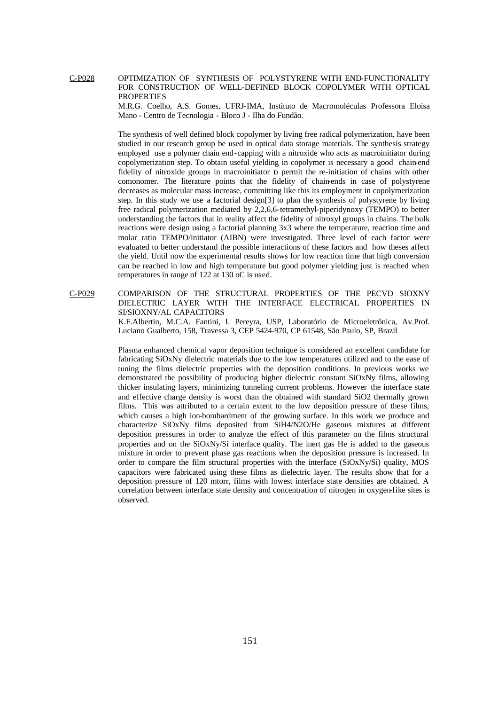C-P028 OPTIMIZATION OF SYNTHESIS OF POLYSTYRENE WITH END-FUNCTIONALITY FOR CONSTRUCTION OF WELL-DEFINED BLOCK COPOLYMER WITH OPTICAL PROPERTIES

> M.R.G. Coelho, A.S. Gomes, UFRJ-IMA, Instituto de Macromoléculas Professora Eloisa Mano - Centro de Tecnologia - Bloco J - Ilha do Fundão.

> The synthesis of well defined block copolymer by living free radical polymerization, have been studied in our research group be used in optical data storage materials. The synthesis strategy employed use a polymer chain end-capping with a nitroxide who acts as macroinitiator during copolymerization step. To obtain useful yielding in copolymer is necessary a good chain-end fidelity of nitroxide groups in macroinitiator to permit the re-initiation of chains with other comonomer. The literature points that the fidelity of chain-ends in case of polystyrene decreases as molecular mass increase, committing like this its employment in copolymerization step. In this study we use a factorial design[3] to plan the synthesis of polystyrene by living free radical polymerization mediated by 2,2,6,6-tetramethyl-piperidynoxy (TEMPO) to better understanding the factors that in reality affect the fidelity of nitroxyl groups in chains. The bulk reactions were design using a factorial planning 3x3 where the temperature, reaction time and molar ratio TEMPO/initiator (AIBN) were investigated. Three level of each factor were evaluated to better understand the possible interactions of these factors and how theses affect the yield. Until now the experimental results shows for low reaction time that high conversion can be reached in low and high temperature but good polymer yielding just is reached when temperatures in range of 122 at 130 oC is used.

C-P029 COMPARISON OF THE STRUCTURAL PROPERTIES OF THE PECVD SIOXNY DIELECTRIC LAYER WITH THE INTERFACE ELECTRICAL PROPERTIES IN SI/SIOXNY/AL CAPACITORS

K.F.Albertin, M.C.A. Fantini, I. Pereyra, USP, Laboratório de Microeletrônica, Av.Prof. Luciano Gualberto, 158, Travessa 3, CEP 5424-970, CP 61548, São Paulo, SP, Brazil

Plasma enhanced chemical vapor deposition technique is considered an excellent candidate for fabricating SiOxNy dielectric materials due to the low temperatures utilized and to the ease of tuning the films dielectric properties with the deposition conditions. In previous works we demonstrated the possibility of producing higher dielectric constant SiOxNy films, allowing thicker insulating layers, minimizing tunneling current problems. However the interface state and effective charge density is worst than the obtained with standard SiO2 thermally grown films. This was attributed to a certain extent to the low deposition pressure of these films, which causes a high ion-bombardment of the growing surface. In this work we produce and characterize SiOxNy films deposited from SiH4/N2O/He gaseous mixtures at different deposition pressures in order to analyze the effect of this parameter on the films structural properties and on the SiOxNy/Si interface quality. The inert gas He is added to the gaseous mixture in order to prevent phase gas reactions when the deposition pressure is increased. In order to compare the film structural properties with the interface (SiOxNy/Si) quality, MOS capacitors were fabricated using these films as dielectric layer. The results show that for a deposition pressure of 120 mtorr, films with lowest interface state densities are obtained. A correlation between interface state density and concentration of nitrogen in oxygen-like sites is observed.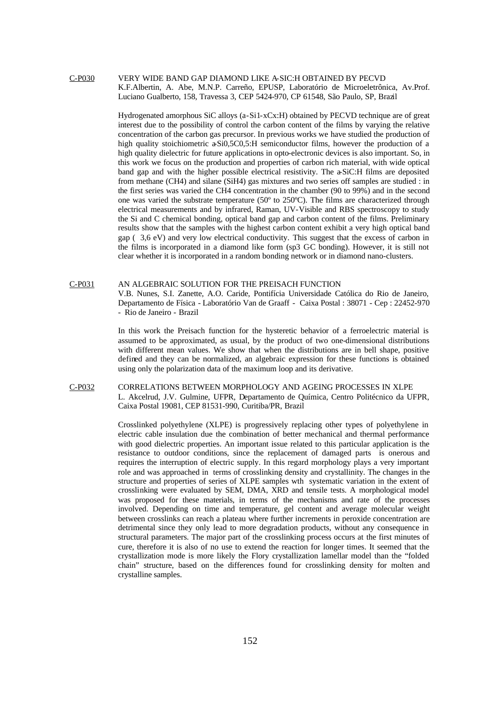# C-P030 VERY WIDE BAND GAP DIAMOND LIKE A-SIC:H OBTAINED BY PECVD K.F.Albertin, A. Abe, M.N.P. Carreño, EPUSP, Laboratório de Microeletrônica, Av.Prof. Luciano Gualberto, 158, Travessa 3, CEP 5424-970, CP 61548, São Paulo, SP, Brazil

Hydrogenated amorphous SiC alloys (a-Si1-xCx:H) obtained by PECVD technique are of great interest due to the possibility of control the carbon content of the films by varying the relative concentration of the carbon gas precursor. In previous works we have studied the production of high quality stoichiometric  $a\text{Si}0,5\text{CO},5$ : H semiconductor films, however the production of a high quality dielectric for future applications in opto-electronic devices is also important. So, in this work we focus on the production and properties of carbon rich material, with wide optical band gap and with the higher possible electrical resistivity. The a-SiC:H films are deposited from methane (CH4) and silane (SiH4) gas mixtures and two series off samples are studied : in the first series was varied the CH4 concentration in the chamber (90 to 99%) and in the second one was varied the substrate temperature  $(50^{\circ}$  to  $250^{\circ}$ C). The films are characterized through electrical measurements and by infrared, Raman, UV-Visible and RBS spectroscopy to study the Si and C chemical bonding, optical band gap and carbon content of the films. Preliminary results show that the samples with the highest carbon content exhibit a very high optical band gap ( 3,6 eV) and very low electrical conductivity. This suggest that the excess of carbon in the films is incorporated in a diamond like form (sp3 GC bonding). However, it is still not clear whether it is incorporated in a random bonding network or in diamond nano-clusters.

# C-P031 AN ALGEBRAIC SOLUTION FOR THE PREISACH FUNCTION V.B. Nunes, S.I. Zanette, A.O. Caride, Pontifícia Universidade Católica do Rio de Janeiro, Departamento de Física - Laboratório Van de Graaff - Caixa Postal : 38071 - Cep : 22452-970 - Rio de Janeiro - Brazil

In this work the Preisach function for the hysteretic behavior of a ferroelectric material is assumed to be approximated, as usual, by the product of two one-dimensional distributions with different mean values. We show that when the distributions are in bell shape, positive defined and they can be normalized, an algebraic expression for these functions is obtained using only the polarization data of the maximum loop and its derivative.

# C-P032 CORRELATIONS BETWEEN MORPHOLOGY AND AGEING PROCESSES IN XLPE L. Akcelrud, J.V. Gulmine, UFPR, Departamento de Química, Centro Politécnico da UFPR, Caixa Postal 19081, CEP 81531-990, Curitiba/PR, Brazil

Crosslinked polyethylene (XLPE) is progressively replacing other types of polyethylene in electric cable insulation due the combination of better mechanical and thermal performance with good dielectric properties. An important issue related to this particular application is the resistance to outdoor conditions, since the replacement of damaged parts is onerous and requires the interruption of electric supply. In this regard morphology plays a very important role and was approached in terms of crosslinking density and crystallinity. The changes in the structure and properties of series of XLPE samples wth systematic variation in the extent of crosslinking were evaluated by SEM, DMA, XRD and tensile tests. A morphological model was proposed for these materials, in terms of the mechanisms and rate of the processes involved. Depending on time and temperature, gel content and average molecular weight between crosslinks can reach a plateau where further increments in peroxide concentration are detrimental since they only lead to more degradation products, without any consequence in structural parameters. The major part of the crosslinking process occurs at the first minutes of cure, therefore it is also of no use to extend the reaction for longer times. It seemed that the crystallization mode is more likely the Flory crystallization lamellar model than the "folded chain" structure, based on the differences found for crosslinking density for molten and crystalline samples.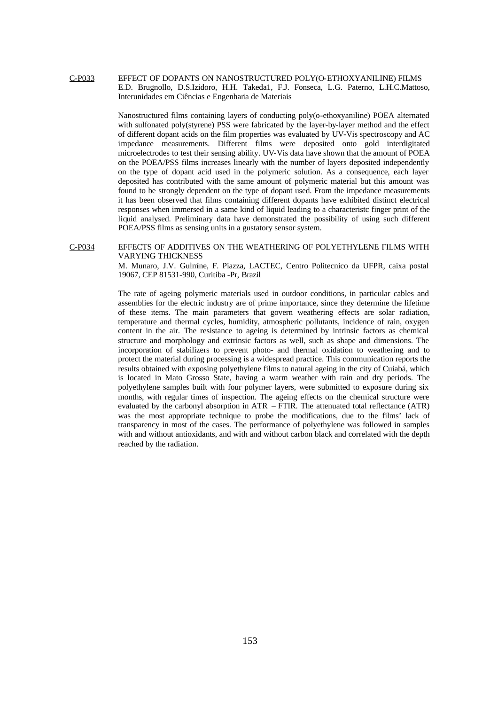# C-P033 EFFECT OF DOPANTS ON NANOSTRUCTURED POLY(O-ETHOXYANILINE) FILMS E.D. Brugnollo, D.S.Izidoro, H.H. Takeda1, F.J. Fonseca, L.G. Paterno, L.H.C.Mattoso, Interunidades em Ciências e Engenharia de Materiais

Nanostructured films containing layers of conducting poly(o-ethoxyaniline) POEA alternated with sulfonated poly(styrene) PSS were fabricated by the layer-by-layer method and the effect of different dopant acids on the film properties was evaluated by UV-Vis spectroscopy and AC impedance measurements. Different films were deposited onto gold interdigitated microelectrodes to test their sensing ability. UV-Vis data have shown that the amount of POEA on the POEA/PSS films increases linearly with the number of layers deposited independently on the type of dopant acid used in the polymeric solution. As a consequence, each layer deposited has contributed with the same amount of polymeric material but this amount was found to be strongly dependent on the type of dopant used. From the impedance measurements it has been observed that films containing different dopants have exhibited distinct electrical responses when immersed in a same kind of liquid leading to a characteristc finger print of the liquid analysed. Preliminary data have demonstrated the possibility of using such different POEA/PSS films as sensing units in a gustatory sensor system.

#### C-P034 EFFECTS OF ADDITIVES ON THE WEATHERING OF POLYETHYLENE FILMS WITH VARYING THICKNESS

M. Munaro, J.V. Gulmine, F. Piazza, LACTEC, Centro Politecnico da UFPR, caixa postal 19067, CEP 81531-990, Curitiba -Pr, Brazil

The rate of ageing polymeric materials used in outdoor conditions, in particular cables and assemblies for the electric industry are of prime importance, since they determine the lifetime of these items. The main parameters that govern weathering effects are solar radiation, temperature and thermal cycles, humidity, atmospheric pollutants, incidence of rain, oxygen content in the air. The resistance to ageing is determined by intrinsic factors as chemical structure and morphology and extrinsic factors as well, such as shape and dimensions. The incorporation of stabilizers to prevent photo- and thermal oxidation to weathering and to protect the material during processing is a widespread practice. This communication reports the results obtained with exposing polyethylene films to natural ageing in the city of Cuiabá, which is located in Mato Grosso State, having a warm weather with rain and dry periods. The polyethylene samples built with four polymer layers, were submitted to exposure during six months, with regular times of inspection. The ageing effects on the chemical structure were evaluated by the carbonyl absorption in ATR – FTIR. The attenuated total reflectance (ATR) was the most appropriate technique to probe the modifications, due to the films' lack of transparency in most of the cases. The performance of polyethylene was followed in samples with and without antioxidants, and with and without carbon black and correlated with the depth reached by the radiation.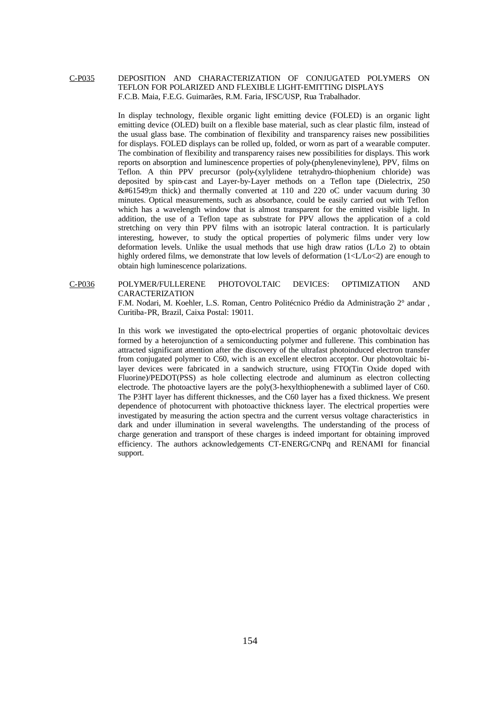# C-P035 DEPOSITION AND CHARACTERIZATION OF CONJUGATED POLYMERS ON TEFLON FOR POLARIZED AND FLEXIBLE LIGHT-EMITTING DISPLAYS F.C.B. Maia, F.E.G. Guimarães, R.M. Faria, IFSC/USP, Rua Trabalhador.

In display technology, flexible organic light emitting device (FOLED) is an organic light emitting device (OLED) built on a flexible base material, such as clear plastic film, instead of the usual glass base. The combination of flexibility and transparency raises new possibilities for displays. FOLED displays can be rolled up, folded, or worn as part of a wearable computer. The combination of flexibility and transparency raises new possibilities for displays. This work reports on absorption and luminescence properties of poly-(phenylenevinylene), PPV, films on Teflon. A thin PPV precursor (poly-(xylylidene tetrahydro-thiophenium chloride) was deposited by spin-cast and Layer-by-Layer methods on a Teflon tape (Dielectrix, 250  $&\#61549$ ; thick) and thermally converted at 110 and 220 oC under vacuum during 30 minutes. Optical measurements, such as absorbance, could be easily carried out with Teflon which has a wavelength window that is almost transparent for the emitted visible light. In addition, the use of a Teflon tape as substrate for PPV allows the application of a cold stretching on very thin PPV films with an isotropic lateral contraction. It is particularly interesting, however, to study the optical properties of polymeric films under very low deformation levels. Unlike the usual methods that use high draw ratios (L/Lo 2) to obtain highly ordered films, we demonstrate that low levels of deformation  $(1 < L/L<sub>O</sub> < 2)$  are enough to obtain high luminescence polarizations.

C-P036 POLYMER/FULLERENE PHOTOVOLTAIC DEVICES: OPTIMIZATION AND CARACTERIZATION

> F.M. Nodari, M. Koehler, L.S. Roman, Centro Politécnico Prédio da Administração 2° andar , Curitiba-PR, Brazil, Caixa Postal: 19011.

> In this work we investigated the opto-electrical properties of organic photovoltaic devices formed by a heterojunction of a semiconducting polymer and fullerene. This combination has attracted significant attention after the discovery of the ultrafast photoinduced electron transfer from conjugated polymer to C60, wich is an excellent electron acceptor. Our photovoltaic bilayer devices were fabricated in a sandwich structure, using FTO(Tin Oxide doped with Fluorine)/PEDOT(PSS) as hole collecting electrode and aluminum as electron collecting electrode. The photoactive layers are the poly(3-hexylthiophenewith a sublimed layer of C60. The P3HT layer has different thicknesses, and the C60 layer has a fixed thickness. We present dependence of photocurrent with photoactive thickness layer. The electrical properties were investigated by measuring the action spectra and the current versus voltage characteristics in dark and under illumination in several wavelengths. The understanding of the process of charge generation and transport of these charges is indeed important for obtaining improved efficiency. The authors acknowledgements CT-ENERG/CNPq and RENAMI for financial support.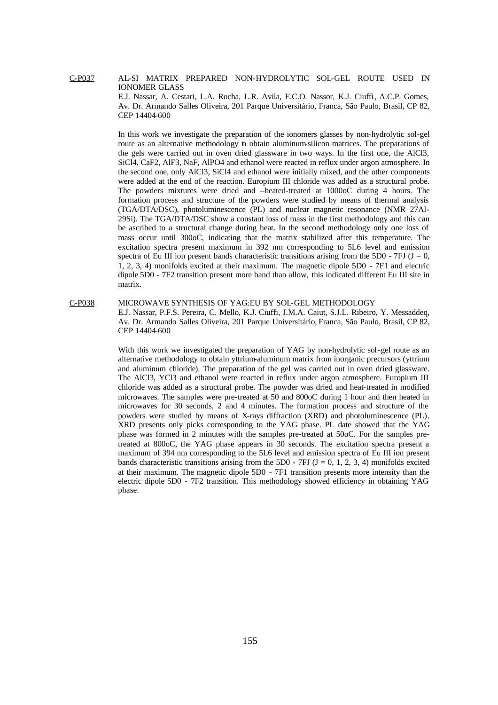AL-SI MATRIX PREPARED NON-HYDROLYTIC SOL-GEL ROUTE USED IN IONOMER GLASS

E.J. Nassar, A. Cestari, L.A. Rocha, L.R. Avila, E.C.O. Nassor, K.J. Ciuffi, A.C.P. Gomes, Av. Dr. Armando Salles Oliveira, 201 Parque Universitário, Franca, São Paulo, Brasil, CP 82, CEP 14404-600

In this work we investigate the preparation of the ionomers glasses by non-hydrolytic sol-gel route as an alternative methodology to obtain aluminum-silicon matrices. The preparations of the gels were carried out in oven dried glassware in two ways. In the first one, the AlCl3, SiCl4, CaF2, AlF3, NaF, AlPO4 and ethanol were reacted in reflux under argon atmosphere. In the second one, only AlCl3, SiCl4 and ethanol were initially mixed, and the other components were added at the end of the reaction. Europium III chloride was added as a structural probe. The powders mixtures were dried and –heated-treated at 1000oC during 4 hours. The formation process and structure of the powders were studied by means of thermal analysis (TGA/DTA/DSC), photoluminescence (PL) and nuclear magnetic resonance (NMR 27Al-29Si). The TGA/DTA/DSC show a constant loss of mass in the first methodology and this can be ascribed to a structural change during heat. In the second methodology only one loss of mass occur until 300oC, indicating that the matrix stabilized after this temperature. The excitation spectra present maximum in 392 nm corresponding to 5L6 level and emission spectra of Eu III ion present bands characteristic transitions arising from the 5D0 - 7FJ ( $J = 0$ , 1, 2, 3, 4) monifolds excited at their maximum. The magnetic dipole 5D0 - 7F1 and electric dipole 5D0 - 7F2 transition present more band than allow, this indicated different Eu III site in matrix.

C-P038 MICROWAVE SYNTHESIS OF YAG:EU BY SOL-GEL METHODOLOGY

> E.J. Nassar, P.F.S. Pereira, C. Mello, K.J. Ciuffi, J.M.A. Caiut, S.J.L. Ribeiro, Y. Messaddeq, Av. Dr. Armando Salles Oliveira, 201 Parque Universitário, Franca, São Paulo, Brasil, CP 82, CEP 14404-600

> With this work we investigated the preparation of YAG by non-hydrolytic sol-gel route as an alternative methodology to obtain yttrium-aluminum matrix from inorganic precursors (yttrium and aluminum chloride). The preparation of the gel was carried out in oven dried glassware. The AlCl3, YCl3 and ethanol were reacted in reflux under argon atmosphere. Europium III chloride was added as a structural probe. The powder was dried and heat-treated in modified microwaves. The samples were pre-treated at 50 and 800oC during 1 hour and then heated in microwaves for 30 seconds, 2 and 4 minutes. The formation process and structure of the powders were studied by means of X-rays diffraction (XRD) and photoluminescence (PL). XRD presents only picks corresponding to the YAG phase. PL date showed that the YAG phase was formed in 2 minutes with the samples pre-treated at 50oC. For the samples pretreated at 800oC, the YAG phase appears in 30 seconds. The excitation spectra present a maximum of 394 nm corresponding to the 5L6 level and emission spectra of Eu III ion present bands characteristic transitions arising from the 5D0 - 7FJ  $(J = 0, 1, 2, 3, 4)$  monifolds excited at their maximum. The magnetic dipole 5D0 - 7F1 transition presents more intensity than the electric dipole 5D0 - 7F2 transition. This methodology showed efficiency in obtaining YAG phase.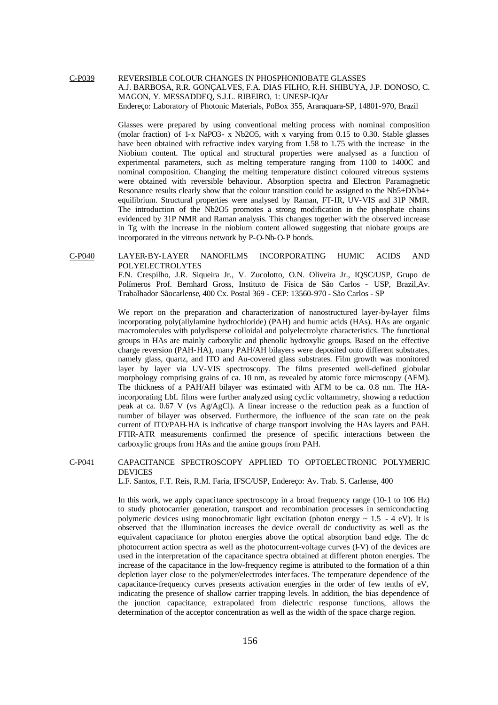C-P039 REVERSIBLE COLOUR CHANGES IN PHOSPHONIOBATE GLASSES A.J. BARBOSA, R.R. GONÇALVES, F.A. DIAS FILHO, R.H. SHIBUYA, J.P. DONOSO, C. MAGON, Y. MESSADDEQ, S.J.L. RIBEIRO, 1: UNESP-IQAr Endereço: Laboratory of Photonic Materials, PoBox 355, Araraquara-SP, 14801-970, Brazil

> Glasses were prepared by using conventional melting process with nominal composition (molar fraction) of 1-x NaPO3- x Nb2O5, with x varying from 0.15 to 0.30. Stable glasses have been obtained with refractive index varying from 1.58 to 1.75 with the increase in the Niobium content. The optical and structural properties were analysed as a function of experimental parameters, such as melting temperature ranging from 1100 to 1400C and nominal composition. Changing the melting temperature distinct coloured vitreous systems were obtained with reversible behaviour. Absorption spectra and Electron Paramagnetic Resonance results clearly show that the colour transition could be assigned to the Nb5+DNb4+ equilibrium. Structural properties were analysed by Raman, FT-IR, UV-VIS and 31P NMR. The introduction of the Nb2O5 promotes a strong modification in the phosphate chains evidenced by 31P NMR and Raman analysis. This changes together with the observed increase in Tg with the increase in the niobium content allowed suggesting that niobate groups are incorporated in the vitreous network by P-O-Nb-O-P bonds.

C-P040 LAYER-BY-LAYER NANOFILMS INCORPORATING HUMIC ACIDS AND POLYELECTROLYTES

F.N. Crespilho, J.R. Siqueira Jr., V. Zucolotto, O.N. Oliveira Jr., IQSC/USP, Grupo de Polímeros Prof. Bernhard Gross, Instituto de Física de São Carlos - USP, Brazil,Av. Trabalhador Sãocarlense, 400 Cx. Postal 369 - CEP: 13560-970 - São Carlos - SP

We report on the preparation and characterization of nanostructured layer-by-layer films incorporating poly(allylamine hydrochloride) (PAH) and humic acids (HAs). HAs are organic macromolecules with polydisperse colloidal and polyelectrolyte characteristics. The functional groups in HAs are mainly carboxylic and phenolic hydroxylic groups. Based on the effective charge reversion (PAH-HA), many PAH/AH bilayers were deposited onto different substrates, namely glass, quartz, and ITO and Au-covered glass substrates. Film growth was monitored layer by layer via UV-VIS spectroscopy. The films presented well-defined globular morphology comprising grains of ca. 10 nm, as revealed by atomic force microscopy (AFM). The thickness of a PAH/AH bilayer was estimated with AFM to be ca. 0.8 nm. The HAincorporating LbL films were further analyzed using cyclic voltammetry, showing a reduction peak at ca. 0.67 V (vs Ag/AgCl). A linear increase o the reduction peak as a function of number of bilayer was observed. Furthermore, the influence of the scan rate on the peak current of ITO/PAH-HA is indicative of charge transport involving the HAs layers and PAH. FTIR-ATR measurements confirmed the presence of specific interactions between the carboxylic groups from HAs and the amine groups from PAH.

C-P041 CAPACITANCE SPECTROSCOPY APPLIED TO OPTOELECTRONIC POLYMERIC DEVICES

L.F. Santos, F.T. Reis, R.M. Faria, IFSC/USP, Endereço: Av. Trab. S. Carlense, 400

In this work, we apply capacitance spectroscopy in a broad frequency range (10-1 to 106 Hz) to study photocarrier generation, transport and recombination processes in semiconducting polymeric devices using monochromatic light excitation (photon energy  $\sim 1.5$  - 4 eV). It is observed that the illumination increases the device overall dc conductivity as well as the equivalent capacitance for photon energies above the optical absorption band edge. The dc photocurrent action spectra as well as the photocurrent-voltage curves (I-V) of the devices are used in the interpretation of the capacitance spectra obtained at different photon energies. The increase of the capacitance in the low-frequency regime is attributed to the formation of a thin depletion layer close to the polymer/electrodes interfaces. The temperature dependence of the capacitance-frequency curves presents activation energies in the order of few tenths of eV, indicating the presence of shallow carrier trapping levels. In addition, the bias dependence of the junction capacitance, extrapolated from dielectric response functions, allows the determination of the acceptor concentration as well as the width of the space charge region.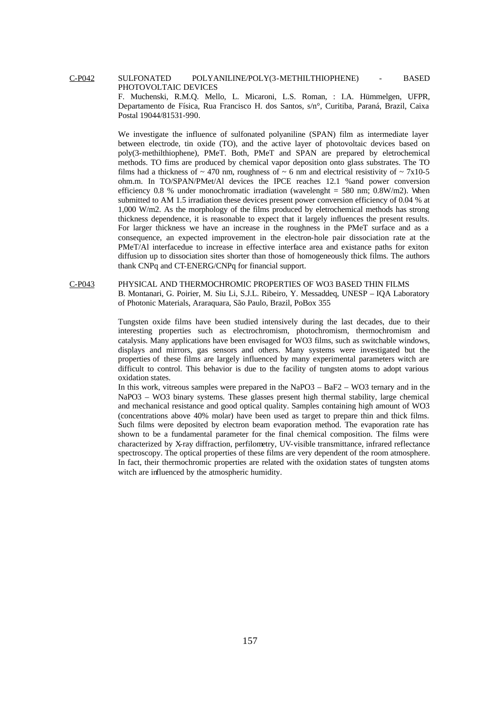C-P042 SULFONATED POLYANILINE/POLY(3-METHILTHIOPHENE) - BASED PHOTOVOLTAIC DEVICES

F. Muchenski, R.M.Q. Mello, L. Micaroni, L.S. Roman, : I.A. Hümmelgen, UFPR, Departamento de Física, Rua Francisco H. dos Santos, s/n°, Curitiba, Paraná, Brazil, Caixa Postal 19044/81531-990.

We investigate the influence of sulfonated polyaniline (SPAN) film as intermediate layer between electrode, tin oxide (TO), and the active layer of photovoltaic devices based on poly(3-methilthiophene), PMeT. Both, PMeT and SPAN are prepared by eletrochemical methods. TO fims are produced by chemical vapor deposition onto glass substrates. The TO films had a thickness of  $\sim$  470 nm, roughness of  $\sim$  6 nm and electrical resistivity of  $\sim$  7x10-5 ohm.m. In TO/SPAN/PMet/Al devices the IPCE reaches 12.1 %and power conversion efficiency 0.8 % under monochromatic irradiation (wavelenght =  $580$  nm; 0.8W/m2). When submitted to AM 1.5 irradiation these devices present power conversion efficiency of 0.04 % at 1,000 W/m2. As the morphology of the films produced by eletrochemical methods has strong thickness dependence, it is reasonable to expect that it largely influences the present results. For larger thickness we have an increase in the roughness in the PMeT surface and as a consequence, an expected improvement in the electron-hole pair dissociation rate at the PMeT/Al interfacedue to increase in effective interface area and existance paths for exiton diffusion up to dissociation sites shorter than those of homogeneously thick films. The authors thank CNPq and CT-ENERG/CNPq for financial support.

C-P043 PHYSICAL AND THERMOCHROMIC PROPERTIES OF WO3 BASED THIN FILMS B. Montanari, G. Poirier, M. Siu Li, S.J.L. Ribeiro, Y. Messaddeq, UNESP – IQA Laboratory of Photonic Materials, Araraquara, São Paulo, Brazil, PoBox 355

> Tungsten oxide films have been studied intensively during the last decades, due to their interesting properties such as electrochromism, photochromism, thermochromism and catalysis. Many applications have been envisaged for WO3 films, such as switchable windows, displays and mirrors, gas sensors and others. Many systems were investigated but the properties of these films are largely influenced by many experimental parameters witch are difficult to control. This behavior is due to the facility of tungsten atoms to adopt various oxidation states.

> In this work, vitreous samples were prepared in the NaPO3 – BaF2 – WO3 ternary and in the NaPO3 – WO3 binary systems. These glasses present high thermal stability, large chemical and mechanical resistance and good optical quality. Samples containing high amount of WO3 (concentrations above 40% molar) have been used as target to prepare thin and thick films. Such films were deposited by electron beam evaporation method. The evaporation rate has shown to be a fundamental parameter for the final chemical composition. The films were characterized by X-ray diffraction, perfilometry, UV-visible transmittance, infrared reflectance spectroscopy. The optical properties of these films are very dependent of the room atmosphere. In fact, their thermochromic properties are related with the oxidation states of tungsten atoms witch are influenced by the atmospheric humidity.

> > 157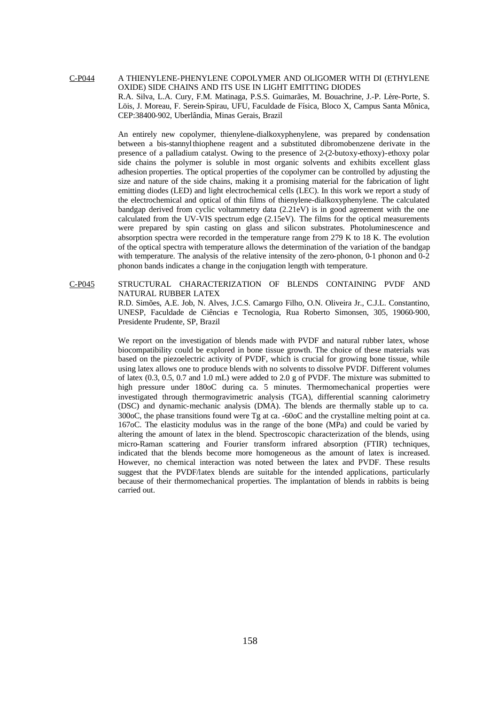# C-P044 A THIENYLENE-PHENYLENE COPOLYMER AND OLIGOMER WITH DI (ETHYLENE OXIDE) SIDE CHAINS AND ITS USE IN LIGHT EMITTING DIODES R.A. Silva, L.A. Cury, F.M. Matinaga, P.S.S. Guimarães, M. Bouachrine, J.-P. Lère-Porte, S. Löis, J. Moreau, F. Serein-Spirau, UFU, Faculdade de Física, Bloco X, Campus Santa Mônica, CEP:38400-902, Uberlândia, Minas Gerais, Brazil

An entirely new copolymer, thienylene-dialkoxyphenylene, was prepared by condensation between a bis-stannylthiophene reagent and a substituted dibromobenzene derivate in the presence of a palladium catalyst. Owing to the presence of 2-(2-butoxy-ethoxy)-ethoxy polar side chains the polymer is soluble in most organic solvents and exhibits excellent glass adhesion properties. The optical properties of the copolymer can be controlled by adjusting the size and nature of the side chains, making it a promising material for the fabrication of light emitting diodes (LED) and light electrochemical cells (LEC). In this work we report a study of the electrochemical and optical of thin films of thienylene-dialkoxyphenylene. The calculated bandgap derived from cyclic voltammetry data (2.21eV) is in good agreement with the one calculated from the UV-VIS spectrum edge (2.15eV). The films for the optical measurements were prepared by spin casting on glass and silicon substrates. Photoluminescence and absorption spectra were recorded in the temperature range from 279 K to 18 K. The evolution of the optical spectra with temperature allows the determination of the variation of the bandgap with temperature. The analysis of the relative intensity of the zero-phonon, 0-1 phonon and 0-2 phonon bands indicates a change in the conjugation length with temperature.

C-P045 STRUCTURAL CHARACTERIZATION OF BLENDS CONTAINING PVDF AND NATURAL RUBBER LATEX R.D. Simões, A.E. Job, N. Alves, J.C.S. Camargo Filho, O.N. Oliveira Jr., C.J.L. Constantino, UNESP, Faculdade de Ciências e Tecnologia, Rua Roberto Simonsen, 305, 19060-900, Presidente Prudente, SP, Brazil

> We report on the investigation of blends made with PVDF and natural rubber latex, whose biocompatibility could be explored in bone tissue growth. The choice of these materials was based on the piezoelectric activity of PVDF, which is crucial for growing bone tissue, while using latex allows one to produce blends with no solvents to dissolve PVDF. Different volumes of latex (0.3, 0.5, 0.7 and 1.0 mL) were added to 2.0 g of PVDF. The mixture was submitted to high pressure under 180oC during ca. 5 minutes. Thermomechanical properties were investigated through thermogravimetric analysis (TGA), differential scanning calorimetry (DSC) and dynamic-mechanic analysis (DMA). The blends are thermally stable up to ca. 300oC, the phase transitions found were Tg at ca. -60oC and the crystalline melting point at ca. 167oC. The elasticity modulus was in the range of the bone (MPa) and could be varied by altering the amount of latex in the blend. Spectroscopic characterization of the blends, using micro-Raman scattering and Fourier transform infrared absorption (FTIR) techniques, indicated that the blends become more homogeneous as the amount of latex is increased. However, no chemical interaction was noted between the latex and PVDF. These results suggest that the PVDF/latex blends are suitable for the intended applications, particularly because of their thermomechanical properties. The implantation of blends in rabbits is being carried out.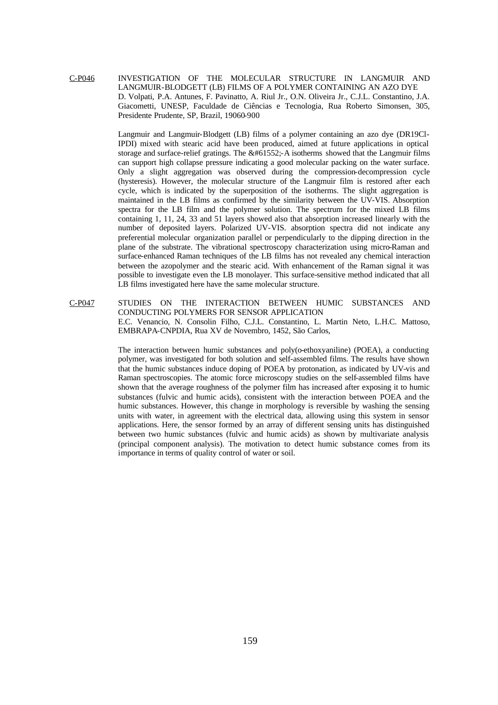C-P046 INVESTIGATION OF THE MOLECULAR STRUCTURE IN LANGMUIR AND LANGMUIR-BLODGETT (LB) FILMS OF A POLYMER CONTAINING AN AZO DYE D. Volpati, P.A. Antunes, F. Pavinatto, A. Riul Jr., O.N. Oliveira Jr., C.J.L. Constantino, J.A. Giacometti, UNESP, Faculdade de Ciências e Tecnologia, Rua Roberto Simonsen, 305, Presidente Prudente, SP, Brazil, 19060-900

> Langmuir and Langmuir-Blodgett (LB) films of a polymer containing an azo dye (DR19Cl-IPDI) mixed with stearic acid have been produced, aimed at future applications in optical storage and surface-relief gratings. The  $&\#61552$ :-A isotherms showed that the Langmuir films can support high collapse pressure indicating a good molecular packing on the water surface. Only a slight aggregation was observed during the compression-decompression cycle (hysteresis). However, the molecular structure of the Langmuir film is restored after each cycle, which is indicated by the superposition of the isotherms. The slight aggregation is maintained in the LB films as confirmed by the similarity between the UV-VIS. Absorption spectra for the LB film and the polymer solution. The spectrum for the mixed LB films containing 1, 11, 24, 33 and 51 layers showed also that absorption increased linearly with the number of deposited layers. Polarized UV-VIS. absorption spectra did not indicate any preferential molecular organization parallel or perpendicularly to the dipping direction in the plane of the substrate. The vibrational spectroscopy characterization using micro-Raman and surface-enhanced Raman techniques of the LB films has not revealed any chemical interaction between the azopolymer and the stearic acid. With enhancement of the Raman signal it was possible to investigate even the LB monolayer. This surface-sensitive method indicated that all LB films investigated here have the same molecular structure.

C-P047 STUDIES ON THE INTERACTION BETWEEN HUMIC SUBSTANCES AND CONDUCTING POLYMERS FOR SENSOR APPLICATION E.C. Venancio, N. Consolin Filho, C.J.L. Constantino, L. Martin Neto, L.H.C. Mattoso, EMBRAPA-CNPDIA, Rua XV de Novembro, 1452, São Carlos,

> The interaction between humic substances and poly(o-ethoxyaniline) (POEA), a conducting polymer, was investigated for both solution and self-assembled films. The results have shown that the humic substances induce doping of POEA by protonation, as indicated by UV-vis and Raman spectroscopies. The atomic force microscopy studies on the self-assembled films have shown that the average roughness of the polymer film has increased after exposing it to humic substances (fulvic and humic acids), consistent with the interaction between POEA and the humic substances. However, this change in morphology is reversible by washing the sensing units with water, in agreement with the electrical data, allowing using this system in sensor applications. Here, the sensor formed by an array of different sensing units has distinguished between two humic substances (fulvic and humic acids) as shown by multivariate analysis (principal component analysis). The motivation to detect humic substance comes from its importance in terms of quality control of water or soil.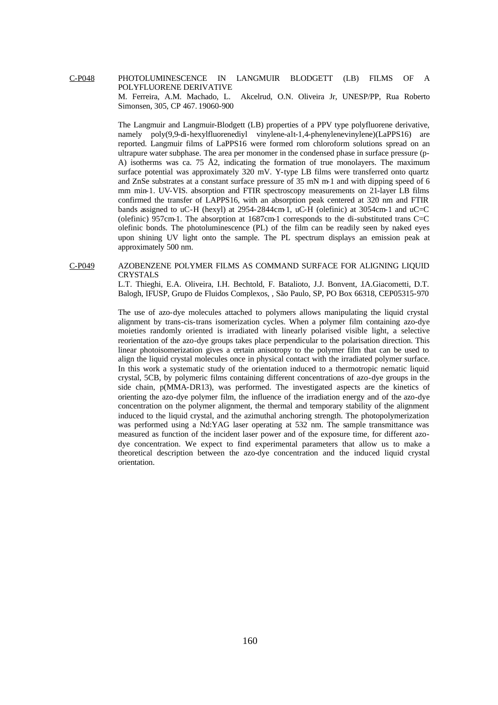# C-P048 PHOTOLUMINESCENCE IN LANGMUIR BLODGETT (LB) FILMS OF A POLYFLUORENE DERIVATIVE M. Ferreira, A.M. Machado, L. Akcelrud, O.N. Oliveira Jr, UNESP/PP, Rua Roberto Simonsen, 305, CP 467. 19060-900

The Langmuir and Langmuir-Blodgett (LB) properties of a PPV type polyfluorene derivative, namely poly(9,9-di-hexylfluorenediyl vinylene-alt-1,4-phenylenevinylene)(LaPPS16) are reported. Langmuir films of LaPPS16 were formed rom chloroform solutions spread on an ultrapure water subphase. The area per monomer in the condensed phase in surface pressure (p-A) isotherms was ca. 75 Å2, indicating the formation of true monolayers. The maximum surface potential was approximately 320 mV. Y-type LB films were transferred onto quartz and ZnSe substrates at a constant surface pressure of 35 mN m-1 and with dipping speed of 6 mm min-1. UV-VIS. absorption and FTIR spectroscopy measurements on 21-layer LB films confirmed the transfer of LAPPS16, with an absorption peak centered at 320 nm and FTIR bands assigned to uC-H (hexyl) at 2954-2844cm-1, uC-H (olefinic) at 3054cm-1 and uC=C (olefinic) 957cm-1. The absorption at 1687cm-1 corresponds to the di-substituted trans  $C=C$ olefinic bonds. The photoluminescence (PL) of the film can be readily seen by naked eyes upon shining UV light onto the sample. The PL spectrum displays an emission peak at approximately 500 nm.

# C-P049 AZOBENZENE POLYMER FILMS AS COMMAND SURFACE FOR ALIGNING LIQUID CRYSTALS

L.T. Thieghi, E.A. Oliveira, I.H. Bechtold, F. Batalioto, J.J. Bonvent, J.A.Giacometti, D.T. Balogh, IFUSP, Grupo de Fluidos Complexos, , São Paulo, SP, PO Box 66318, CEP05315-970

The use of azo-dye molecules attached to polymers allows manipulating the liquid crystal alignment by trans-cis-trans isomerization cycles. When a polymer film containing azo-dye moieties randomly oriented is irradiated with linearly polarised visible light, a selective reorientation of the azo-dye groups takes place perpendicular to the polarisation direction. This linear photoisomerization gives a certain anisotropy to the polymer film that can be used to align the liquid crystal molecules once in physical contact with the irradiated polymer surface. In this work a systematic study of the orientation induced to a thermotropic nematic liquid crystal, 5CB, by polymeric films containing different concentrations of azo-dye groups in the side chain, p(MMA-DR13), was performed. The investigated aspects are the kinetics of orienting the azo-dye polymer film, the influence of the irradiation energy and of the azo-dye concentration on the polymer alignment, the thermal and temporary stability of the alignment induced to the liquid crystal, and the azimuthal anchoring strength. The photopolymerization was performed using a Nd:YAG laser operating at 532 nm. The sample transmittance was measured as function of the incident laser power and of the exposure time, for different azodye concentration. We expect to find experimental parameters that allow us to make a theoretical description between the azo-dye concentration and the induced liquid crystal orientation.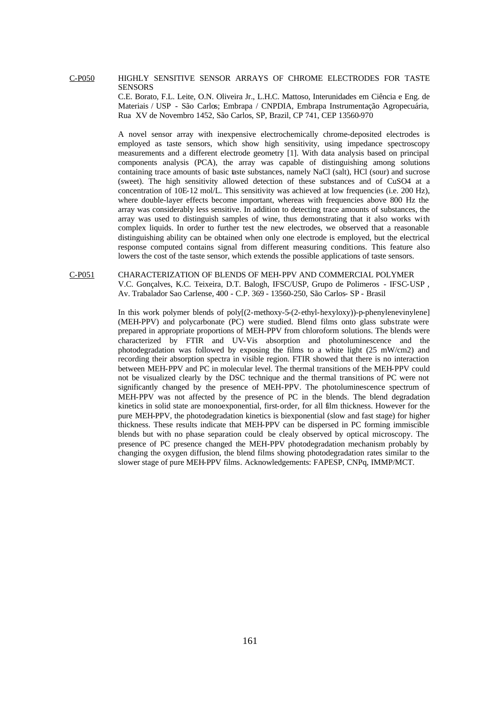#### C-P050 HIGHLY SENSITIVE SENSOR ARRAYS OF CHROME ELECTRODES FOR TASTE **SENSORS**

C.E. Borato, F.L. Leite, O.N. Oliveira Jr., L.H.C. Mattoso, Interunidades em Ciência e Eng. de Materiais / USP - São Carlos; Embrapa / CNPDIA, Embrapa Instrumentação Agropecuária, Rua XV de Novembro 1452, São Carlos, SP, Brazil, CP 741, CEP 13560-970

A novel sensor array with inexpensive electrochemically chrome-deposited electrodes is employed as taste sensors, which show high sensitivity, using impedance spectroscopy measurements and a different electrode geometry [1]. With data analysis based on principal components analysis (PCA), the array was capable of distinguishing among solutions containing trace amounts of basic taste substances, namely NaCl (salt), HCl (sour) and sucrose (sweet). The high sensitivity allowed detection of these substances and of CuSO4 at a concentration of 10E-12 mol/L. This sensitivity was achieved at low frequencies (i.e. 200 Hz), where double-layer effects become important, whereas with frequencies above 800 Hz the array was considerably less sensitive. In addition to detecting trace amounts of substances, the array was used to distinguish samples of wine, thus demonstrating that it also works with complex liquids. In order to further test the new electrodes, we observed that a reasonable distinguishing ability can be obtained when only one electrode is employed, but the electrical response computed contains signal from different measuring conditions. This feature also lowers the cost of the taste sensor, which extends the possible applications of taste sensors.

# C-P051 CHARACTERIZATION OF BLENDS OF MEH-PPV AND COMMERCIAL POLYMER V.C. Gonçalves, K.C. Teixeira, D.T. Balogh, IFSC/USP, Grupo de Polimeros - IFSC-USP , Av. Trabalador Sao Carlense, 400 - C.P. 369 - 13560-250, São Carlos- SP - Brasil

In this work polymer blends of poly[(2-methoxy-5-(2-ethyl-hexyloxy))-p-phenylenevinylene] (MEH-PPV) and polycarbonate (PC) were studied. Blend films onto glass substrate were prepared in appropriate proportions of MEH-PPV from chloroform solutions. The blends were characterized by FTIR and UV-Vis absorption and photoluminescence and the photodegradation was followed by exposing the films to a white light (25 mW/cm2) and recording their absorption spectra in visible region. FTIR showed that there is no interaction between MEH-PPV and PC in molecular level. The thermal transitions of the MEH-PPV could not be visualized clearly by the DSC technique and the thermal transitions of PC were not significantly changed by the presence of MEH-PPV. The photoluminescence spectrum of MEH-PPV was not affected by the presence of PC in the blends. The blend degradation kinetics in solid state are monoexponential, first-order, for all film thickness. However for the pure MEH-PPV, the photodegradation kinetics is biexponential (slow and fast stage) for higher thickness. These results indicate that MEH-PPV can be dispersed in PC forming immiscible blends but with no phase separation could be clealy observed by optical microscopy. The presence of PC presence changed the MEH-PPV photodegradation mechanism probably by changing the oxygen diffusion, the blend films showing photodegradation rates similar to the slower stage of pure MEH-PPV films. Acknowledgements: FAPESP, CNPq, IMMP/MCT.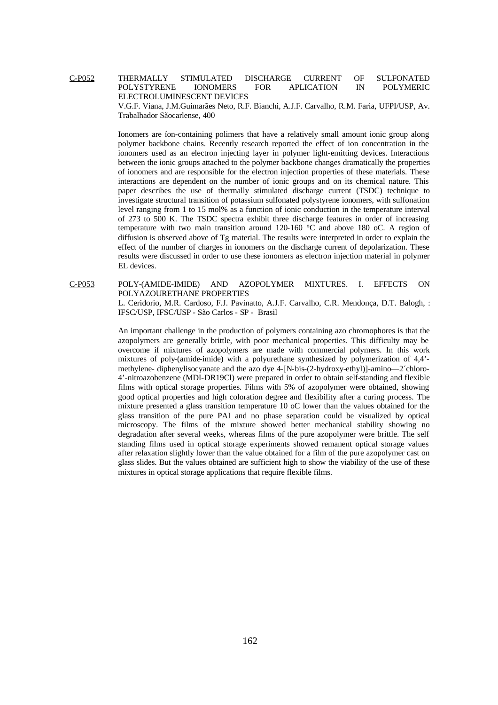C-P052 THERMALLY STIMULATED DISCHARGE CURRENT OF SULFONATED POLYSTYRENE IONOMERS FOR APLICATION IN POLYMERIC ELECTROLUMINESCENT DEVICES

V.G.F. Viana, J.M.Guimarães Neto, R.F. Bianchi, A.J.F. Carvalho, R.M. Faria, UFPI/USP, Av. Trabalhador Sãocarlense, 400

Ionomers are íon-containing polimers that have a relatively small amount ionic group along polymer backbone chains. Recently research reported the effect of ion concentration in the ionomers used as an electron injecting layer in polymer light-emitting devices. Interactions between the ionic groups attached to the polymer backbone changes dramatically the properties of ionomers and are responsible for the electron injection properties of these materials. These interactions are dependent on the number of ionic groups and on its chemical nature. This paper describes the use of thermally stimulated discharge current (TSDC) technique to investigate structural transition of potassium sulfonated polystyrene ionomers, with sulfonation level ranging from 1 to 15 mol% as a function of ionic conduction in the temperature interval of 273 to 500 K. The TSDC spectra exhibit three discharge features in order of increasing temperature with two main transition around 120-160 °C and above 180 oC. A region of diffusion is observed above of Tg material. The results were interpreted in order to explain the effect of the number of charges in ionomers on the discharge current of depolarization. These results were discussed in order to use these ionomers as electron injection material in polymer EL devices.

C-P053 POLY-(AMIDE-IMIDE) AND AZOPOLYMER MIXTURES. I. EFFECTS ON POLYAZOURETHANE PROPERTIES

> L. Ceridorio, M.R. Cardoso, F.J. Pavinatto, A.J.F. Carvalho, C.R. Mendonça, D.T. Balogh, : IFSC/USP, IFSC/USP - São Carlos - SP - Brasil

> An important challenge in the production of polymers containing azo chromophores is that the azopolymers are generally brittle, with poor mechanical properties. This difficulty may be overcome if mixtures of azopolymers are made with commercial polymers. In this work mixtures of poly-(amide-imide) with a polyurethane synthesized by polymerization of 4,4' methylene- diphenylisocyanate and the azo dye 4-[N-bis-(2-hydroxy-ethyl)]-amino—2´chloro-4'-nitroazobenzene (MDI-DR19Cl) were prepared in order to obtain self-standing and flexible films with optical storage properties. Films with 5% of azopolymer were obtained, showing good optical properties and high coloration degree and flexibility after a curing process. The mixture presented a glass transition temperature 10 oC lower than the values obtained for the glass transition of the pure PAI and no phase separation could be visualized by optical microscopy. The films of the mixture showed better mechanical stability showing no degradation after several weeks, whereas films of the pure azopolymer were brittle. The self standing films used in optical storage experiments showed remanent optical storage values after relaxation slightly lower than the value obtained for a film of the pure azopolymer cast on glass slides. But the values obtained are sufficient high to show the viability of the use of these mixtures in optical storage applications that require flexible films.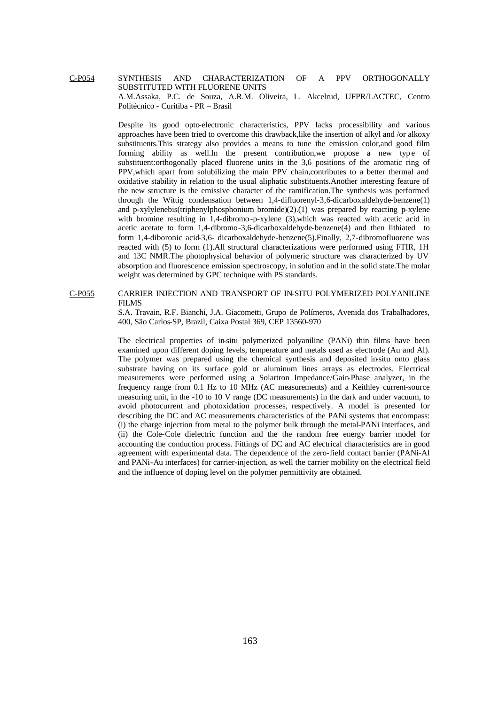# C-P054 SYNTHESIS AND CHARACTERIZATION OF A PPV ORTHOGONALLY SUBSTITUTED WITH FLUORENE UNITS A.M.Assaka, P.C. de Souza, A.R.M. Oliveira, L. Akcelrud, UFPR/LACTEC, Centro Politécnico - Curitiba - PR – Brasil

Despite its good opto-electronic characteristics, PPV lacks processibility and various approaches have been tried to overcome this drawback,like the insertion of alkyl and /or alkoxy substituents.This strategy also provides a means to tune the emission color,and good film forming ability as well. In the present contribution, we propose a new type of substituent:orthogonally placed fluorene units in the 3,6 positions of the aromatic ring of PPV,which apart from solubilizing the main PPV chain,contributes to a better thermal and oxidative stability in relation to the usual aliphatic substituents.Another interesting feature of the new structure is the emissive character of the ramification.The synthesis was performed through the Wittig condensation between 1,4-difluorenyl-3,6-dicarboxaldehyde-benzene(1) and p-xylylenebis(triphenylphosphonium bromide) $(2)$ .(1) was prepared by reacting p-xylene with bromine resulting in 1,4-dibromo-p-xylene (3),which was reacted with acetic acid in acetic acetate to form 1,4-dibromo-3,6-dicarboxaldehyde-benzene(4) and then lithiated to form 1,4-diboronic acid-3,6- dicarboxaldehyde-benzene(5).Finally, 2,7-dibromofluorene was reacted with (5) to form (1).All structural characterizations were performed using FTIR, 1H and 13C NMR.The photophysical behavior of polymeric structure was characterized by UV absorption and fluorescence emission spectroscopy, in solution and in the solid state.The molar weight was determined by GPC technique with PS standards.

# C-P055 CARRIER INJECTION AND TRANSPORT OF IN-SITU POLYMERIZED POLYANILINE FILMS

S.A. Travain, R.F. Bianchi, J.A. Giacometti, Grupo de Polímeros, Avenida dos Trabalhadores, 400, São Carlos-SP, Brazil, Caixa Postal 369, CEP 13560-970

The electrical properties of in-situ polymerized polyaniline (PANi) thin films have been examined upon different doping levels, temperature and metals used as electrode (Au and Al). The polymer was prepared using the chemical synthesis and deposited in-situ onto glass substrate having on its surface gold or aluminum lines arrays as electrodes. Electrical measurements were performed using a Solartron Impedance/Gain-Phase analyzer, in the frequency range from 0.1 Hz to 10 MHz (AC measurements) and a Keithley current-source measuring unit, in the -10 to 10 V range (DC measurements) in the dark and under vacuum, to avoid photocurrent and photoxidation processes, respectively. A model is presented for describing the DC and AC measurements characteristics of the PANi systems that encompass: (i) the charge injection from metal to the polymer bulk through the metal-PANi interfaces, and (ii) the Cole-Cole dielectric function and the the random free energy barrier model for accounting the conduction process. Fittings of DC and AC electrical characteristics are in good agreement with experimental data. The dependence of the zero-field contact barrier (PANi-Al and PANi-Au interfaces) for carrier-injection, as well the carrier mobility on the electrical field and the influence of doping level on the polymer permittivity are obtained.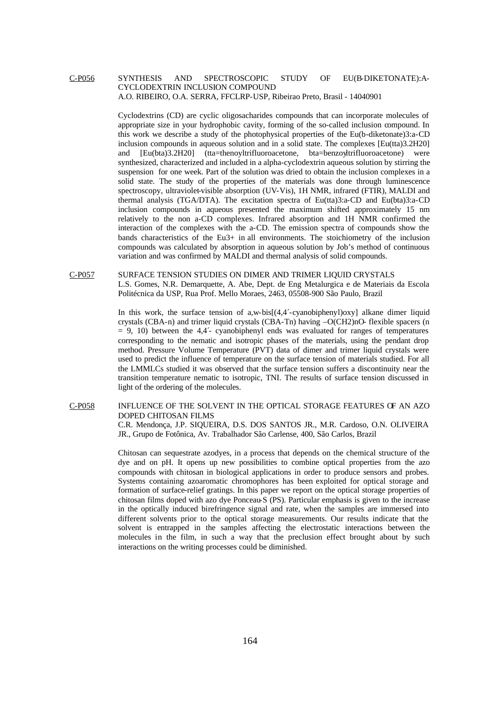# C-P056 SYNTHESIS AND SPECTROSCOPIC STUDY OF EU(B-DIKETONATE):A-CYCLODEXTRIN INCLUSION COMPOUND A.O. RIBEIRO, O.A. SERRA, FFCLRP-USP, Ribeirao Preto, Brasil - 14040901

Cyclodextrins (CD) are cyclic oligosacharides compounds that can incorporate molecules of appropriate size in your hydrophobic cavity, forming of the so-called inclusion compound. In this work we describe a study of the photophysical properties of the Eu(b-diketonate)3:a-CD inclusion compounds in aqueous solution and in a solid state. The complexes [Eu(tta)3.2H20] and [Eu(bta)3.2H20] (tta=thenoyltrifluoroacetone, bta=benzoyltrifluoroacetone) were synthesized, characterized and included in a alpha-cyclodextrin aqueous solution by stirring the suspension for one week. Part of the solution was dried to obtain the inclusion complexes in a solid state. The study of the properties of the materials was done through luminescence spectroscopy, ultraviolet-visible absorption (UV-Vis), 1H NMR, infrared (FTIR), MALDI and thermal analysis (TGA/DTA). The excitation spectra of Eu(tta)3:a-CD and Eu(bta)3:a-CD inclusion compounds in aqueous presented the maximum shifted approximately 15 nm relatively to the non a-CD complexes. Infrared absorption and 1H NMR confirmed the interaction of the complexes with the a-CD. The emission spectra of compounds show the bands characteristics of the Eu3+ in all environments. The stoichiometry of the inclusion compounds was calculated by absorption in aqueous solution by Job's method of continuous variation and was confirmed by MALDI and thermal analysis of solid compounds.

#### C-P057 SURFACE TENSION STUDIES ON DIMER AND TRIMER LIQUID CRYSTALS

L.S. Gomes, N.R. Demarquette, A. Abe, Dept. de Eng Metalurgica e de Materiais da Escola Politécnica da USP, Rua Prof. Mello Moraes, 2463, 05508-900 São Paulo, Brazil

In this work, the surface tension of  $a, w\text{-}bis[(4,4'-cyanobjphenyl)oxy]$  alkane dimer liquid crystals (CBA-n) and trimer liquid crystals (CBA-Tn) having –O(CH2)nO- flexible spacers (n  $= 9, 10$ ) between the 4,4<sup>2</sup> cyanobiphenyl ends was evaluated for ranges of temperatures corresponding to the nematic and isotropic phases of the materials, using the pendant drop method. Pressure Volume Temperature (PVT) data of dimer and trimer liquid crystals were used to predict the influence of temperature on the surface tension of materials studied. For all the LMMLCs studied it was observed that the surface tension suffers a discontinuity near the transition temperature nematic to isotropic, TNI. The results of surface tension discussed in light of the ordering of the molecules.

## C-P058 INFLUENCE OF THE SOLVENT IN THE OPTICAL STORAGE FEATURES OF AN AZO DOPED CHITOSAN FILMS

C.R. Mendonça, J.P. SIQUEIRA, D.S. DOS SANTOS JR., M.R. Cardoso, O.N. OLIVEIRA JR., Grupo de Fotônica, Av. Trabalhador São Carlense, 400, São Carlos, Brazil

Chitosan can sequestrate azodyes, in a process that depends on the chemical structure of the dye and on pH. It opens up new possibilities to combine optical properties from the azo compounds with chitosan in biological applications in order to produce sensors and probes. Systems containing azoaromatic chromophores has been exploited for optical storage and formation of surface-relief gratings. In this paper we report on the optical storage properties of chitosan films doped with azo dye Ponceau-S (PS). Particular emphasis is given to the increase in the optically induced birefringence signal and rate, when the samples are immersed into different solvents prior to the optical storage measurements. Our results indicate that the solvent is entrapped in the samples affecting the electrostatic interactions between the molecules in the film, in such a way that the preclusion effect brought about by such interactions on the writing processes could be diminished.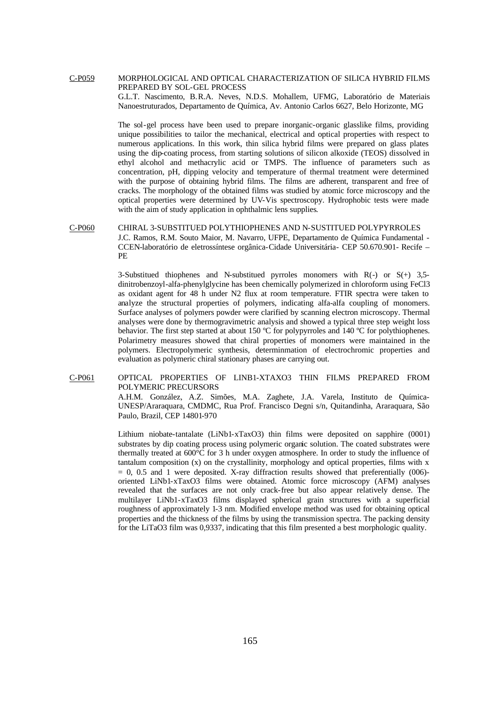# C-P059 MORPHOLOGICAL AND OPTICAL CHARACTERIZATION OF SILICA HYBRID FILMS PREPARED BY SOL-GEL PROCESS

G.L.T. Nascimento, B.R.A. Neves, N.D.S. Mohallem, UFMG, Laboratório de Materiais Nanoestruturados, Departamento de Química, Av. Antonio Carlos 6627, Belo Horizonte, MG

The sol-gel process have been used to prepare inorganic-organic glasslike films, providing unique possibilities to tailor the mechanical, electrical and optical properties with respect to numerous applications. In this work, thin silica hybrid films were prepared on glass plates using the dip-coating process, from starting solutions of silicon alkoxide (TEOS) dissolved in ethyl alcohol and methacrylic acid or TMPS. The influence of parameters such as concentration, pH, dipping velocity and temperature of thermal treatment were determined with the purpose of obtaining hybrid films. The films are adherent, transparent and free of cracks. The morphology of the obtained films was studied by atomic force microscopy and the optical properties were determined by UV-Vis spectroscopy. Hydrophobic tests were made with the aim of study application in ophthalmic lens supplies.

C-P060 CHIRAL 3-SUBSTITUED POLYTHIOPHENES AND N-SUSTITUED POLYPYRROLES J.C. Ramos, R.M. Souto Maior, M. Navarro, UFPE, Departamento de Química Fundamental - CCEN-laboratório de eletrossíntese orgânica-Cidade Universitária- CEP 50.670.901- Recife – PE

> 3-Substitued thiophenes and N-substitued pyrroles monomers with  $R(-)$  or  $S(+)$  3,5dinitrobenzoyl-alfa-phenylglycine has been chemically polymerized in chloroform using FeCl3 as oxidant agent for 48 h under N2 flux at room temperature. FTIR spectra were taken to analyze the structural properties of polymers, indicating alfa-alfa coupling of monomers. Surface analyses of polymers powder were clarified by scanning electron microscopy. Thermal analyses were done by thermogravimetric analysis and showed a typical three step weight loss behavior. The first step started at about 150 ºC for polypyrroles and 140 ºC for polythiophenes. Polarimetry measures showed that chiral properties of monomers were maintained in the polymers. Electropolymeric synthesis, determinmation of electrochromic properties and evaluation as polymeric chiral stationary phases are carrying out.

C-P061 OPTICAL PROPERTIES OF LINB1-XTAXO3 THIN FILMS PREPARED FROM POLYMERIC PRECURSORS

> A.H.M. González, A.Z. Simões, M.A. Zaghete, J.A. Varela, Instituto de Química-UNESP/Araraquara, CMDMC, Rua Prof. Francisco Degni s/n, Quitandinha, Araraquara, São Paulo, Brazil, CEP 14801-970

> Lithium niobate-tantalate (LiNb1-xTaxO3) thin films were deposited on sapphire (0001) substrates by dip coating process using polymeric organic solution. The coated substrates were thermally treated at 600°C for 3 h under oxygen atmosphere. In order to study the influence of tantalum composition (x) on the crystallinity, morphology and optical properties, films with x  $= 0$ , 0.5 and 1 were deposited. X-ray diffraction results showed that preferentially (006)oriented LiNb1-xTaxO3 films were obtained. Atomic force microscopy (AFM) analyses revealed that the surfaces are not only crack-free but also appear relatively dense. The multilayer LiNb1-xTaxO3 films displayed spherical grain structures with a superficial roughness of approximately 1-3 nm. Modified envelope method was used for obtaining optical properties and the thickness of the films by using the transmission spectra. The packing density for the LiTaO3 film was 0,9337, indicating that this film presented a best morphologic quality.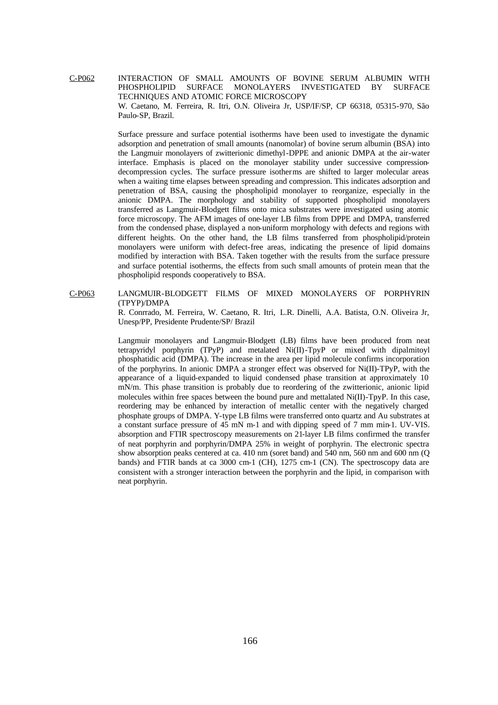C-P062 INTERACTION OF SMALL AMOUNTS OF BOVINE SERUM ALBUMIN WITH PHOSPHOLIPID SURFACE MONOLAYERS INVESTIGATED BY SURFACE TECHNIQUES AND ATOMIC FORCE MICROSCOPY W. Caetano, M. Ferreira, R. Itri, O.N. Oliveira Jr, USP/IF/SP, CP 66318, 05315-970, São Paulo-SP, Brazil.

> Surface pressure and surface potential isotherms have been used to investigate the dynamic adsorption and penetration of small amounts (nanomolar) of bovine serum albumin (BSA) into the Langmuir monolayers of zwitterionic dimethyl-DPPE and anionic DMPA at the air-water interface. Emphasis is placed on the monolayer stability under successive compressiondecompression cycles. The surface pressure isotherms are shifted to larger molecular areas when a waiting time elapses between spreading and compression. This indicates adsorption and penetration of BSA, causing the phospholipid monolayer to reorganize, especially in the anionic DMPA. The morphology and stability of supported phospholipid monolayers transferred as Langmuir-Blodgett films onto mica substrates were investigated using atomic force microscopy. The AFM images of one-layer LB films from DPPE and DMPA, transferred from the condensed phase, displayed a non-uniform morphology with defects and regions with different heights. On the other hand, the LB films transferred from phospholipid/protein monolayers were uniform with defect-free areas, indicating the presence of lipid domains modified by interaction with BSA. Taken together with the results from the surface pressure and surface potential isotherms, the effects from such small amounts of protein mean that the phospholipid responds cooperatively to BSA.

C-P063 LANGMUIR-BLODGETT FILMS OF MIXED MONOLAYERS OF PORPHYRIN (TPYP)/DMPA

R. Conrrado, M. Ferreira, W. Caetano, R. Itri, L.R. Dinelli, A.A. Batista, O.N. Oliveira Jr, Unesp/PP, Presidente Prudente/SP/ Brazil

Langmuir monolayers and Langmuir-Blodgett (LB) films have been produced from neat tetrapyridyl porphyrin (TPyP) and metalated Ni(II)-TpyP or mixed with dipalmitoyl phosphatidic acid (DMPA). The increase in the area per lipid molecule confirms incorporation of the porphyrins. In anionic DMPA a stronger effect was observed for Ni(II)-TPyP, with the appearance of a liquid-expanded to liquid condensed phase transition at approximately 10 mN/m. This phase transition is probably due to reordering of the zwitterionic, anionic lipid molecules within free spaces between the bound pure and mettalated Ni(II)-TpyP. In this case, reordering may be enhanced by interaction of metallic center with the negatively charged phosphate groups of DMPA. Y-type LB films were transferred onto quartz and Au substrates at a constant surface pressure of 45 mN m-1 and with dipping speed of 7 mm min-1. UV-VIS. absorption and FTIR spectroscopy measurements on 21-layer LB films confirmed the transfer of neat porphyrin and porphyrin/DMPA 25% in weight of porphyrin. The electronic spectra show absorption peaks centered at ca. 410 nm (soret band) and 540 nm, 560 nm and 600 nm (Q bands) and FTIR bands at ca 3000 cm-1 (CH), 1275 cm-1 (CN). The spectroscopy data are consistent with a stronger interaction between the porphyrin and the lipid, in comparison with neat porphyrin.

166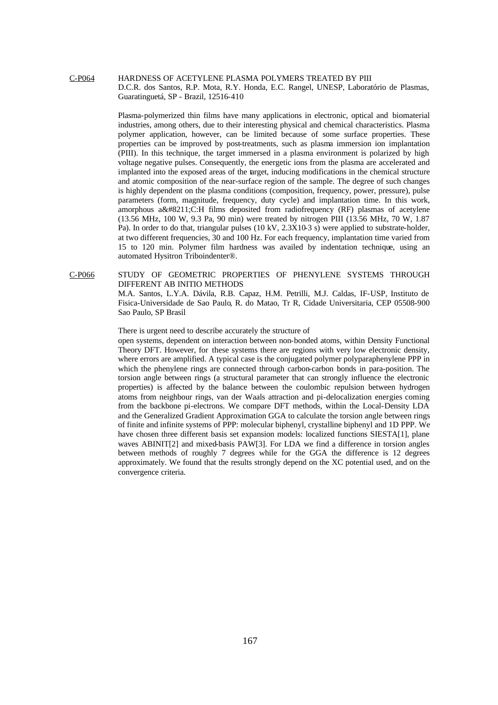# C-P064 HARDNESS OF ACETYLENE PLASMA POLYMERS TREATED BY PIII D.C.R. dos Santos, R.P. Mota, R.Y. Honda, E.C. Rangel, UNESP, Laboratório de Plasmas, Guaratinguetá, SP - Brazil, 12516-410

Plasma-polymerized thin films have many applications in electronic, optical and biomaterial industries, among others, due to their interesting physical and chemical characteristics. Plasma polymer application, however, can be limited because of some surface properties. These properties can be improved by post-treatments, such as plasma immersion ion implantation (PIII). In this technique, the target immersed in a plasma environment is polarized by high voltage negative pulses. Consequently, the energetic ions from the plasma are accelerated and implanted into the exposed areas of the target, inducing modifications in the chemical structure and atomic composition of the near-surface region of the sample. The degree of such changes is highly dependent on the plasma conditions (composition, frequency, power, pressure), pulse parameters (form, magnitude, frequency, duty cycle) and implantation time. In this work, amorphous a–C:H films deposited from radiofrequency (RF) plasmas of acetylene (13.56 MHz, 100 W, 9.3 Pa, 90 min) were treated by nitrogen PIII (13.56 MHz, 70 W, 1.87 Pa). In order to do that, triangular pulses (10 kV, 2.3X10-3 s) were applied to substrate-holder, at two different frequencies, 30 and 100 Hz. For each frequency, implantation time varied from 15 to 120 min. Polymer film hardness was availed by indentation technique, using an automated Hysitron Triboindenter®.

### C-P066 STUDY OF GEOMETRIC PROPERTIES OF PHENYLENE SYSTEMS THROUGH DIFFERENT AB INITIO METHODS

M.A. Santos, L.Y.A. Dávila, R.B. Capaz, H.M. Petrilli, M.J. Caldas, IF-USP, Instituto de Fisica-Universidade de Sao Paulo, R. do Matao, Tr R, Cidade Universitaria, CEP 05508-900 Sao Paulo, SP Brasil

There is urgent need to describe accurately the structure of

open systems, dependent on interaction between non-bonded atoms, within Density Functional Theory DFT. However, for these systems there are regions with very low electronic density, where errors are amplified. A typical case is the conjugated polymer polyparaphenylene PPP in which the phenylene rings are connected through carbon-carbon bonds in para-position. The torsion angle between rings (a structural parameter that can strongly influence the electronic properties) is affected by the balance between the coulombic repulsion between hydrogen atoms from neighbour rings, van der Waals attraction and pi-delocalization energies coming from the backbone pi-electrons. We compare DFT methods, within the Local-Density LDA and the Generalized Gradient Approximation GGA to calculate the torsion angle between rings of finite and infinite systems of PPP: molecular biphenyl, crystalline biphenyl and 1D PPP. We have chosen three different basis set expansion models: localized functions SIESTA[1], plane waves ABINIT[2] and mixed-basis PAW[3]. For LDA we find a difference in torsion angles between methods of roughly 7 degrees while for the GGA the difference is 12 degrees approximately. We found that the results strongly depend on the XC potential used, and on the convergence criteria.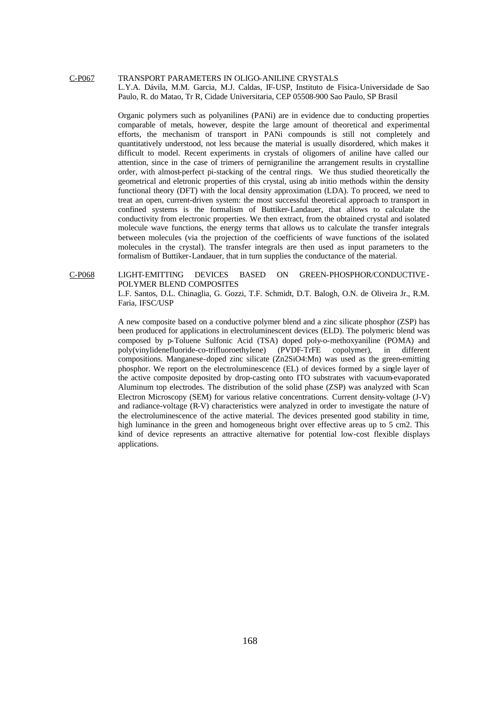# C-P067 TRANSPORT PARAMETERS IN OLIGO-ANILINE CRYSTALS L.Y.A. Dávila, M.M. Garcia, M.J. Caldas, IF-USP, Instituto de Fisica-Universidade de Sao Paulo, R. do Matao, Tr R, Cidade Universitaria, CEP 05508-900 Sao Paulo, SP Brasil

Organic polymers such as polyanilines (PANi) are in evidence due to conducting properties comparable of metals, however, despite the large amount of theoretical and experimental efforts, the mechanism of transport in PANi compounds is still not completely and quantitatively understood, not less because the material is usually disordered, which makes it difficult to model. Recent experiments in crystals of oligomers of aniline have called our attention, since in the case of trimers of pernigraniline the arrangement results in crystalline order, with almost-perfect pi-stacking of the central rings. We thus studied theoretically the geometrical and eletronic properties of this crystal, using ab initio methods within the density functional theory (DFT) with the local density approximation (LDA). To proceed, we need to treat an open, current-driven system: the most successful theoretical approach to transport in confined systems is the formalism of Buttiker-Landauer, that allows to calculate the conductivity from electronic properties. We then extract, from the obtained crystal and isolated molecule wave functions, the energy terms that allows us to calculate the transfer integrals between molecules (via the projection of the coefficients of wave functions of the isolated molecules in the crystal). The transfer integrals are then used as input parameters to the formalism of Buttiker-Landauer, that in turn supplies the conductance of the material.

#### C-P068 LIGHT-EMITTING DEVICES BASED ON GREEN-PHOSPHOR/CONDUCTIVE-POLYMER BLEND COMPOSITES

L.F. Santos, D.L. Chinaglia, G. Gozzi, T.F. Schmidt, D.T. Balogh, O.N. de Oliveira Jr., R.M. Faria, IFSC/USP

A new composite based on a conductive polymer blend and a zinc silicate phosphor (ZSP) has been produced for applications in electroluminescent devices (ELD). The polymeric blend was composed by p-Toluene Sulfonic Acid (TSA) doped poly-o-methoxyaniline (POMA) and poly(vinylidenefluoride-co-trifluoroethylene) (PVDF-TrFE copolymer), in different compositions. Manganese-doped zinc silicate (Zn2SiO4:Mn) was used as the green-emitting phosphor. We report on the electroluminescence (EL) of devices formed by a single layer of the active composite deposited by drop-casting onto ITO substrates with vacuum-evaporated Aluminum top electrodes. The distribution of the solid phase (ZSP) was analyzed with Scan Electron Microscopy (SEM) for various relative concentrations. Current density-voltage (J-V) and radiance-voltage (R-V) characteristics were analyzed in order to investigate the nature of the electroluminescence of the active material. The devices presented good stability in time, high luminance in the green and homogeneous bright over effective areas up to 5 cm2. This kind of device represents an attractive alternative for potential low-cost flexible displays applications.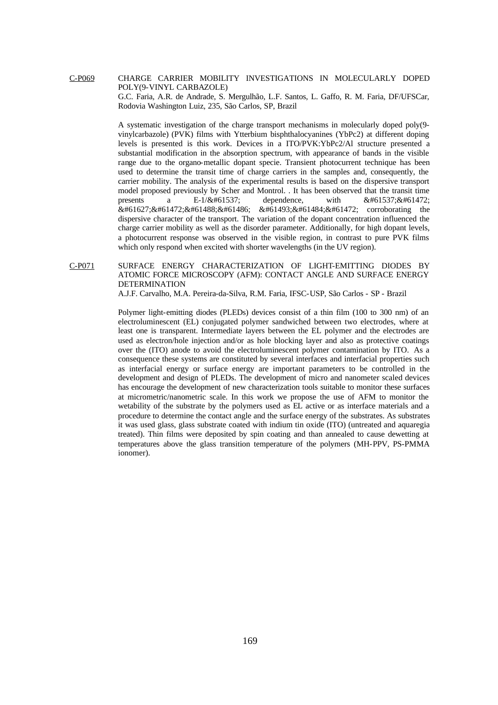C-P069 CHARGE CARRIER MOBILITY INVESTIGATIONS IN MOLECULARLY DOPED POLY(9-VINYL CARBAZOLE)

> G.C. Faria, A.R. de Andrade, S. Mergulhão, L.F. Santos, L. Gaffo, R. M. Faria, DF/UFSCar, Rodovia Washington Luiz, 235, São Carlos, SP, Brazil

> A systematic investigation of the charge transport mechanisms in molecularly doped poly(9 vinylcarbazole) (PVK) films with Ytterbium bisphthalocyanines (YbPc2) at different doping levels is presented is this work. Devices in a ITO/PVK:YbPc2/Al structure presented a substantial modification in the absorption spectrum, with appearance of bands in the visible range due to the organo-metallic dopant specie. Transient photocurrent technique has been used to determine the transit time of charge carriers in the samples and, consequently, the carrier mobility. The analysis of the experimental results is based on the dispersive transport model proposed previously by Scher and Montrol. . It has been observed that the transit time presents a E-1/ $\&$ #61537; dependence, with  $\&$ #61537; $\&$ #61472;   corroborating the dispersive character of the transport. The variation of the dopant concentration influenced the charge carrier mobility as well as the disorder parameter. Additionally, for high dopant levels, a photocurrent response was observed in the visible region, in contrast to pure PVK films which only respond when excited with shorter wavelengths (in the UV region).

# C-P071 SURFACE ENERGY CHARACTERIZATION OF LIGHT-EMITTING DIODES BY ATOMIC FORCE MICROSCOPY (AFM): CONTACT ANGLE AND SURFACE ENERGY DETERMINATION

A.J.F. Carvalho, M.A. Pereira-da-Silva, R.M. Faria, IFSC-USP, São Carlos - SP - Brazil

Polymer light-emitting diodes (PLEDs) devices consist of a thin film (100 to 300 nm) of an electroluminescent (EL) conjugated polymer sandwiched between two electrodes, where at least one is transparent. Intermediate layers between the EL polymer and the electrodes are used as electron/hole injection and/or as hole blocking layer and also as protective coatings over the (ITO) anode to avoid the electroluminescent polymer contamination by ITO. As a consequence these systems are constituted by several interfaces and interfacial properties such as interfacial energy or surface energy are important parameters to be controlled in the development and design of PLEDs. The development of micro and nanometer scaled devices has encourage the development of new characterization tools suitable to monitor these surfaces at micrometric/nanometric scale. In this work we propose the use of AFM to monitor the wetability of the substrate by the polymers used as EL active or as interface materials and a procedure to determine the contact angle and the surface energy of the substrates. As substrates it was used glass, glass substrate coated with indium tin oxide (ITO) (untreated and aquaregia treated). Thin films were deposited by spin coating and than annealed to cause dewetting at temperatures above the glass transition temperature of the polymers (MH-PPV, PS-PMMA ionomer).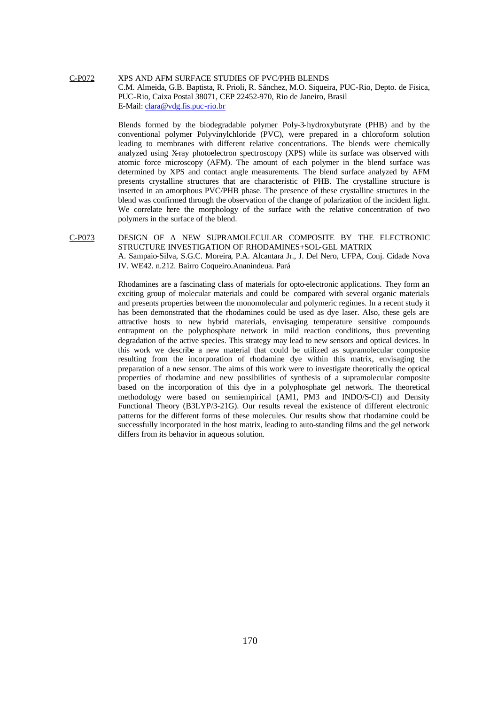C-P072 XPS AND AFM SURFACE STUDIES OF PVC/PHB BLENDS C.M. Almeida, G.B. Baptista, R. Prioli, R. Sánchez, M.O. Siqueira, PUC-Rio, Depto. de Fisica, PUC-Rio, Caixa Postal 38071, CEP 22452-970, Rio de Janeiro, Brasil E-Mail: clara@vdg.fis.puc-rio.br

> Blends formed by the biodegradable polymer Poly-3-hydroxybutyrate (PHB) and by the conventional polymer Polyvinylchloride (PVC), were prepared in a chloroform solution leading to membranes with different relative concentrations. The blends were chemically analyzed using X-ray photoelectron spectroscopy (XPS) while its surface was observed with atomic force microscopy (AFM). The amount of each polymer in the blend surface was determined by XPS and contact angle measurements. The blend surface analyzed by AFM presents crystalline structures that are characteristic of PHB. The crystalline structure is inserted in an amorphous PVC/PHB phase. The presence of these crystalline structures in the blend was confirmed through the observation of the change of polarization of the incident light. We correlate here the morphology of the surface with the relative concentration of two polymers in the surface of the blend.

# C-P073 DESIGN OF A NEW SUPRAMOLECULAR COMPOSITE BY THE ELECTRONIC STRUCTURE INVESTIGATION OF RHODAMINES+SOL-GEL MATRIX A. Sampaio-Silva, S.G.C. Moreira, P.A. Alcantara Jr., J. Del Nero, UFPA, Conj. Cidade Nova IV. WE42. n.212. Bairro Coqueiro.Ananindeua. Pará

Rhodamines are a fascinating class of materials for opto-electronic applications. They form an exciting group of molecular materials and could be compared with several organic materials and presents properties between the monomolecular and polymeric regimes. In a recent study it has been demonstrated that the rhodamines could be used as dye laser. Also, these gels are attractive hosts to new hybrid materials, envisaging temperature sensitive compounds entrapment on the polyphosphate network in mild reaction conditions, thus preventing degradation of the active species. This strategy may lead to new sensors and optical devices. In this work we describe a new material that could be utilized as supramolecular composite resulting from the incorporation of rhodamine dye within this matrix, envisaging the preparation of a new sensor. The aims of this work were to investigate theoretically the optical properties of rhodamine and new possibilities of synthesis of a supramolecular composite based on the incorporation of this dye in a polyphosphate gel network. The theoretical methodology were based on semiempirical (AM1, PM3 and INDO/S-CI) and Density Functional Theory (B3LYP/3-21G). Our results reveal the existence of different electronic patterns for the different forms of these molecules. Our results show that rhodamine could be successfully incorporated in the host matrix, leading to auto-standing films and the gel network differs from its behavior in aqueous solution.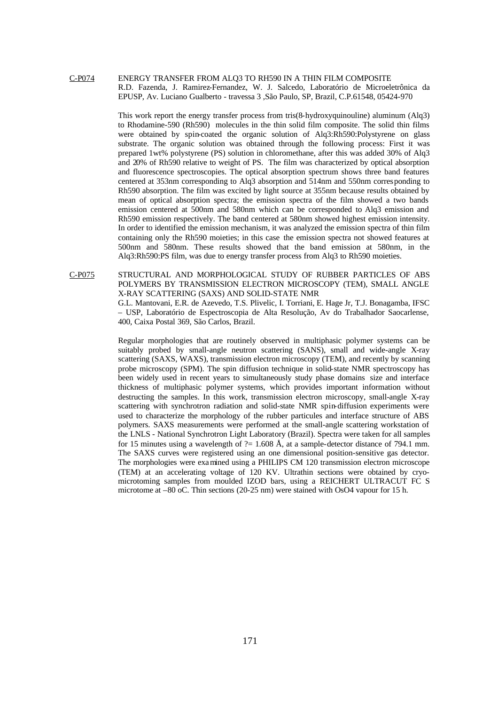# C-P074 ENERGY TRANSFER FROM ALQ3 TO RH590 IN A THIN FILM COMPOSITE R.D. Fazenda, J. Ramirez-Fernandez, W. J. Salcedo, Laboratório de Microeletrônica da EPUSP, Av. Luciano Gualberto - travessa 3 ,São Paulo, SP, Brazil, C.P.61548, 05424-970

This work report the energy transfer process from tris(8-hydroxyquinouline) aluminum (Alq3) to Rhodamine-590 (Rh590) molecules in the thin solid film composite. The solid thin films were obtained by spin-coated the organic solution of Alq3:Rh590:Polystyrene on glass substrate. The organic solution was obtained through the following process: First it was prepared 1wt% polystyrene (PS) solution in chloromethane, after this was added 30% of Alq3 and 20% of Rh590 relative to weight of PS. The film was characterized by optical absorption and fluorescence spectroscopies. The optical absorption spectrum shows three band features centered at 353nm corresponding to Alq3 absorption and 514nm and 550nm corresponding to Rh590 absorption. The film was excited by light source at 355nm because results obtained by mean of optical absorption spectra; the emission spectra of the film showed a two bands emission centered at 500nm and 580nm which can be corresponded to Alq3 emission and Rh590 emission respectively. The band centered at 580nm showed highest emission intensity. In order to identified the emission mechanism, it was analyzed the emission spectra of thin film containing only the Rh590 moieties; in this case the emission spectra not showed features at 500nm and 580nm. These results showed that the band emission at 580nm, in the Alq3:Rh590:PS film, was due to energy transfer process from Alq3 to Rh590 moieties.

C-P075 STRUCTURAL AND MORPHOLOGICAL STUDY OF RUBBER PARTICLES OF ABS POLYMERS BY TRANSMISSION ELECTRON MICROSCOPY (TEM), SMALL ANGLE X-RAY SCATTERING (SAXS) AND SOLID-STATE NMR G.L. Mantovani, E.R. de Azevedo, T.S. Plivelic, I. Torriani, E. Hage Jr, T.J. Bonagamba, IFSC – USP, Laboratório de Espectroscopia de Alta Resolução, Av do Trabalhador Saocarlense, 400, Caixa Postal 369, São Carlos, Brazil.

> Regular morphologies that are routinely observed in multiphasic polymer systems can be suitably probed by small-angle neutron scattering (SANS), small and wide-angle X-ray scattering (SAXS, WAXS), transmission electron microscopy (TEM), and recently by scanning probe microscopy (SPM). The spin diffusion technique in solid-state NMR spectroscopy has been widely used in recent years to simultaneously study phase domains size and interface thickness of multiphasic polymer systems, which provides important information without destructing the samples. In this work, transmission electron microscopy, small-angle X-ray scattering with synchrotron radiation and solid-state NMR spin-diffusion experiments were used to characterize the morphology of the rubber particules and interface structure of ABS polymers. SAXS measurements were performed at the small-angle scattering workstation of the LNLS - National Synchrotron Light Laboratory (Brazil). Spectra were taken for all samples for 15 minutes using a wavelength of  $? = 1.608 \text{ Å}$ , at a sample-detector distance of 794.1 mm. The SAXS curves were registered using an one dimensional position-sensitive gas detector. The morphologies were examined using a PHILIPS CM 120 transmission electron microscope (TEM) at an accelerating voltage of 120 KV. Ultrathin sections were obtained by cryomicrotoming samples from moulded IZOD bars, using a REICHERT ULTRACUT FC S microtome at –80 oC. Thin sections (20-25 nm) were stained with OsO4 vapour for 15 h.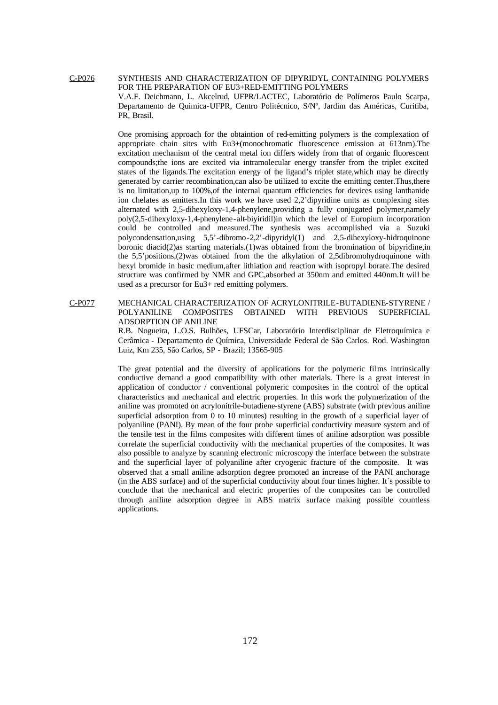C-P076 SYNTHESIS AND CHARACTERIZATION OF DIPYRIDYL CONTAINING POLYMERS FOR THE PREPARATION OF EU3+RED-EMITTING POLYMERS V.A.F. Deichmann, L. Akcelrud, UFPR/LACTEC, Laboratório de Polímeros Paulo Scarpa, Departamento de Quimica-UFPR, Centro Politécnico, S/Nº, Jardim das Américas, Curitiba, PR, Brasil.

> One promising approach for the obtaintion of red-emitting polymers is the complexation of appropriate chain sites with Eu3+(monochromatic fluorescence emission at 613nm).The excitation mechanism of the central metal ion differs widely from that of organic fluorescent compounds;the ions are excited via intramolecular energy transfer from the triplet excited states of the ligands.The excitation energy of the ligand's triplet state,which may be directly generated by carrier recombination,can also be utilized to excite the emitting center.Thus,there is no limitation,up to 100%,of the internal quantum efficiencies for devices using lanthanide ion chelates as emitters.In this work we have used 2,2'dipyridine units as complexing sites alternated with 2,5-dihexyloxy-1,4-phenylene,providing a fully conjugated polymer,namely poly(2,5-dihexyloxy-1,4-phenylene-alt-biyiridil)in which the level of Europium incorporation could be controlled and measured.The synthesis was accomplished via a Suzuki polycondensation,using 5,5'-dibromo-2,2'-dipyridyl(1) and 2,5-dihexyloxy-hidroquinone boronic diacid(2)as starting materials.(1)was obtained from the bromination of bipyridine,in the 5,5'positions,(2)was obtained from the the alkylation of 2,5dibromohydroquinone with hexyl bromide in basic medium,after lithiation and reaction with isopropyl borate.The desired structure was confirmed by NMR and GPC,absorbed at 350nm and emitted 440nm.It will be used as a precursor for Eu3+ red emitting polymers.

C-P077 MECHANICAL CHARACTERIZATION OF ACRYLONITRILE-BUTADIENE-STYRENE / POLYANILINE COMPOSITES OBTAINED WITH PREVIOUS SUPERFICIAL ADSORPTION OF ANILINE

> R.B. Nogueira, L.O.S. Bulhões, UFSCar, Laboratório Interdisciplinar de Eletroquímica e Cerâmica - Departamento de Química, Universidade Federal de São Carlos. Rod. Washington Luiz, Km 235, São Carlos, SP - Brazil; 13565-905

> The great potential and the diversity of applications for the polymeric films intrinsically conductive demand a good compatibility with other materials. There is a great interest in application of conductor / conventional polymeric composites in the control of the optical characteristics and mechanical and electric properties. In this work the polymerization of the aniline was promoted on acrylonitrile-butadiene-styrene (ABS) substrate (with previous aniline superficial adsorption from 0 to 10 minutes) resulting in the growth of a superficial layer of polyaniline (PANI). By mean of the four probe superficial conductivity measure system and of the tensile test in the films composites with different times of aniline adsorption was possible correlate the superficial conductivity with the mechanical properties of the composites. It was also possible to analyze by scanning electronic microscopy the interface between the substrate and the superficial layer of polyaniline after cryogenic fracture of the composite. It was observed that a small aniline adsorption degree promoted an increase of the PANI anchorage (in the ABS surface) and of the superficial conductivity about four times higher. It´s possible to conclude that the mechanical and electric properties of the composites can be controlled through aniline adsorption degree in ABS matrix surface making possible countless applications.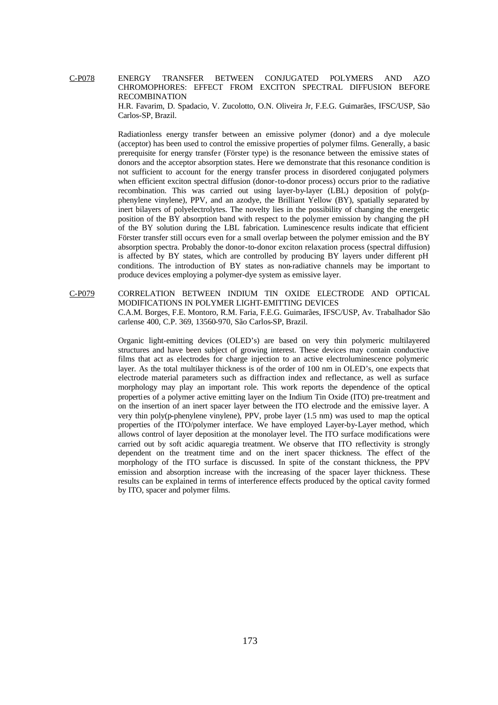C-P078 ENERGY TRANSFER BETWEEN CONJUGATED POLYMERS AND AZO CHROMOPHORES: EFFECT FROM EXCITON SPECTRAL DIFFUSION BEFORE RECOMBINATION

H.R. Favarim, D. Spadacio, V. Zucolotto, O.N. Oliveira Jr, F.E.G. Guimarães, IFSC/USP, São Carlos-SP, Brazil.

Radiationless energy transfer between an emissive polymer (donor) and a dye molecule (acceptor) has been used to control the emissive properties of polymer films. Generally, a basic prerequisite for energy transfer (Förster type) is the resonance between the emissive states of donors and the acceptor absorption states. Here we demonstrate that this resonance condition is not sufficient to account for the energy transfer process in disordered conjugated polymers when efficient exciton spectral diffusion (donor-to-donor process) occurs prior to the radiative recombination. This was carried out using layer-by-layer (LBL) deposition of poly(pphenylene vinylene), PPV, and an azodye, the Brilliant Yellow (BY), spatially separated by inert bilayers of polyelectrolytes. The novelty lies in the possibility of changing the energetic position of the BY absorption band with respect to the polymer emission by changing the pH of the BY solution during the LBL fabrication. Luminescence results indicate that efficient Förster transfer still occurs even for a small overlap between the polymer emission and the BY absorption spectra. Probably the donor-to-donor exciton relaxation process (spectral diffusion) is affected by BY states, which are controlled by producing BY layers under different pH conditions. The introduction of BY states as non-radiative channels may be important to produce devices employing a polymer-dye system as emissive layer.

C-P079 CORRELATION BETWEEN INDIUM TIN OXIDE ELECTRODE AND OPTICAL MODIFICATIONS IN POLYMER LIGHT-EMITTING DEVICES C.A.M. Borges, F.E. Montoro, R.M. Faria, F.E.G. Guimarães, IFSC/USP, Av. Trabalhador São carlense 400, C.P. 369, 13560-970, São Carlos-SP, Brazil.

> Organic light-emitting devices (OLED's) are based on very thin polymeric multilayered structures and have been subject of growing interest. These devices may contain conductive films that act as electrodes for charge injection to an active electroluminescence polymeric layer. As the total multilayer thickness is of the order of 100 nm in OLED's, one expects that electrode material parameters such as diffraction index and reflectance, as well as surface morphology may play an important role. This work reports the dependence of the optical properties of a polymer active emitting layer on the Indium Tin Oxide (ITO) pre-treatment and on the insertion of an inert spacer layer between the ITO electrode and the emissive layer. A very thin poly(p-phenylene vinylene), PPV, probe layer (1.5 nm) was used to map the optical properties of the ITO/polymer interface. We have employed Layer-by-Layer method, which allows control of layer deposition at the monolayer level. The ITO surface modifications were carried out by soft acidic aquaregia treatment. We observe that ITO reflectivity is strongly dependent on the treatment time and on the inert spacer thickness. The effect of the morphology of the ITO surface is discussed. In spite of the constant thickness, the PPV emission and absorption increase with the increasing of the spacer layer thickness. These results can be explained in terms of interference effects produced by the optical cavity formed by ITO, spacer and polymer films.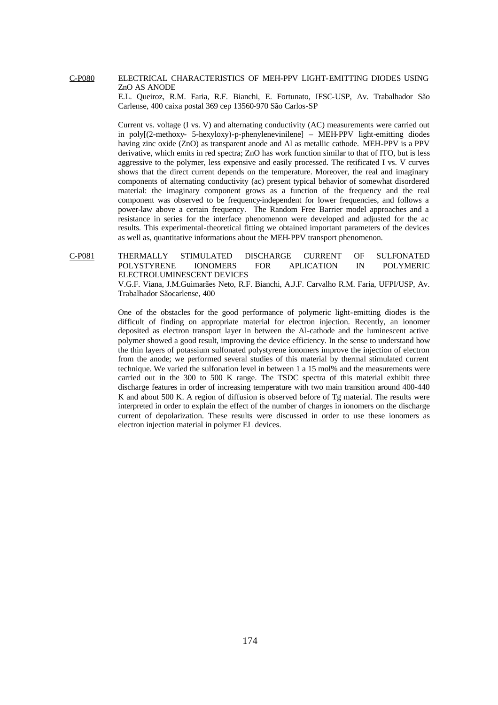## C-P080 ELECTRICAL CHARACTERISTICS OF MEH-PPV LIGHT-EMITTING DIODES USING ZnO AS ANODE

E.L. Queiroz, R.M. Faria, R.F. Bianchi, E. Fortunato, IFSC-USP, Av. Trabalhador São Carlense, 400 caixa postal 369 cep 13560-970 São Carlos-SP

Current vs. voltage (I vs. V) and alternating conductivity (AC) measurements were carried out in poly[(2-methoxy- 5-hexyloxy)-p-phenylenevinilene] – MEH-PPV light-emitting diodes having zinc oxide (ZnO) as transparent anode and Al as metallic cathode. MEH-PPV is a PPV derivative, which emits in red spectra; ZnO has work function similar to that of ITO, but is less aggressive to the polymer, less expensive and easily processed. The retificated I vs. V curves shows that the direct current depends on the temperature. Moreover, the real and imaginary components of alternating conductivity (ac) present typical behavior of somewhat disordered material: the imaginary component grows as a function of the frequency and the real component was observed to be frequency-independent for lower frequencies, and follows a power-law above a certain frequency. The Random Free Barrier model approaches and a resistance in series for the interface phenomenon were developed and adjusted for the ac results. This experimental-theoretical fitting we obtained important parameters of the devices as well as, quantitative informations about the MEH-PPV transport phenomenon.

C-P081 THERMALLY STIMULATED DISCHARGE CURRENT OF SULFONATED POLYSTYRENE IONOMERS FOR APLICATION IN POLYMERIC ELECTROLUMINESCENT DEVICES

> V.G.F. Viana, J.M.Guimarães Neto, R.F. Bianchi, A.J.F. Carvalho R.M. Faria, UFPI/USP, Av. Trabalhador Sãocarlense, 400

> One of the obstacles for the good performance of polymeric light-emitting diodes is the difficult of finding on appropriate material for electron injection. Recently, an ionomer deposited as electron transport layer in between the Al-cathode and the luminescent active polymer showed a good result, improving the device efficiency. In the sense to understand how the thin layers of potassium sulfonated polystyrene ionomers improve the injection of electron from the anode; we performed several studies of this material by thermal stimulated current technique. We varied the sulfonation level in between 1 a 15 mol% and the measurements were carried out in the 300 to 500 K range. The TSDC spectra of this material exhibit three discharge features in order of increasing temperature with two main transition around 400-440 K and about 500 K. A region of diffusion is observed before of Tg material. The results were interpreted in order to explain the effect of the number of charges in ionomers on the discharge current of depolarization. These results were discussed in order to use these ionomers as electron injection material in polymer EL devices.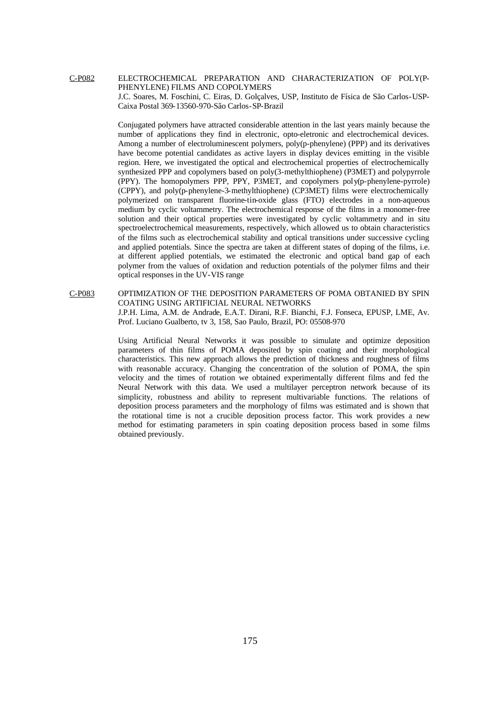C-P082 ELECTROCHEMICAL PREPARATION AND CHARACTERIZATION OF POLY(P-PHENYLENE) FILMS AND COPOLYMERS

J.C. Soares, M. Foschini, C. Eiras, D. Golçalves, USP, Instituto de Física de São Carlos-USP-Caixa Postal 369-13560-970-São Carlos-SP-Brazil

Conjugated polymers have attracted considerable attention in the last years mainly because the number of applications they find in electronic, opto-eletronic and electrochemical devices. Among a number of electroluminescent polymers, poly(p-phenylene) (PPP) and its derivatives have become potential candidates as active layers in display devices emitting in the visible region. Here, we investigated the optical and electrochemical properties of electrochemically synthesized PPP and copolymers based on poly(3-methylthiophene) (P3MET) and polypyrrole (PPY). The homopolymers PPP, PPY, P3MET, and copolymers poly(p-phenylene-pyrrole) (CPPY), and poly(p-phenylene-3-methylthiophene) (CP3MET) films were electrochemically polymerized on transparent fluorine-tin-oxide glass (FTO) electrodes in a non-aqueous medium by cyclic voltammetry. The electrochemical response of the films in a monomer-free solution and their optical properties were investigated by cyclic voltammetry and in situ spectroelectrochemical measurements, respectively, which allowed us to obtain characteristics of the films such as electrochemical stability and optical transitions under successive cycling and applied potentials. Since the spectra are taken at different states of doping of the films, i.e. at different applied potentials, we estimated the electronic and optical band gap of each polymer from the values of oxidation and reduction potentials of the polymer films and their optical responses in the UV-VIS range

# C-P083 OPTIMIZATION OF THE DEPOSITION PARAMETERS OF POMA OBTANIED BY SPIN COATING USING ARTIFICIAL NEURAL NETWORKS J.P.H. Lima, A.M. de Andrade, E.A.T. Dirani, R.F. Bianchi, F.J. Fonseca, EPUSP, LME, Av. Prof. Luciano Gualberto, tv 3, 158, Sao Paulo, Brazil, PO: 05508-970

Using Artificial Neural Networks it was possible to simulate and optimize deposition parameters of thin films of POMA deposited by spin coating and their morphological characteristics. This new approach allows the prediction of thickness and roughness of films with reasonable accuracy. Changing the concentration of the solution of POMA, the spin velocity and the times of rotation we obtained experimentally different films and fed the Neural Network with this data. We used a multilayer perceptron network because of its simplicity, robustness and ability to represent multivariable functions. The relations of deposition process parameters and the morphology of films was estimated and is shown that the rotational time is not a crucible deposition process factor. This work provides a new method for estimating parameters in spin coating deposition process based in some films obtained previously.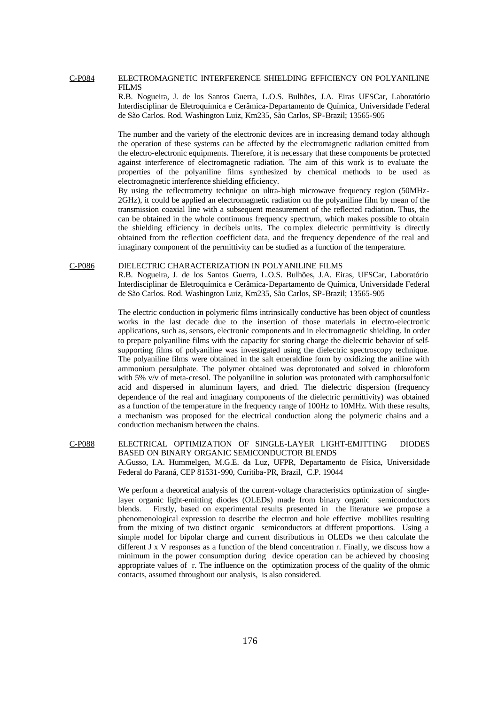#### C-P084 ELECTROMAGNETIC INTERFERENCE SHIELDING EFFICIENCY ON POLYANILINE FILMS

R.B. Nogueira, J. de los Santos Guerra, L.O.S. Bulhões, J.A. Eiras UFSCar, Laboratório Interdisciplinar de Eletroquímica e Cerâmica-Departamento de Química, Universidade Federal de São Carlos. Rod. Washington Luiz, Km235, São Carlos, SP-Brazil; 13565-905

The number and the variety of the electronic devices are in increasing demand today although the operation of these systems can be affected by the electromagnetic radiation emitted from the electro-electronic equipments. Therefore, it is necessary that these components be protected against interference of electromagnetic radiation. The aim of this work is to evaluate the properties of the polyaniline films synthesized by chemical methods to be used as electromagnetic interference shielding efficiency.

By using the reflectrometry technique on ultra-high microwave frequency region (50MHz-2GHz), it could be applied an electromagnetic radiation on the polyaniline film by mean of the transmission coaxial line with a subsequent measurement of the reflected radiation. Thus, the can be obtained in the whole continuous frequency spectrum, which makes possible to obtain the shielding efficiency in decibels units. The complex dielectric permittivity is directly obtained from the reflection coefficient data, and the frequency dependence of the real and imaginary component of the permittivity can be studied as a function of the temperature.

#### C-P086 DIELECTRIC CHARACTERIZATION IN POLYANILINE FILMS

R.B. Nogueira, J. de los Santos Guerra, L.O.S. Bulhões, J.A. Eiras, UFSCar, Laboratório Interdisciplinar de Eletroquímica e Cerâmica-Departamento de Química, Universidade Federal de São Carlos. Rod. Washington Luiz, Km235, São Carlos, SP-Brazil; 13565-905

The electric conduction in polymeric films intrinsically conductive has been object of countless works in the last decade due to the insertion of those materials in electro-electronic applications, such as, sensors, electronic components and in electromagnetic shielding. In order to prepare polyaniline films with the capacity for storing charge the dielectric behavior of selfsupporting films of polyaniline was investigated using the dielectric spectroscopy technique. The polyaniline films were obtained in the salt emeraldine form by oxidizing the aniline with ammonium persulphate. The polymer obtained was deprotonated and solved in chloroform with 5% v/v of meta-cresol. The polyaniline in solution was protonated with camphorsulfonic acid and dispersed in aluminum layers, and dried. The dielectric dispersion (frequency dependence of the real and imaginary components of the dielectric permittivity) was obtained as a function of the temperature in the frequency range of 100Hz to 10MHz. With these results, a mechanism was proposed for the electrical conduction along the polymeric chains and a conduction mechanism between the chains.

# C-P088 ELECTRICAL OPTIMIZATION OF SINGLE-LAYER LIGHT-EMITTING DIODES BASED ON BINARY ORGANIC SEMICONDUCTOR BLENDS A.Gusso, I.A. Hummelgen, M.G.E. da Luz, UFPR, Departamento de Física, Universidade Federal do Paraná, CEP 81531-990, Curitiba-PR, Brazil, C.P. 19044

We perform a theoretical analysis of the current-voltage characteristics optimization of singlelayer organic light-emitting diodes (OLEDs) made from binary organic semiconductors blends. Firstly, based on experimental results presented in the literature we propose a phenomenological expression to describe the electron and hole effective mobilites resulting from the mixing of two distinct organic semiconductors at different proportions. Using a simple model for bipolar charge and current distributions in OLEDs we then calculate the different J x V responses as a function of the blend concentration r. Finally, we discuss how a minimum in the power consumption during device operation can be achieved by choosing appropriate values of r. The influence on the optimization process of the quality of the ohmic contacts, assumed throughout our analysis, is also considered.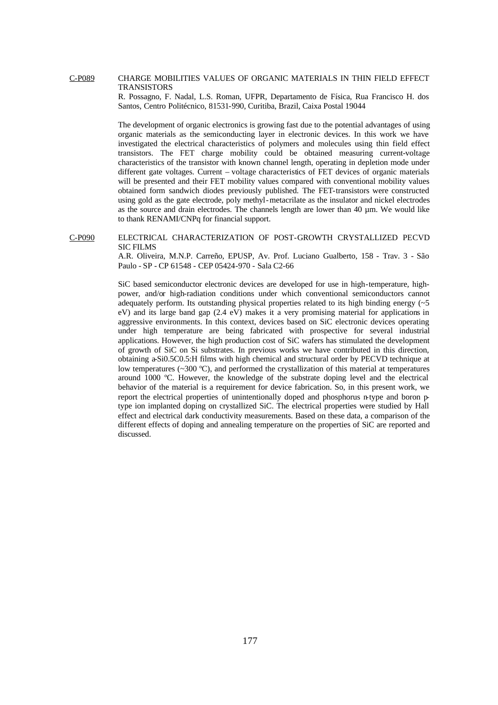## C-P089 CHARGE MOBILITIES VALUES OF ORGANIC MATERIALS IN THIN FIELD EFFECT TRANSISTORS

R. Possagno, F. Nadal, L.S. Roman, UFPR, Departamento de Física, Rua Francisco H. dos Santos, Centro Politécnico, 81531-990, Curitiba, Brazil, Caixa Postal 19044

The development of organic electronics is growing fast due to the potential advantages of using organic materials as the semiconducting layer in electronic devices. In this work we have investigated the electrical characteristics of polymers and molecules using thin field effect transistors. The FET charge mobility could be obtained measuring current-voltage characteristics of the transistor with known channel length, operating in depletion mode under different gate voltages. Current – voltage characteristics of FET devices of organic materials will be presented and their FET mobility values compared with conventional mobility values obtained form sandwich diodes previously published. The FET-transistors were constructed using gold as the gate electrode, poly methyl-metacrilate as the insulator and nickel electrodes as the source and drain electrodes. The channels length are lower than 40 µm. We would like to thank RENAMI/CNPq for financial support.

### C-P090 ELECTRICAL CHARACTERIZATION OF POST-GROWTH CRYSTALLIZED PECVD SIC FILMS

A.R. Oliveira, M.N.P. Carreño, EPUSP, Av. Prof. Luciano Gualberto, 158 - Trav. 3 - São Paulo - SP - CP 61548 - CEP 05424-970 - Sala C2-66

SiC based semiconductor electronic devices are developed for use in high-temperature, highpower, and/or high-radiation conditions under which conventional semiconductors cannot adequately perform. Its outstanding physical properties related to its high binding energy  $(\sim 5$ eV) and its large band gap (2.4 eV) makes it a very promising material for applications in aggressive environments. In this context, devices based on SiC electronic devices operating under high temperature are being fabricated with prospective for several industrial applications. However, the high production cost of SiC wafers has stimulated the development of growth of SiC on Si substrates. In previous works we have contributed in this direction, obtaining a-Si0.5C0.5:H films with high chemical and structural order by PECVD technique at low temperatures (~300 ºC), and performed the crystallization of this material at temperatures around 1000 ºC. However, the knowledge of the substrate doping level and the electrical behavior of the material is a requirement for device fabrication. So, in this present work, we report the electrical properties of unintentionally doped and phosphorus n-type and boron ptype ion implanted doping on crystallized SiC. The electrical properties were studied by Hall effect and electrical dark conductivity measurements. Based on these data, a comparison of the different effects of doping and annealing temperature on the properties of SiC are reported and discussed.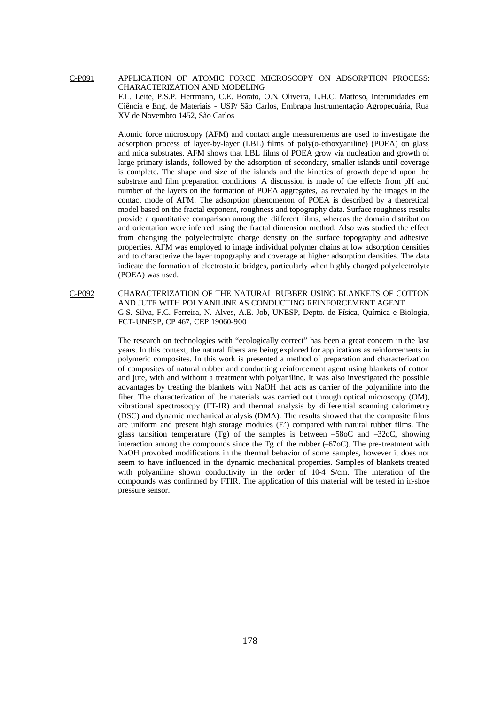C-P091 APPLICATION OF ATOMIC FORCE MICROSCOPY ON ADSORPTION PROCESS: CHARACTERIZATION AND MODELING F.L. Leite, P.S.P. Herrmann, C.E. Borato, O.N. Oliveira, L.H.C. Mattoso, Interunidades em Ciência e Eng. de Materiais - USP/ São Carlos, Embrapa Instrumentação Agropecuária, Rua

XV de Novembro 1452, São Carlos

Atomic force microscopy (AFM) and contact angle measurements are used to investigate the adsorption process of layer-by-layer (LBL) films of poly(o-ethoxyaniline) (POEA) on glass and mica substrates. AFM shows that LBL films of POEA grow via nucleation and growth of large primary islands, followed by the adsorption of secondary, smaller islands until coverage is complete. The shape and size of the islands and the kinetics of growth depend upon the substrate and film preparation conditions. A discussion is made of the effects from pH and number of the layers on the formation of POEA aggregates, as revealed by the images in the contact mode of AFM. The adsorption phenomenon of POEA is described by a theoretical model based on the fractal exponent, roughness and topography data. Surface roughness results provide a quantitative comparison among the different films, whereas the domain distribution and orientation were inferred using the fractal dimension method. Also was studied the effect from changing the polyelectrolyte charge density on the surface topography and adhesive properties. AFM was employed to image individual polymer chains at low adsorption densities and to characterize the layer topography and coverage at higher adsorption densities. The data indicate the formation of electrostatic bridges, particularly when highly charged polyelectrolyte (POEA) was used.

C-P092 CHARACTERIZATION OF THE NATURAL RUBBER USING BLANKETS OF COTTON AND JUTE WITH POLYANILINE AS CONDUCTING REINFORCEMENT AGENT G.S. Silva, F.C. Ferreira, N. Alves, A.E. Job, UNESP, Depto. de Física, Química e Biologia, FCT-UNESP, CP 467, CEP 19060-900

> The research on technologies with "ecologically correct" has been a great concern in the last years. In this context, the natural fibers are being explored for applications as reinforcements in polymeric composites. In this work is presented a method of preparation and characterization of composites of natural rubber and conducting reinforcement agent using blankets of cotton and jute, with and without a treatment with polyaniline. It was also investigated the possible advantages by treating the blankets with NaOH that acts as carrier of the polyaniline into the fiber. The characterization of the materials was carried out through optical microscopy (OM), vibrational spectrosocpy (FT-IR) and thermal analysis by differential scanning calorimetry (DSC) and dynamic mechanical analysis (DMA). The results showed that the composite films are uniform and present high storage modules (E') compared with natural rubber films. The glass tansition temperature  $(Tg)$  of the samples is between –58oC and –32oC, showing interaction among the compounds since the Tg of the rubber  $(-67 \text{oC})$ . The pre-treatment with NaOH provoked modifications in the thermal behavior of some samples, however it does not seem to have influenced in the dynamic mechanical properties. Samples of blankets treated with polyaniline shown conductivity in the order of 10-4 S/cm. The interation of the compounds was confirmed by FTIR. The application of this material will be tested in in-shoe pressure sensor.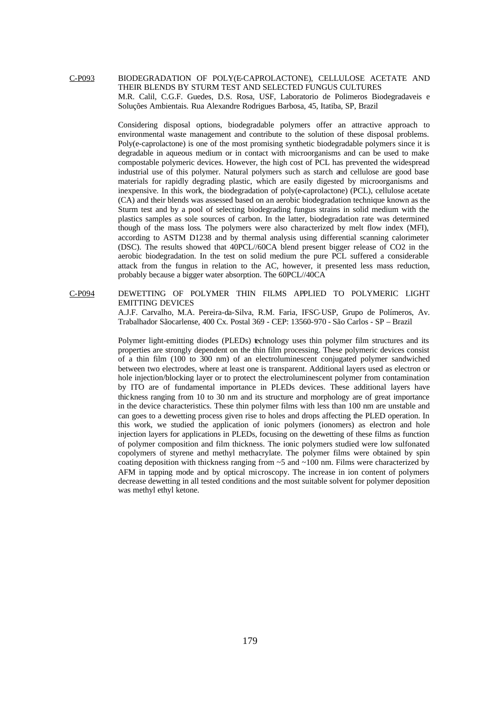C-P093 BIODEGRADATION OF POLY(E-CAPROLACTONE), CELLULOSE ACETATE AND THEIR BLENDS BY STURM TEST AND SELECTED FUNGUS CULTURES M.R. Calil, C.G.F. Guedes, D.S. Rosa, USF, Laboratorio de Polimeros Biodegradaveis e Soluções Ambientais. Rua Alexandre Rodrigues Barbosa, 45, Itatiba, SP, Brazil

> Considering disposal options, biodegradable polymers offer an attractive approach to environmental waste management and contribute to the solution of these disposal problems. Poly(e-caprolactone) is one of the most promising synthetic biodegradable polymers since it is degradable in aqueous medium or in contact with microorganisms and can be used to make compostable polymeric devices. However, the high cost of PCL has prevented the widespread industrial use of this polymer. Natural polymers such as starch and cellulose are good base materials for rapidly degrading plastic, which are easily digested by microorganisms and inexpensive. In this work, the biodegradation of poly(e-caprolactone) (PCL), cellulose acetate (CA) and their blends was assessed based on an aerobic biodegradation technique known as the Sturm test and by a pool of selecting biodegrading fungus strains in solid medium with the plastics samples as sole sources of carbon. In the latter, biodegradation rate was determined though of the mass loss. The polymers were also characterized by melt flow index (MFI), according to ASTM D1238 and by thermal analysis using differential scanning calorimeter (DSC). The results showed that 40PCL//60CA blend present bigger release of CO2 in the aerobic biodegradation. In the test on solid medium the pure PCL suffered a considerable attack from the fungus in relation to the AC, however, it presented less mass reduction, probably because a bigger water absorption. The 60PCL//40CA

C-P094 DEWETTING OF POLYMER THIN FILMS APPLIED TO POLYMERIC LIGHT EMITTING DEVICES

A.J.F. Carvalho, M.A. Pereira-da-Silva, R.M. Faria, IFSC-USP, Grupo de Polímeros, Av. Trabalhador Sãocarlense, 400 Cx. Postal 369 - CEP: 13560-970 - São Carlos - SP – Brazil

Polymer light-emitting diodes (PLEDs) technology uses thin polymer film structures and its properties are strongly dependent on the thin film processing. These polymeric devices consist of a thin film (100 to 300 nm) of an electroluminescent conjugated polymer sandwiched between two electrodes, where at least one is transparent. Additional layers used as electron or hole injection/blocking layer or to protect the electroluminescent polymer from contamination by ITO are of fundamental importance in PLEDs devices. These additional layers have thickness ranging from 10 to 30 nm and its structure and morphology are of great importance in the device characteristics. These thin polymer films with less than 100 nm are unstable and can goes to a dewetting process given rise to holes and drops affecting the PLED operation. In this work, we studied the application of ionic polymers (ionomers) as electron and hole injection layers for applications in PLEDs, focusing on the dewetting of these films as function of polymer composition and film thickness. The ionic polymers studied were low sulfonated copolymers of styrene and methyl methacrylate. The polymer films were obtained by spin coating deposition with thickness ranging from  $\sim$  5 and  $\sim$ 100 nm. Films were characterized by AFM in tapping mode and by optical microscopy. The increase in ion content of polymers decrease dewetting in all tested conditions and the most suitable solvent for polymer deposition was methyl ethyl ketone.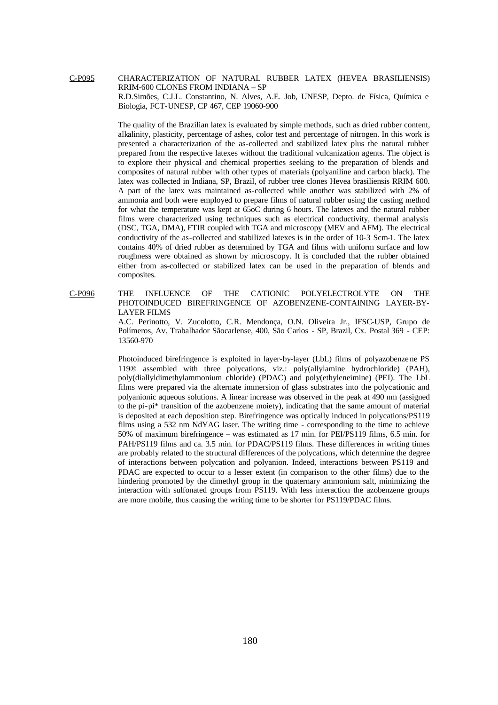C-P095 CHARACTERIZATION OF NATURAL RUBBER LATEX (HEVEA BRASILIENSIS) RRIM-600 CLONES FROM INDIANA – SP R.D.Simões, C.J.L. Constantino, N. Alves, A.E. Job, UNESP, Depto. de Física, Química e Biologia, FCT-UNESP, CP 467, CEP 19060-900

> The quality of the Brazilian latex is evaluated by simple methods, such as dried rubber content, alkalinity, plasticity, percentage of ashes, color test and percentage of nitrogen. In this work is presented a characterization of the as-collected and stabilized latex plus the natural rubber prepared from the respective latexes without the traditional vulcanization agents. The object is to explore their physical and chemical properties seeking to the preparation of blends and composites of natural rubber with other types of materials (polyaniline and carbon black). The latex was collected in Indiana, SP, Brazil, of rubber tree clones Hevea brasiliensis RRIM 600. A part of the latex was maintained as-collected while another was stabilized with 2% of ammonia and both were employed to prepare films of natural rubber using the casting method for what the temperature was kept at 65oC during 6 hours. The latexes and the natural rubber films were characterized using techniques such as electrical conductivity, thermal analysis (DSC, TGA, DMA), FTIR coupled with TGA and microscopy (MEV and AFM). The electrical conductivity of the as-collected and stabilized latexes is in the order of 10-3 Scm-1. The latex contains 40% of dried rubber as determined by TGA and films with uniform surface and low roughness were obtained as shown by microscopy. It is concluded that the rubber obtained either from as-collected or stabilized latex can be used in the preparation of blends and composites.

C-P096 THE INFLUENCE OF THE CATIONIC POLYELECTROLYTE ON THE PHOTOINDUCED BIREFRINGENCE OF AZOBENZENE-CONTAINING LAYER-BY-LAYER FILMS

A.C. Perinotto, V. Zucolotto, C.R. Mendonça, O.N. Oliveira Jr., IFSC-USP, Grupo de Polímeros, Av. Trabalhador Sãocarlense, 400, São Carlos - SP, Brazil, Cx. Postal 369 - CEP: 13560-970

Photoinduced birefringence is exploited in layer-by-layer (LbL) films of polyazobenze ne PS 119® assembled with three polycations, viz.: poly(allylamine hydrochloride) (PAH), poly(diallyldimethylammonium chloride) (PDAC) and poly(ethyleneimine) (PEI). The LbL films were prepared via the alternate immersion of glass substrates into the polycationic and polyanionic aqueous solutions. A linear increase was observed in the peak at 490 nm (assigned to the pi-pi\* transition of the azobenzene moiety), indicating that the same amount of material is deposited at each deposition step. Birefringence was optically induced in polycations/PS119 films using a 532 nm NdYAG laser. The writing time - corresponding to the time to achieve 50% of maximum birefringence – was estimated as 17 min. for PEI/PS119 films, 6.5 min. for PAH/PS119 films and ca. 3.5 min. for PDAC/PS119 films. These differences in writing times are probably related to the structural differences of the polycations, which determine the degree of interactions between polycation and polyanion. Indeed, interactions between PS119 and PDAC are expected to occur to a lesser extent (in comparison to the other films) due to the hindering promoted by the dimethyl group in the quaternary ammonium salt, minimizing the interaction with sulfonated groups from PS119. With less interaction the azobenzene groups are more mobile, thus causing the writing time to be shorter for PS119/PDAC films.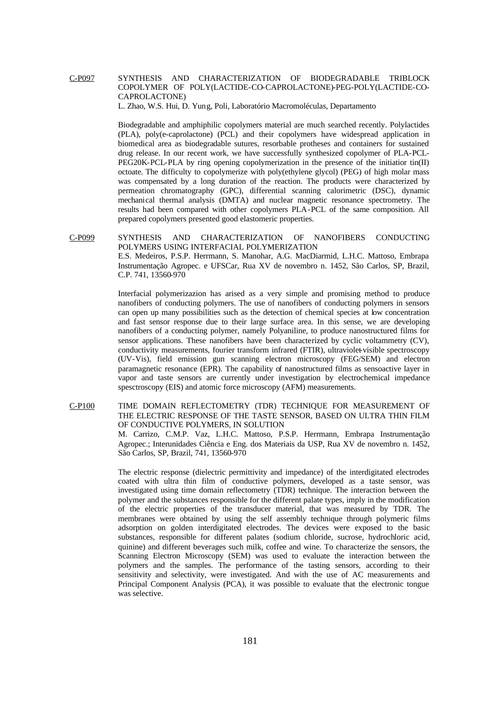# C-P097 SYNTHESIS AND CHARACTERIZATION OF BIODEGRADABLE TRIBLOCK COPOLYMER OF POLY(LACTIDE-CO-CAPROLACTONE)-PEG-POLY(LACTIDE-CO-CAPROLACTONE)

L. Zhao, W.S. Hui, D. Yung, Poli, Laboratório Macromoléculas, Departamento

Biodegradable and amphiphilic copolymers material are much searched recently. Polylactides (PLA), poly(e-caprolactone) (PCL) and their copolymers have widespread application in biomedical area as biodegradable sutures, resorbable protheses and containers for sustained drug release. In our recent work, we have successfully synthesized copolymer of PLA-PCL-PEG20K-PCL-PLA by ring opening copolymerization in the presence of the initiatior tin(II) octoate. The difficulty to copolymerize with poly(ethylene glycol) (PEG) of high molar mass was compensated by a long duration of the reaction. The products were characterized by permeation chromatography (GPC), differential scanning calorimetric (DSC), dynamic mechanical thermal analysis (DMTA) and nuclear magnetic resonance spectrometry. The results had been compared with other copolymers PLA-PCL of the same composition. All prepared copolymers presented good elastomeric properties.

C-P099 SYNTHESIS AND CHARACTERIZATION OF NANOFIBERS CONDUCTING POLYMERS USING INTERFACIAL POLYMERIZATION E.S. Medeiros, P.S.P. Herrmann, S. Manohar, A.G. MacDiarmid, L.H.C. Mattoso, Embrapa Instrumentação Agropec. e UFSCar, Rua XV de novembro n. 1452, São Carlos, SP, Brazil, C.P. 741, 13560-970

> Interfacial polymerizazion has arised as a very simple and promising method to produce nanofibers of conducting polymers. The use of nanofibers of conducting polymers in sensors can open up many possibilities such as the detection of chemical species at low concentration and fast sensor response due to their large surface area. In this sense, we are developing nanofibers of a conducting polymer, namely Polyaniline, to produce nanostructured films for sensor applications. These nanofibers have been characterized by cyclic voltammetry (CV), conductivity measurements, fourier transform infrared (FTIR), ultraviolet-visible spectroscopy (UV-Vis), field emission gun scanning electron microscopy (FEG/SEM) and electron paramagnetic resonance (EPR). The capability of nanostructured films as sensoactive layer in vapor and taste sensors are currently under investigation by electrochemical impedance spesctroscopy (EIS) and atomic force microscopy (AFM) measurements.

C-P100 TIME DOMAIN REFLECTOMETRY (TDR) TECHNIQUE FOR MEASUREMENT OF THE ELECTRIC RESPONSE OF THE TASTE SENSOR, BASED ON ULTRA THIN FILM OF CONDUCTIVE POLYMERS, IN SOLUTION M. Carrizo, C.M.P. Vaz, L.H.C. Mattoso, P.S.P. Herrmann, Embrapa Instrumentação Agropec.; Interunidades Ciência e Eng. dos Materiais da USP, Rua XV de novembro n. 1452, São Carlos, SP, Brazil, 741, 13560-970

> The electric response (dielectric permittivity and impedance) of the interdigitated electrodes coated with ultra thin film of conductive polymers, developed as a taste sensor, was investigated using time domain reflectometry (TDR) technique. The interaction between the polymer and the substances responsible for the different palate types, imply in the modification of the electric properties of the transducer material, that was measured by TDR. The membranes were obtained by using the self assembly technique through polymeric films adsorption on golden interdigitated electrodes. The devices were exposed to the basic substances, responsible for different palates (sodium chloride, sucrose, hydrochloric acid, quinine) and different beverages such milk, coffee and wine. To characterize the sensors, the Scanning Electron Microscopy (SEM) was used to evaluate the interaction between the polymers and the samples. The performance of the tasting sensors, according to their sensitivity and selectivity, were investigated. And with the use of AC measurements and Principal Component Analysis (PCA), it was possible to evaluate that the electronic tongue was selective.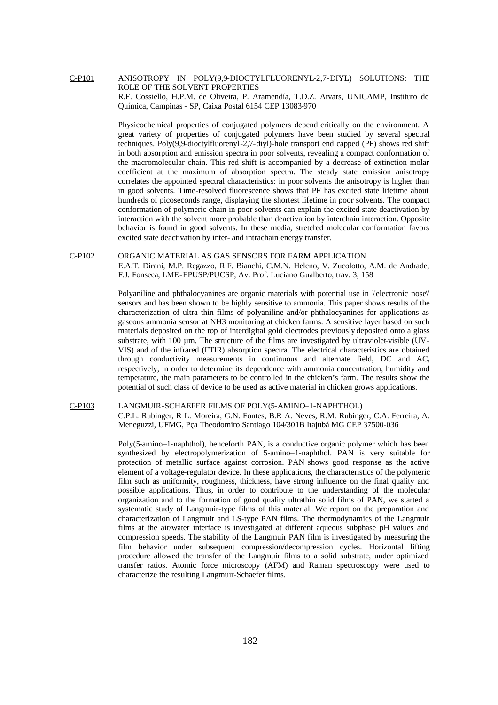C-P101 ANISOTROPY IN POLY(9,9-DIOCTYLFLUORENYL-2,7-DIYL) SOLUTIONS: THE ROLE OF THE SOLVENT PROPERTIES R.F. Cossiello, H.P.M. de Oliveira, P. Aramendía, T.D.Z. Atvars, UNICAMP, Instituto de Química, Campinas - SP, Caixa Postal 6154 CEP 13083-970

> Physicochemical properties of conjugated polymers depend critically on the environment. A great variety of properties of conjugated polymers have been studied by several spectral techniques. Poly(9,9-dioctylfluorenyl-2,7-diyl)-hole transport end capped (PF) shows red shift in both absorption and emission spectra in poor solvents, revealing a compact conformation of the macromolecular chain. This red shift is accompanied by a decrease of extinction molar coefficient at the maximum of absorption spectra. The steady state emission anisotropy correlates the appointed spectral characteristics: in poor solvents the anisotropy is higher than in good solvents. Time-resolved fluorescence shows that PF has excited state lifetime about hundreds of picoseconds range, displaying the shortest lifetime in poor solvents. The compact conformation of polymeric chain in poor solvents can explain the excited state deactivation by interaction with the solvent more probable than deactivation by interchain interaction. Opposite behavior is found in good solvents. In these media, stretched molecular conformation favors excited state deactivation by inter- and intrachain energy transfer.

#### C-P102 ORGANIC MATERIAL AS GAS SENSORS FOR FARM APPLICATION

E.A.T. Dirani, M.P. Regazzo, R.F. Bianchi, C.M.N. Heleno, V. Zucolotto, A.M. de Andrade, F.J. Fonseca, LME-EPUSP/PUCSP, Av. Prof. Luciano Gualberto, trav. 3, 158

Polyaniline and phthalocyanines are organic materials with potential use in \'electronic nose\' sensors and has been shown to be highly sensitive to ammonia. This paper shows results of the characterization of ultra thin films of polyaniline and/or phthalocyanines for applications as gaseous ammonia sensor at NH3 monitoring at chicken farms. A sensitive layer based on such materials deposited on the top of interdigital gold electrodes previously deposited onto a glass substrate, with 100 µm. The structure of the films are investigated by ultraviolet-visible (UV-VIS) and of the infrared (FTIR) absorption spectra. The electrical characteristics are obtained through conductivity measurements in continuous and alternate field, DC and AC, respectively, in order to determine its dependence with ammonia concentration, humidity and temperature, the main parameters to be controlled in the chicken's farm. The results show the potential of such class of device to be used as active material in chicken grows applications.

#### C-P103 LANGMUIR-SCHAEFER FILMS OF POLY(5-AMINO–1-NAPHTHOL)

C.P.L. Rubinger, R L. Moreira, G.N. Fontes, B.R A. Neves, R.M. Rubinger, C.A. Ferreira, A. Meneguzzi, UFMG, Pça Theodomiro Santiago 104/301B Itajubá MG CEP 37500-036

Poly(5-amino–1-naphthol), henceforth PAN, is a conductive organic polymer which has been synthesized by electropolymerization of 5-amino–1-naphthol. PAN is very suitable for protection of metallic surface against corrosion. PAN shows good response as the active element of a voltage-regulator device. In these applications, the characteristics of the polymeric film such as uniformity, roughness, thickness, have strong influence on the final quality and possible applications. Thus, in order to contribute to the understanding of the molecular organization and to the formation of good quality ultrathin solid films of PAN, we started a systematic study of Langmuir-type films of this material. We report on the preparation and characterization of Langmuir and LS-type PAN films. The thermodynamics of the Langmuir films at the air/water interface is investigated at different aqueous subphase pH values and compression speeds. The stability of the Langmuir PAN film is investigated by measuring the film behavior under subsequent compression/decompression cycles. Horizontal lifting procedure allowed the transfer of the Langmuir films to a solid substrate, under optimized transfer ratios. Atomic force microscopy (AFM) and Raman spectroscopy were used to characterize the resulting Langmuir-Schaefer films.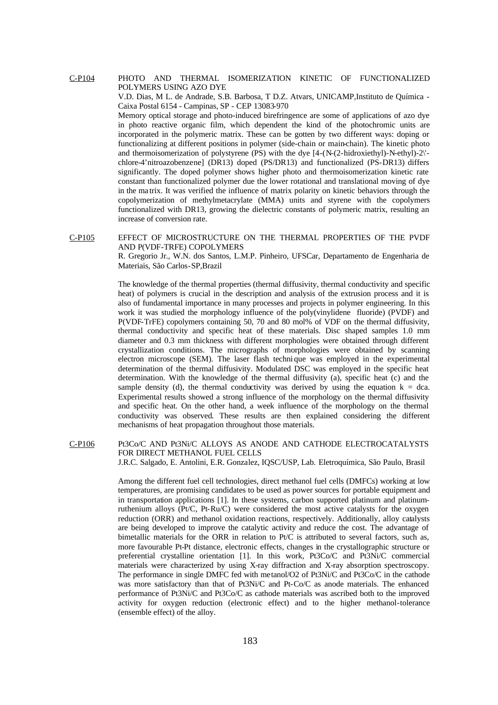C-P104 PHOTO AND THERMAL ISOMERIZATION KINETIC OF FUNCTIONALIZED POLYMERS USING AZO DYE

> V.D. Dias, M L. de Andrade, S.B. Barbosa, T D.Z. Atvars, UNICAMP,Instituto de Química - Caixa Postal 6154 - Campinas, SP - CEP 13083-970

> Memory optical storage and photo-induced birefringence are some of applications of azo dye in photo reactive organic film, which dependent the kind of the photochromic units are incorporated in the polymeric matrix. These can be gotten by two different ways: doping or functionalizing at different positions in polymer (side-chain or main-chain). The kinetic photo and thermoisomerization of polystyrene (PS) with the dye  $[4-(N-(2-hidroxiethyl)-N-ethyl)-2]$ chlore-4'nitroazobenzene] (DR13) doped (PS/DR13) and functionalized (PS-DR13) differs significantly. The doped polymer shows higher photo and thermoisomerization kinetic rate constant than functionalized polymer due the lower rotational and translational moving of dye in the ma trix. It was verified the influence of matrix polarity on kinetic behaviors through the copolymerization of methylmetacrylate (MMA) units and styrene with the copolymers functionalized with DR13, growing the dielectric constants of polymeric matrix, resulting an increase of conversion rate.

C-P105 EFFECT OF MICROSTRUCTURE ON THE THERMAL PROPERTIES OF THE PVDF AND P(VDF-TRFE) COPOLYMERS

R. Gregorio Jr., W.N. dos Santos, L.M.P. Pinheiro, UFSCar, Departamento de Engenharia de Materiais, São Carlos-SP,Brazil

The knowledge of the thermal properties (thermal diffusivity, thermal conductivity and specific heat) of polymers is crucial in the description and analysis of the extrusion process and it is also of fundamental importance in many processes and projects in polymer engineering. In this work it was studied the morphology influence of the poly(vinylidene fluoride) (PVDF) and P(VDF-TrFE) copolymers containing 50, 70 and 80 mol% of VDF on the thermal diffusivity, thermal conductivity and specific heat of these materials. Disc shaped samples 1.0 mm diameter and 0.3 mm thickness with different morphologies were obtained through different crystallization conditions. The micrographs of morphologies were obtained by scanning electron microscope (SEM). The laser flash techni que was employed in the experimental determination of the thermal diffusivity. Modulated DSC was employed in the specific heat determination. With the knowledge of the thermal diffusivity (a), specific heat (c) and the sample density (d), the thermal conductivity was derived by using the equation  $k = dca$ . Experimental results showed a strong influence of the morphology on the thermal diffusivity and specific heat. On the other hand, a week influence of the morphology on the thermal conductivity was observed. These results are then explained considering the different mechanisms of heat propagation throughout those materials.

C-P106 Pt3Co/C AND Pt3Ni/C ALLOYS AS ANODE AND CATHODE ELECTROCATALYSTS FOR DIRECT METHANOL FUEL CELLS J.R.C. Salgado, E. Antolini, E.R. Gonzalez, IQSC/USP, Lab. Eletroquímica, São Paulo, Brasil

> Among the different fuel cell technologies, direct methanol fuel cells (DMFCs) working at low temperatures, are promising candidates to be used as power sources for portable equipment and in transportation applications [1]. In these systems, carbon supported platinum and platinumruthenium alloys ( $Pt/C$ ,  $Pt-Ru/C$ ) were considered the most active catalysts for the oxygen reduction (ORR) and methanol oxidation reactions, respectively. Additionally, alloy catalysts are being developed to improve the catalytic activity and reduce the cost. The advantage of bimetallic materials for the ORR in relation to  $Pt/C$  is attributed to several factors, such as, more favourable Pt-Pt distance, electronic effects, changes in the crystallographic structure or preferential crystalline orientation [1]. In this work, Pt3Co/C and Pt3Ni/C commercial materials were characterized by using X-ray diffraction and X-ray absorption spectroscopy. The performance in single DMFC fed with metanol/O2 of Pt3Ni/C and Pt3Co/C in the cathode was more satisfactory than that of Pt3Ni/C and Pt-Co/C as anode materials. The enhanced performance of Pt3Ni/C and Pt3Co/C as cathode materials was ascribed both to the improved activity for oxygen reduction (electronic effect) and to the higher methanol-tolerance (ensemble effect) of the alloy.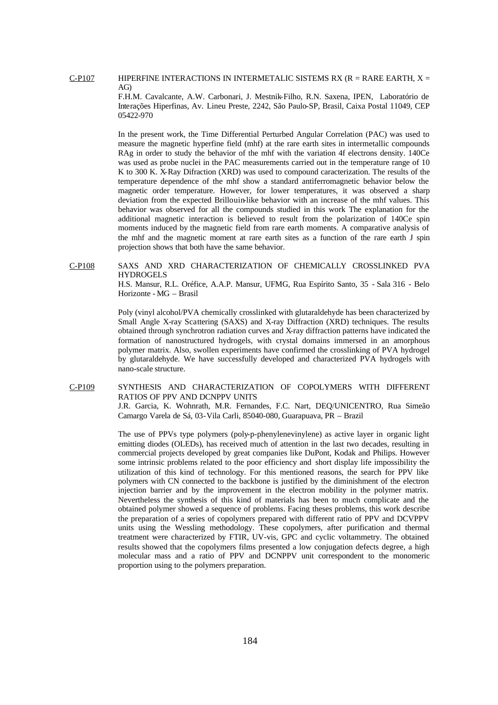C-P107 HIPERFINE INTERACTIONS IN INTERMETALIC SISTEMS RX (R = RARE EARTH,  $X =$ AG)

> F.H.M. Cavalcante, A.W. Carbonari, J. Mestnik-Filho, R.N. Saxena, IPEN, Laboratório de Interações Hiperfinas, Av. Lineu Preste, 2242, São Paulo-SP, Brasil, Caixa Postal 11049, CEP 05422-970

> In the present work, the Time Differential Perturbed Angular Correlation (PAC) was used to measure the magnetic hyperfine field (mhf) at the rare earth sites in intermetallic compounds RAg in order to study the behavior of the mhf with the variation 4f electrons density. 140Ce was used as probe nuclei in the PAC measurements carried out in the temperature range of 10 K to 300 K. X-Ray Difraction (XRD) was used to compound caracterization. The results of the temperature dependence of the mhf show a standard antiferromagnetic behavior below the magnetic order temperature. However, for lower temperatures, it was observed a sharp deviation from the expected Brillouin-like behavior with an increase of the mhf values. This behavior was observed for all the compounds studied in this work The explanation for the additional magnetic interaction is believed to result from the polarization of 140Ce spin moments induced by the magnetic field from rare earth moments. A comparative analysis of the mhf and the magnetic moment at rare earth sites as a function of the rare earth J spin projection shows that both have the same behavior.

C-P108 SAXS AND XRD CHARACTERIZATION OF CHEMICALLY CROSSLINKED PVA HYDROGELS

H.S. Mansur, R.L. Oréfice, A.A.P. Mansur, UFMG, Rua Espírito Santo, 35 - Sala 316 - Belo Horizonte - MG – Brasil

Poly (vinyl alcohol/PVA chemically crosslinked with glutaraldehyde has been characterized by Small Angle X-ray Scattering (SAXS) and X-ray Diffraction (XRD) techniques. The results obtained through synchrotron radiation curves and X-ray diffraction patterns have indicated the formation of nanostructured hydrogels, with crystal domains immersed in an amorphous polymer matrix. Also, swollen experiments have confirmed the crosslinking of PVA hydrogel by glutaraldehyde. We have successfully developed and characterized PVA hydrogels with nano-scale structure.

C-P109 SYNTHESIS AND CHARACTERIZATION OF COPOLYMERS WITH DIFFERENT RATIOS OF PPV AND DCNPPV UNITS

> J.R. Garcia, K. Wohnrath, M.R. Fernandes, F.C. Nart, DEQ/UNICENTRO, Rua Simeão Camargo Varela de Sá, 03-Vila Carli, 85040-080, Guarapuava, PR – Brazil

> The use of PPVs type polymers (poly-p-phenylenevinylene) as active layer in organic light emitting diodes (OLEDs), has received much of attention in the last two decades, resulting in commercial projects developed by great companies like DuPont, Kodak and Philips. However some intrinsic problems related to the poor efficiency and short display life impossibility the utilization of this kind of technology. For this mentioned reasons, the search for PPV like polymers with CN connected to the backbone is justified by the diminishment of the electron injection barrier and by the improvement in the electron mobility in the polymer matrix. Nevertheless the synthesis of this kind of materials has been to much complicate and the obtained polymer showed a sequence of problems. Facing theses problems, this work describe the preparation of a series of copolymers prepared with different ratio of PPV and DCVPPV units using the Wessling methodology. These copolymers, after purification and thermal treatment were characterized by FTIR, UV-vis, GPC and cyclic voltammetry. The obtained results showed that the copolymers films presented a low conjugation defects degree, a high molecular mass and a ratio of PPV and DCNPPV unit correspondent to the monomeric proportion using to the polymers preparation.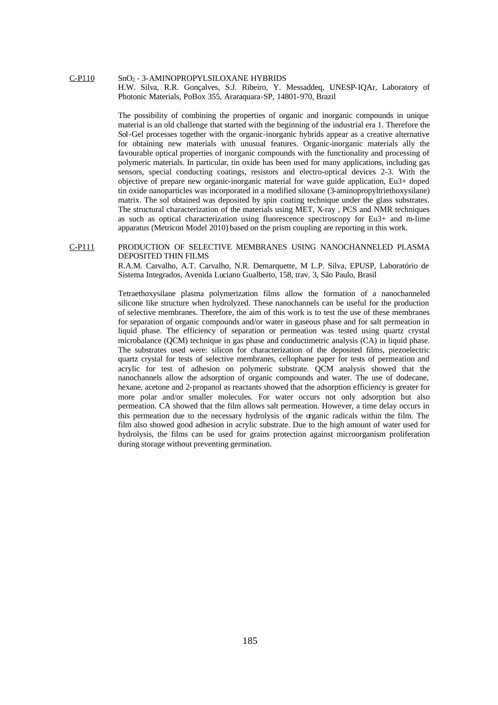### C-P110 SnO<sup>2</sup> - 3-AMINOPROPYLSILOXANE HYBRIDS H.W. Silva, R.R. Gonçalves, S.J. Ribeiro, Y. Messaddeq, UNESP-IQAr, Laboratory of

Photonic Materials, PoBox 355, Araraquara-SP, 14801-970, Brazil

The possibility of combining the properties of organic and inorganic compounds in unique material is an old challenge that started with the beginning of the industrial era 1. Therefore the Sol-Gel processes together with the organic-inorganic hybrids appear as a creative alternative for obtaining new materials with unusual features. Organic-inorganic materials ally the favourable optical properties of inorganic compounds with the functionality and processing of polymeric materials. In particular, tin oxide has been used for many applications, including gas sensors, special conducting coatings, resistors and electro-optical devices 2-3. With the objective of prepare new organic-inorganic material for wave guide application, Eu3+ doped tin oxide nanoparticles was incorporated in a modified siloxane (3-aminopropyltriethoxysilane) matrix. The sol obtained was deposited by spin coating technique under the glass substrates. The structural characterization of the materials using MET, X-ray , PCS and NMR techniques as such as optical characterization using fluorescence spectroscopy for Eu3+ and m-lime apparatus (Metricon Model 2010) based on the prism coupling are reporting in this work.

### C-P111 PRODUCTION OF SELECTIVE MEMBRANES USING NANOCHANNELED PLASMA DEPOSITED THIN FILMS

R.A.M. Carvalho, A.T. Carvalho, N.R. Demarquette, M L.P. Silva, EPUSP, Laboratório de Sistema Integrados, Avenida Luciano Gualberto, 158, trav. 3, São Paulo, Brasil

Tetraethoxysilane plasma polymerization films allow the formation of a nanochanneled silicone like structure when hydrolyzed. These nanochannels can be useful for the production of selective membranes. Therefore, the aim of this work is to test the use of these membranes for separation of organic compounds and/or water in gaseous phase and for salt permeation in liquid phase. The efficiency of separation or permeation was tested using quartz crystal microbalance (QCM) technique in gas phase and conductimetric analysis (CA) in liquid phase. The substrates used were: silicon for characterization of the deposited films, piezoelectric quartz crystal for tests of selective membranes, cellophane paper for tests of permeation and acrylic for test of adhesion on polymeric substrate. QCM analysis showed that the nanochannels allow the adsorption of organic compounds and water. The use of dodecane, hexane, acetone and 2-propanol as reactants showed that the adsorption efficiency is greater for more polar and/or smaller molecules. For water occurs not only adsorption but also permeation. CA showed that the film allows salt permeation. However, a time delay occurs in this permeation due to the necessary hydrolysis of the organic radicals within the film. The film also showed good adhesion in acrylic substrate. Due to the high amount of water used for hydrolysis, the films can be used for grains protection against microorganism proliferation during storage without preventing germination.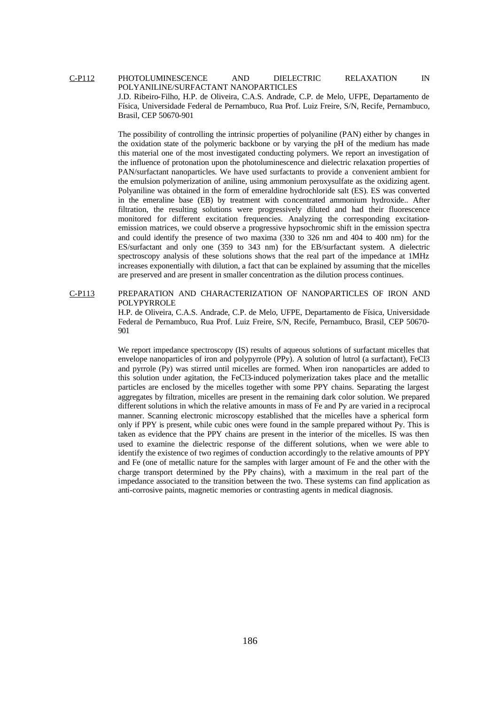C-P112 PHOTOLUMINESCENCE AND DIELECTRIC RELAXATION IN POLYANILINE/SURFACTANT NANOPARTICLES J.D. Ribeiro-Filho, H.P. de Oliveira, C.A.S. Andrade, C.P. de Melo, UFPE, Departamento de Física, Universidade Federal de Pernambuco, Rua Prof. Luiz Freire, S/N, Recife, Pernambuco, Brasil, CEP 50670-901

> The possibility of controlling the intrinsic properties of polyaniline (PAN) either by changes in the oxidation state of the polymeric backbone or by varying the pH of the medium has made this material one of the most investigated conducting polymers. We report an investigation of the influence of protonation upon the photoluminescence and dielectric relaxation properties of PAN/surfactant nanoparticles. We have used surfactants to provide a convenient ambient for the emulsion polymerization of aniline, using ammonium peroxysulfate as the oxidizing agent. Polyaniline was obtained in the form of emeraldine hydrochloride salt (ES). ES was converted in the emeraline base (EB) by treatment with concentrated ammonium hydroxide.. After filtration, the resulting solutions were progressively diluted and had their fluorescence monitored for different excitation frequencies. Analyzing the corresponding excitationemission matrices, we could observe a progressive hypsochromic shift in the emission spectra and could identify the presence of two maxima (330 to 326 nm and 404 to 400 nm) for the ES/surfactant and only one (359 to 343 nm) for the EB/surfactant system. A dielectric spectroscopy analysis of these solutions shows that the real part of the impedance at 1MHz increases exponentially with dilution, a fact that can be explained by assuming that the micelles are preserved and are present in smaller concentration as the dilution process continues.

## C-P113 PREPARATION AND CHARACTERIZATION OF NANOPARTICLES OF IRON AND POLYPYRROLE

H.P. de Oliveira, C.A.S. Andrade, C.P. de Melo, UFPE, Departamento de Física, Universidade Federal de Pernambuco, Rua Prof. Luiz Freire, S/N, Recife, Pernambuco, Brasil, CEP 50670- 901

We report impedance spectroscopy (IS) results of aqueous solutions of surfactant micelles that envelope nanoparticles of iron and polypyrrole (PPy). A solution of lutrol (a surfactant), FeCl3 and pyrrole (Py) was stirred until micelles are formed. When iron nanoparticles are added to this solution under agitation, the FeCl3-induced polymerization takes place and the metallic particles are enclosed by the micelles together with some PPY chains. Separating the largest aggregates by filtration, micelles are present in the remaining dark color solution. We prepared different solutions in which the relative amounts in mass of Fe and Py are varied in a reciprocal manner. Scanning electronic microscopy established that the micelles have a spherical form only if PPY is present, while cubic ones were found in the sample prepared without Py. This is taken as evidence that the PPY chains are present in the interior of the micelles. IS was then used to examine the dielectric response of the different solutions, when we were able to identify the existence of two regimes of conduction accordingly to the relative amounts of PPY and Fe (one of metallic nature for the samples with larger amount of Fe and the other with the charge transport determined by the PPy chains), with a maximum in the real part of the impedance associated to the transition between the two. These systems can find application as anti-corrosive paints, magnetic memories or contrasting agents in medical diagnosis.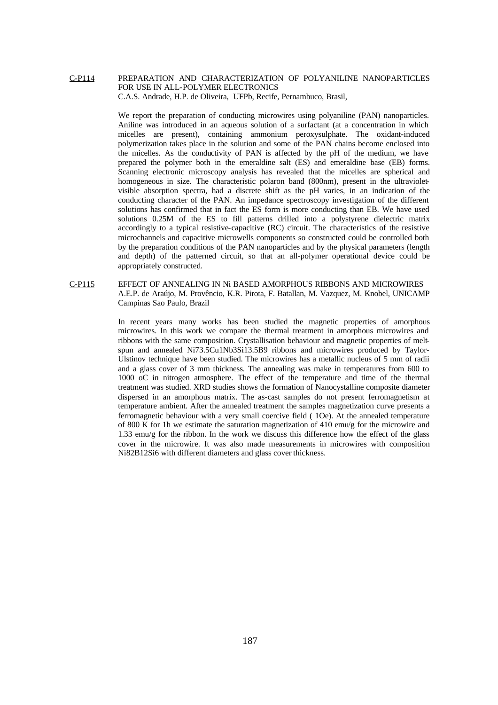# C-P114 PREPARATION AND CHARACTERIZATION OF POLYANILINE NANOPARTICLES FOR USE IN ALL-POLYMER ELECTRONICS C.A.S. Andrade, H.P. de Oliveira, UFPb, Recife, Pernambuco, Brasil,

We report the preparation of conducting microwires using polyaniline (PAN) nanoparticles. Aniline was introduced in an aqueous solution of a surfactant (at a concentration in which micelles are present), containing ammonium peroxysulphate. The oxidant-induced polymerization takes place in the solution and some of the PAN chains become enclosed into the micelles. As the conductivity of PAN is affected by the pH of the medium, we have prepared the polymer both in the emeraldine salt (ES) and emeraldine base (EB) forms. Scanning electronic microscopy analysis has revealed that the micelles are spherical and homogeneous in size. The characteristic polaron band (800nm), present in the ultravioletvisible absorption spectra, had a discrete shift as the pH varies, in an indication of the conducting character of the PAN. An impedance spectroscopy investigation of the different solutions has confirmed that in fact the ES form is more conducting than EB. We have used solutions 0.25M of the ES to fill patterns drilled into a polystyrene dielectric matrix accordingly to a typical resistive-capacitive (RC) circuit. The characteristics of the resistive microchannels and capacitive microwells components so constructed could be controlled both by the preparation conditions of the PAN nanoparticles and by the physical parameters (length and depth) of the patterned circuit, so that an all-polymer operational device could be appropriately constructed.

# C-P115 EFFECT OF ANNEALING IN Ni BASED AMORPHOUS RIBBONS AND MICROWIRES A.E.P. de Araújo, M. Provêncio, K.R. Pirota, F. Batallan, M. Vazquez, M. Knobel, UNICAMP Campinas Sao Paulo, Brazil

In recent years many works has been studied the magnetic properties of amorphous microwires. In this work we compare the thermal treatment in amorphous microwires and ribbons with the same composition. Crystallisation behaviour and magnetic properties of meltspun and annealed Ni73.5Cu1Nb3Si13.5B9 ribbons and microwires produced by Taylor-Ulstinov technique have been studied. The microwires has a metallic nucleus of 5 mm of radii and a glass cover of 3 mm thickness. The annealing was make in temperatures from 600 to 1000 oC in nitrogen atmosphere. The effect of the temperature and time of the thermal treatment was studied. XRD studies shows the formation of Nanocystalline composite diameter dispersed in an amorphous matrix. The as-cast samples do not present ferromagnetism at temperature ambient. After the annealed treatment the samples magnetization curve presents a ferromagnetic behaviour with a very small coercive field ( 1Oe). At the annealed temperature of 800 K for 1h we estimate the saturation magnetization of 410 emu/g for the microwire and 1.33 emu/g for the ribbon. In the work we discuss this difference how the effect of the glass cover in the microwire. It was also made measurements in microwires with composition Ni82B12Si6 with different diameters and glass cover thickness.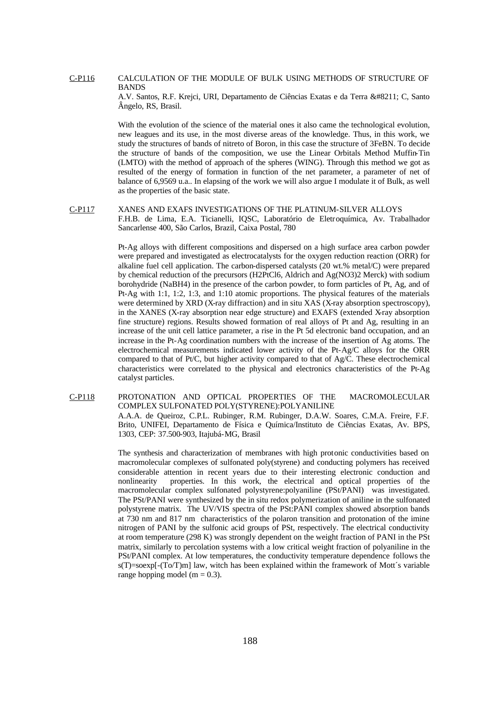## C-P116 CALCULATION OF THE MODULE OF BULK USING METHODS OF STRUCTURE OF BANDS

A.V. Santos, R.F. Krejci, URI, Departamento de Ciências Exatas e da Terra – C, Santo Ângelo, RS, Brasil.

With the evolution of the science of the material ones it also came the technological evolution, new leagues and its use, in the most diverse areas of the knowledge. Thus, in this work, we study the structures of bands of nitreto of Boron, in this case the structure of 3FeBN. To decide the structure of bands of the composition, we use the Linear Orbitals Method Muffin-Tin (LMTO) with the method of approach of the spheres (WING). Through this method we got as resulted of the energy of formation in function of the net parameter, a parameter of net of balance of 6,9569 u.a.. In elapsing of the work we will also argue I modulate it of Bulk, as well as the properties of the basic state.

C-P117 XANES AND EXAFS INVESTIGATIONS OF THE PLATINUM-SILVER ALLOYS F.H.B. de Lima, E.A. Ticianelli, IQSC, Laboratório de Eletroquímica, Av. Trabalhador Sancarlense 400, São Carlos, Brazil, Caixa Postal, 780

> Pt-Ag alloys with different compositions and dispersed on a high surface area carbon powder were prepared and investigated as electrocatalysts for the oxygen reduction reaction (ORR) for alkaline fuel cell application. The carbon-dispersed catalysts (20 wt.% metal/C) were prepared by chemical reduction of the precursors (H2PtCl6, Aldrich and Ag(NO3)2 Merck) with sodium borohydride (NaBH4) in the presence of the carbon powder, to form particles of Pt, Ag, and of Pt-Ag with 1:1, 1:2, 1:3, and 1:10 atomic proportions. The physical features of the materials were determined by XRD (X-ray diffraction) and in situ XAS (X-ray absorption spectroscopy), in the XANES (X-ray absorption near edge structure) and EXAFS (extended X-ray absorption fine structure) regions. Results showed formation of real alloys of Pt and Ag, resulting in an increase of the unit cell lattice parameter, a rise in the Pt 5d electronic band occupation, and an increase in the Pt-Ag coordination numbers with the increase of the insertion of Ag atoms. The electrochemical measurements indicated lower activity of the Pt-Ag/C alloys for the ORR compared to that of Pt/C, but higher activity compared to that of Ag/C. These electrochemical characteristics were correlated to the physical and electronics characteristics of the Pt-Ag catalyst particles.

C-P118 PROTONATION AND OPTICAL PROPERTIES OF THE MACROMOLECULAR COMPLEX SULFONATED POLY(STYRENE):POLYANILINE A.A.A. de Queiroz, C.P.L. Rubinger, R.M. Rubinger, D.A.W. Soares, C.M.A. Freire, F.F. Brito, UNIFEI, Departamento de Física e Química/Instituto de Ciências Exatas, Av. BPS, 1303, CEP: 37.500-903, Itajubá-MG, Brasil

> The synthesis and characterization of membranes with high protonic conductivities based on macromolecular complexes of sulfonated poly(styrene) and conducting polymers has received considerable attention in recent years due to their interesting electronic conduction and nonlinearity properties. In this work, the electrical and optical properties of the macromolecular complex sulfonated polystyrene:polyaniline (PSt/PANI) was investigated. The PSt/PANI were synthesized by the in situ redox polymerization of aniline in the sulfonated polystyrene matrix. The UV/VIS spectra of the PSt:PANI complex showed absorption bands at 730 nm and 817 nm characteristics of the polaron transition and protonation of the imine nitrogen of PANI by the sulfonic acid groups of PSt, respectively. The electrical conductivity at room temperature (298 K) was strongly dependent on the weight fraction of PANI in the PSt matrix, similarly to percolation systems with a low critical weight fraction of polyaniline in the PSt/PANI complex. At low temperatures, the conductivity temperature dependence follows the  $s(T)=soexp[-(To/T)m]$  law, witch has been explained within the framework of Mott's variable range hopping model (m  $= 0.3$ ).